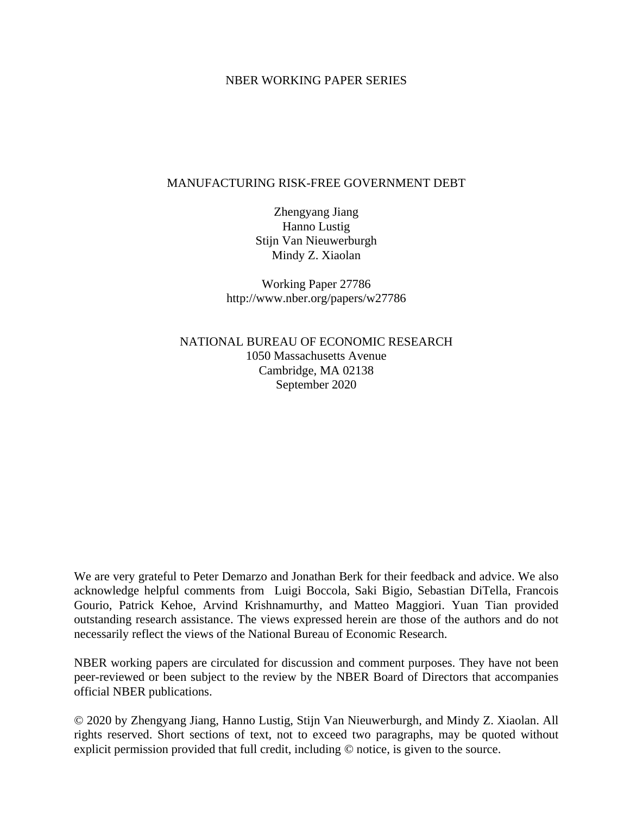### NBER WORKING PAPER SERIES

### MANUFACTURING RISK-FREE GOVERNMENT DEBT

Zhengyang Jiang Hanno Lustig Stijn Van Nieuwerburgh Mindy Z. Xiaolan

Working Paper 27786 http://www.nber.org/papers/w27786

NATIONAL BUREAU OF ECONOMIC RESEARCH 1050 Massachusetts Avenue Cambridge, MA 02138 September 2020

We are very grateful to Peter Demarzo and Jonathan Berk for their feedback and advice. We also acknowledge helpful comments from Luigi Boccola, Saki Bigio, Sebastian DiTella, Francois Gourio, Patrick Kehoe, Arvind Krishnamurthy, and Matteo Maggiori. Yuan Tian provided outstanding research assistance. The views expressed herein are those of the authors and do not necessarily reflect the views of the National Bureau of Economic Research.

NBER working papers are circulated for discussion and comment purposes. They have not been peer-reviewed or been subject to the review by the NBER Board of Directors that accompanies official NBER publications.

© 2020 by Zhengyang Jiang, Hanno Lustig, Stijn Van Nieuwerburgh, and Mindy Z. Xiaolan. All rights reserved. Short sections of text, not to exceed two paragraphs, may be quoted without explicit permission provided that full credit, including © notice, is given to the source.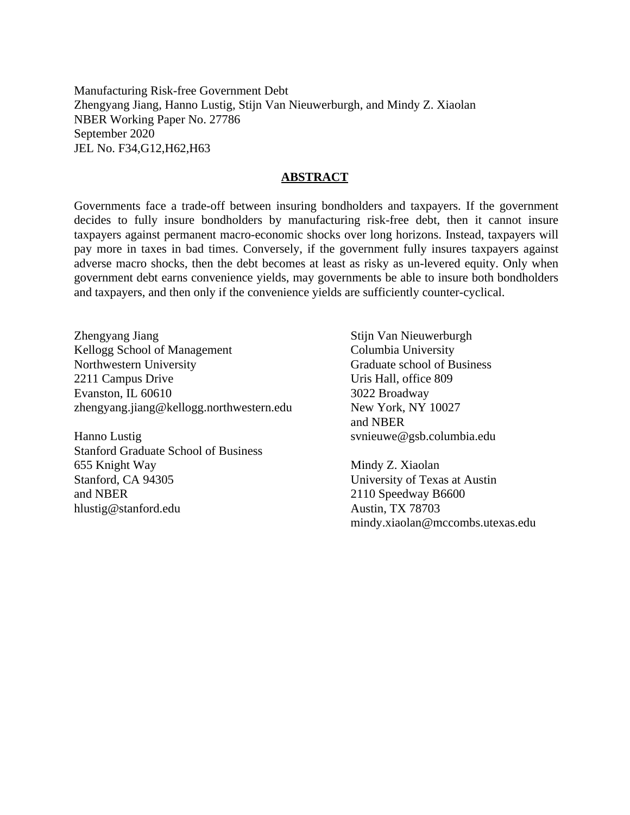Manufacturing Risk-free Government Debt Zhengyang Jiang, Hanno Lustig, Stijn Van Nieuwerburgh, and Mindy Z. Xiaolan NBER Working Paper No. 27786 September 2020 JEL No. F34,G12,H62,H63

#### **ABSTRACT**

Governments face a trade-off between insuring bondholders and taxpayers. If the government decides to fully insure bondholders by manufacturing risk-free debt, then it cannot insure taxpayers against permanent macro-economic shocks over long horizons. Instead, taxpayers will pay more in taxes in bad times. Conversely, if the government fully insures taxpayers against adverse macro shocks, then the debt becomes at least as risky as un-levered equity. Only when government debt earns convenience yields, may governments be able to insure both bondholders and taxpayers, and then only if the convenience yields are sufficiently counter-cyclical.

Zhengyang Jiang Kellogg School of Management Northwestern University 2211 Campus Drive Evanston, IL 60610 zhengyang.jiang@kellogg.northwestern.edu

Hanno Lustig Stanford Graduate School of Business 655 Knight Way Stanford, CA 94305 and NBER hlustig@stanford.edu

Stijn Van Nieuwerburgh Columbia University Graduate school of Business Uris Hall, office 809 3022 Broadway New York, NY 10027 and NBER svnieuwe@gsb.columbia.edu

Mindy Z. Xiaolan University of Texas at Austin 2110 Speedway B6600 Austin, TX 78703 mindy.xiaolan@mccombs.utexas.edu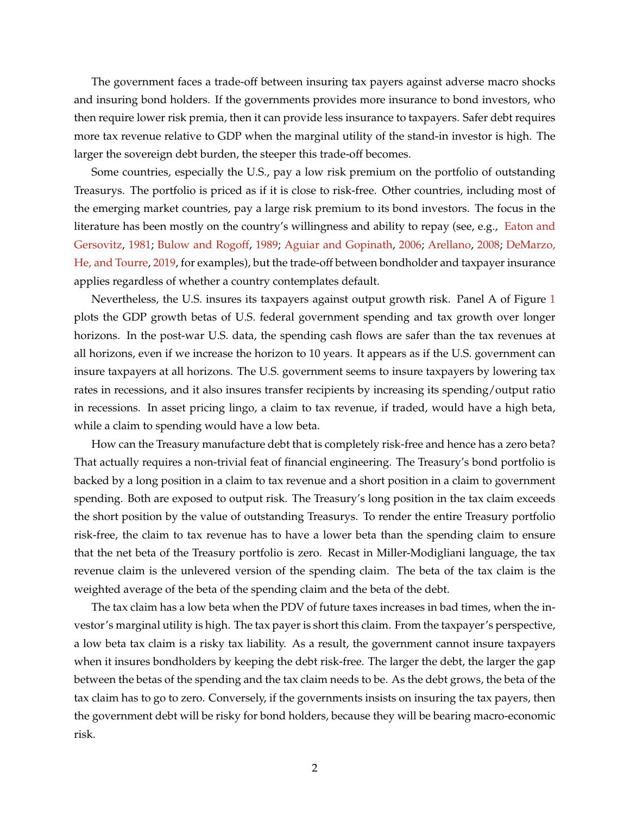The government faces a trade-off between insuring tax payers against adverse macro shocks and insuring bond holders. If the governments provides more insurance to bond investors, who then require lower risk premia, then it can provide less insurance to taxpayers. Safer debt requires more tax revenue relative to GDP when the marginal utility of the stand-in investor is high. The larger the sovereign debt burden, the steeper this trade-off becomes.

Some countries, especially the U.S., pay a low risk premium on the portfolio of outstanding Treasurys. The portfolio is priced as if it is close to risk-free. Other countries, including most of the emerging market countries, pay a large risk premium to its bond investors. The focus in the literature has been mostly on the country's willingness and ability to repay (see, e.g., [Eaton and](#page-43-0) [Gersovitz,](#page-43-0) [1981;](#page-43-0) [Bulow and Rogoff,](#page-42-0) [1989;](#page-42-0) [Aguiar and Gopinath,](#page-41-0) [2006;](#page-41-0) [Arellano,](#page-41-1) [2008;](#page-41-1) [DeMarzo,](#page-43-1) [He, and Tourre,](#page-43-1) [2019,](#page-43-1) for examples), but the trade-off between bondholder and taxpayer insurance applies regardless of whether a country contemplates default.

Nevertheless, the U.S. insures its taxpayers against output growth risk. Panel A of Figure [1](#page-3-0) plots the GDP growth betas of U.S. federal government spending and tax growth over longer horizons. In the post-war U.S. data, the spending cash flows are safer than the tax revenues at all horizons, even if we increase the horizon to 10 years. It appears as if the U.S. government can insure taxpayers at all horizons. The U.S. government seems to insure taxpayers by lowering tax rates in recessions, and it also insures transfer recipients by increasing its spending/output ratio in recessions. In asset pricing lingo, a claim to tax revenue, if traded, would have a high beta, while a claim to spending would have a low beta.

How can the Treasury manufacture debt that is completely risk-free and hence has a zero beta? That actually requires a non-trivial feat of financial engineering. The Treasury's bond portfolio is backed by a long position in a claim to tax revenue and a short position in a claim to government spending. Both are exposed to output risk. The Treasury's long position in the tax claim exceeds the short position by the value of outstanding Treasurys. To render the entire Treasury portfolio risk-free, the claim to tax revenue has to have a lower beta than the spending claim to ensure that the net beta of the Treasury portfolio is zero. Recast in Miller-Modigliani language, the tax revenue claim is the unlevered version of the spending claim. The beta of the tax claim is the weighted average of the beta of the spending claim and the beta of the debt.

The tax claim has a low beta when the PDV of future taxes increases in bad times, when the investor's marginal utility is high. The tax payer is short this claim. From the taxpayer's perspective, a low beta tax claim is a risky tax liability. As a result, the government cannot insure taxpayers when it insures bondholders by keeping the debt risk-free. The larger the debt, the larger the gap between the betas of the spending and the tax claim needs to be. As the debt grows, the beta of the tax claim has to go to zero. Conversely, if the governments insists on insuring the tax payers, then the government debt will be risky for bond holders, because they will be bearing macro-economic risk.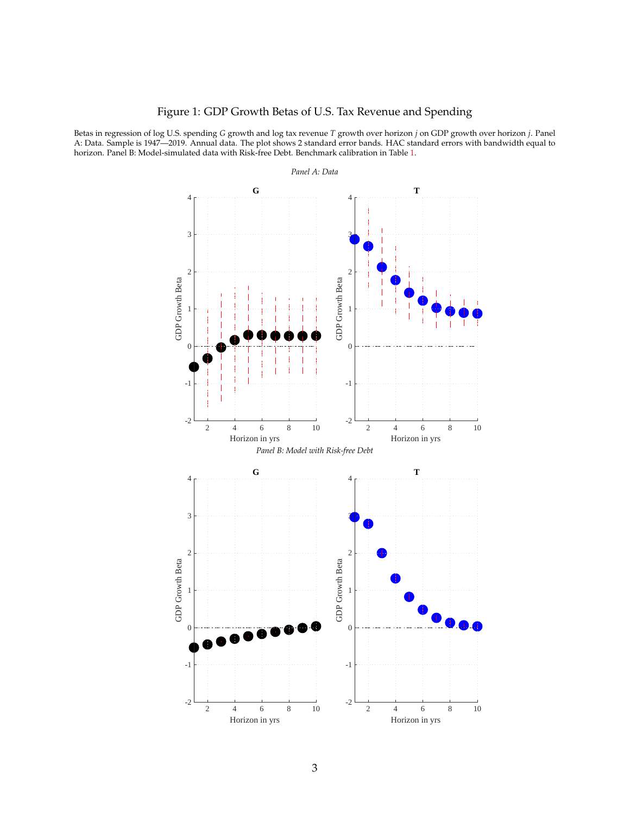## Figure 1: GDP Growth Betas of U.S. Tax Revenue and Spending

<span id="page-3-0"></span>Betas in regression of log U.S. spending *G* growth and log tax revenue *T* growth over horizon *j* on GDP growth over horizon *j*. Panel A: Data. Sample is 1947—2019. Annual data. The plot shows 2 standard error bands. HAC standard errors with bandwidth equal to horizon. Panel B: Model-simulated data with Risk-free Debt. Benchmark calibration in Table [1.](#page-15-0)



3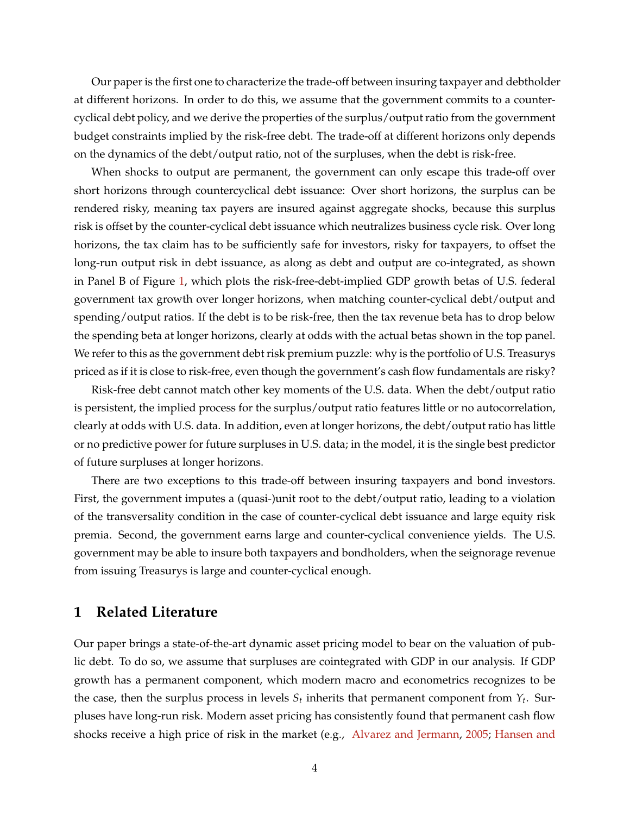Our paper is the first one to characterize the trade-off between insuring taxpayer and debtholder at different horizons. In order to do this, we assume that the government commits to a countercyclical debt policy, and we derive the properties of the surplus/output ratio from the government budget constraints implied by the risk-free debt. The trade-off at different horizons only depends on the dynamics of the debt/output ratio, not of the surpluses, when the debt is risk-free.

When shocks to output are permanent, the government can only escape this trade-off over short horizons through countercyclical debt issuance: Over short horizons, the surplus can be rendered risky, meaning tax payers are insured against aggregate shocks, because this surplus risk is offset by the counter-cyclical debt issuance which neutralizes business cycle risk. Over long horizons, the tax claim has to be sufficiently safe for investors, risky for taxpayers, to offset the long-run output risk in debt issuance, as along as debt and output are co-integrated, as shown in Panel B of Figure [1,](#page-3-0) which plots the risk-free-debt-implied GDP growth betas of U.S. federal government tax growth over longer horizons, when matching counter-cyclical debt/output and spending/output ratios. If the debt is to be risk-free, then the tax revenue beta has to drop below the spending beta at longer horizons, clearly at odds with the actual betas shown in the top panel. We refer to this as the government debt risk premium puzzle: why is the portfolio of U.S. Treasurys priced as if it is close to risk-free, even though the government's cash flow fundamentals are risky?

Risk-free debt cannot match other key moments of the U.S. data. When the debt/output ratio is persistent, the implied process for the surplus/output ratio features little or no autocorrelation, clearly at odds with U.S. data. In addition, even at longer horizons, the debt/output ratio has little or no predictive power for future surpluses in U.S. data; in the model, it is the single best predictor of future surpluses at longer horizons.

There are two exceptions to this trade-off between insuring taxpayers and bond investors. First, the government imputes a (quasi-)unit root to the debt/output ratio, leading to a violation of the transversality condition in the case of counter-cyclical debt issuance and large equity risk premia. Second, the government earns large and counter-cyclical convenience yields. The U.S. government may be able to insure both taxpayers and bondholders, when the seignorage revenue from issuing Treasurys is large and counter-cyclical enough.

## **1 Related Literature**

Our paper brings a state-of-the-art dynamic asset pricing model to bear on the valuation of public debt. To do so, we assume that surpluses are cointegrated with GDP in our analysis. If GDP growth has a permanent component, which modern macro and econometrics recognizes to be the case, then the surplus process in levels  $S_t$  inherits that permanent component from  $Y_t$ . Surpluses have long-run risk. Modern asset pricing has consistently found that permanent cash flow shocks receive a high price of risk in the market (e.g., [Alvarez and Jermann,](#page-41-2) [2005;](#page-41-2) [Hansen and](#page-43-2)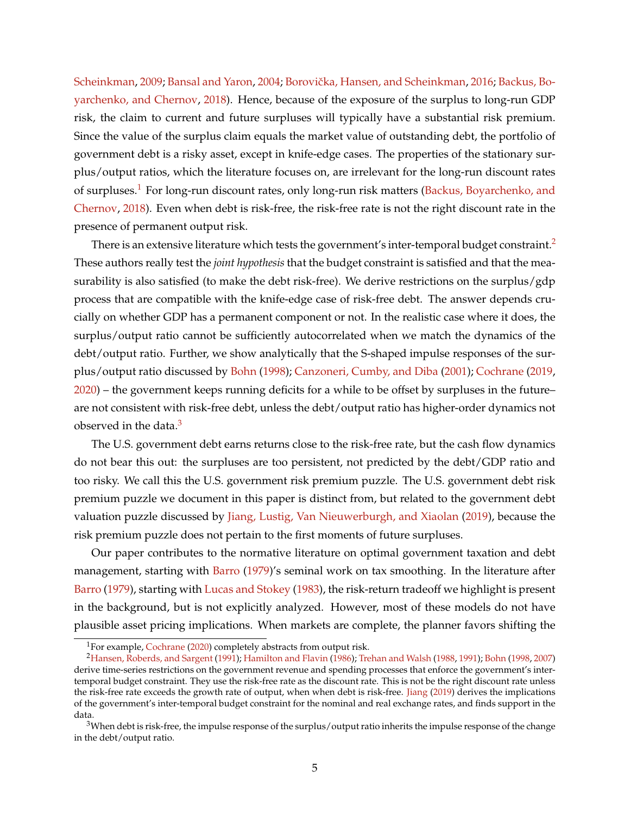[Scheinkman,](#page-43-2) [2009;](#page-43-2) [Bansal and Yaron,](#page-41-3) [2004;](#page-41-3) Borovička, Hansen, and Scheinkman, [2016;](#page-42-1) [Backus, Bo](#page-41-4)[yarchenko, and Chernov,](#page-41-4) [2018\)](#page-41-4). Hence, because of the exposure of the surplus to long-run GDP risk, the claim to current and future surpluses will typically have a substantial risk premium. Since the value of the surplus claim equals the market value of outstanding debt, the portfolio of government debt is a risky asset, except in knife-edge cases. The properties of the stationary surplus/output ratios, which the literature focuses on, are irrelevant for the long-run discount rates of surpluses.<sup>[1](#page-5-0)</sup> For long-run discount rates, only long-run risk matters [\(Backus, Boyarchenko, and](#page-41-4) [Chernov,](#page-41-4) [2018\)](#page-41-4). Even when debt is risk-free, the risk-free rate is not the right discount rate in the presence of permanent output risk.

There is an extensive literature which tests the government's inter-temporal budget constraint.<sup>[2](#page-5-1)</sup> These authors really test the *joint hypothesis* that the budget constraint is satisfied and that the measurability is also satisfied (to make the debt risk-free). We derive restrictions on the surplus/gdp process that are compatible with the knife-edge case of risk-free debt. The answer depends crucially on whether GDP has a permanent component or not. In the realistic case where it does, the surplus/output ratio cannot be sufficiently autocorrelated when we match the dynamics of the debt/output ratio. Further, we show analytically that the S-shaped impulse responses of the surplus/output ratio discussed by [Bohn](#page-42-2) [\(1998\)](#page-42-2); [Canzoneri, Cumby, and Diba](#page-42-3) [\(2001\)](#page-42-3); [Cochrane](#page-42-4) [\(2019,](#page-42-4) [2020\)](#page-43-3) – the government keeps running deficits for a while to be offset by surpluses in the future– are not consistent with risk-free debt, unless the debt/output ratio has higher-order dynamics not observed in the data. $3$ 

The U.S. government debt earns returns close to the risk-free rate, but the cash flow dynamics do not bear this out: the surpluses are too persistent, not predicted by the debt/GDP ratio and too risky. We call this the U.S. government risk premium puzzle. The U.S. government debt risk premium puzzle we document in this paper is distinct from, but related to the government debt valuation puzzle discussed by [Jiang, Lustig, Van Nieuwerburgh, and Xiaolan](#page-43-4) [\(2019\)](#page-43-4), because the risk premium puzzle does not pertain to the first moments of future surpluses.

Our paper contributes to the normative literature on optimal government taxation and debt management, starting with [Barro](#page-41-5) [\(1979\)](#page-41-5)'s seminal work on tax smoothing. In the literature after [Barro](#page-41-5) [\(1979\)](#page-41-5), starting with [Lucas and Stokey](#page-44-0) [\(1983\)](#page-44-0), the risk-return tradeoff we highlight is present in the background, but is not explicitly analyzed. However, most of these models do not have plausible asset pricing implications. When markets are complete, the planner favors shifting the

<span id="page-5-1"></span><span id="page-5-0"></span><sup>&</sup>lt;sup>1</sup>For example, [Cochrane](#page-43-3) [\(2020\)](#page-43-3) completely abstracts from output risk.

<sup>2</sup>[Hansen, Roberds, and Sargent](#page-43-5) [\(1991\)](#page-43-5); [Hamilton and Flavin](#page-43-6) [\(1986\)](#page-43-6); [Trehan and Walsh](#page-44-1) [\(1988,](#page-44-1) [1991\)](#page-44-2); [Bohn](#page-42-2) [\(1998,](#page-42-2) [2007\)](#page-42-5) derive time-series restrictions on the government revenue and spending processes that enforce the government's intertemporal budget constraint. They use the risk-free rate as the discount rate. This is not be the right discount rate unless the risk-free rate exceeds the growth rate of output, when when debt is risk-free. [Jiang](#page-43-7) [\(2019\)](#page-43-7) derives the implications of the government's inter-temporal budget constraint for the nominal and real exchange rates, and finds support in the data.

<span id="page-5-2"></span> $3$ When debt is risk-free, the impulse response of the surplus/output ratio inherits the impulse response of the change in the debt/output ratio.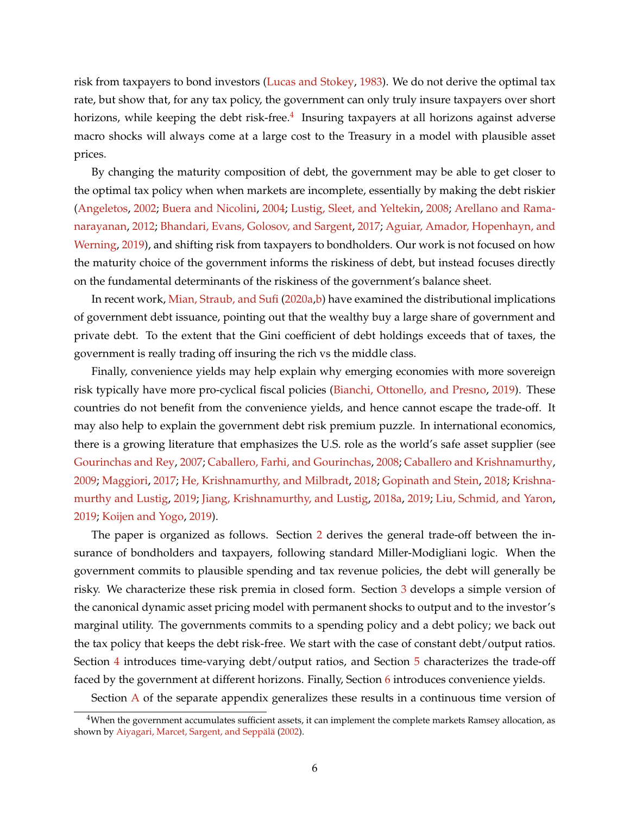risk from taxpayers to bond investors [\(Lucas and Stokey,](#page-44-0) [1983\)](#page-44-0). We do not derive the optimal tax rate, but show that, for any tax policy, the government can only truly insure taxpayers over short horizons, while keeping the debt risk-free.<sup>[4](#page-6-0)</sup> Insuring taxpayers at all horizons against adverse macro shocks will always come at a large cost to the Treasury in a model with plausible asset prices.

By changing the maturity composition of debt, the government may be able to get closer to the optimal tax policy when when markets are incomplete, essentially by making the debt riskier [\(Angeletos,](#page-41-6) [2002;](#page-41-6) [Buera and Nicolini,](#page-42-6) [2004;](#page-42-6) [Lustig, Sleet, and Yeltekin,](#page-44-3) [2008;](#page-44-3) [Arellano and Rama](#page-41-7)[narayanan,](#page-41-7) [2012;](#page-41-7) [Bhandari, Evans, Golosov, and Sargent,](#page-42-7) [2017;](#page-42-7) [Aguiar, Amador, Hopenhayn, and](#page-41-8) [Werning,](#page-41-8) [2019\)](#page-41-8), and shifting risk from taxpayers to bondholders. Our work is not focused on how the maturity choice of the government informs the riskiness of debt, but instead focuses directly on the fundamental determinants of the riskiness of the government's balance sheet.

In recent work, [Mian, Straub, and Sufi](#page-44-4) [\(2020a](#page-44-4)[,b\)](#page-44-5) have examined the distributional implications of government debt issuance, pointing out that the wealthy buy a large share of government and private debt. To the extent that the Gini coefficient of debt holdings exceeds that of taxes, the government is really trading off insuring the rich vs the middle class.

Finally, convenience yields may help explain why emerging economies with more sovereign risk typically have more pro-cyclical fiscal policies [\(Bianchi, Ottonello, and Presno,](#page-42-8) [2019\)](#page-42-8). These countries do not benefit from the convenience yields, and hence cannot escape the trade-off. It may also help to explain the government debt risk premium puzzle. In international economics, there is a growing literature that emphasizes the U.S. role as the world's safe asset supplier (see [Gourinchas and Rey,](#page-43-8) [2007;](#page-43-8) [Caballero, Farhi, and Gourinchas,](#page-42-9) [2008;](#page-42-9) [Caballero and Krishnamurthy,](#page-42-10) [2009;](#page-42-10) [Maggiori,](#page-44-6) [2017;](#page-44-6) [He, Krishnamurthy, and Milbradt,](#page-43-9) [2018;](#page-43-9) [Gopinath and Stein,](#page-43-10) [2018;](#page-43-10) [Krishna](#page-44-7)[murthy and Lustig,](#page-44-7) [2019;](#page-44-7) [Jiang, Krishnamurthy, and Lustig,](#page-43-11) [2018a,](#page-43-11) [2019;](#page-43-12) [Liu, Schmid, and Yaron,](#page-44-8) [2019;](#page-44-8) [Koijen and Yogo,](#page-44-9) [2019\)](#page-44-9).

The paper is organized as follows. Section [2](#page-7-0) derives the general trade-off between the insurance of bondholders and taxpayers, following standard Miller-Modigliani logic. When the government commits to plausible spending and tax revenue policies, the debt will generally be risky. We characterize these risk premia in closed form. Section [3](#page-11-0) develops a simple version of the canonical dynamic asset pricing model with permanent shocks to output and to the investor's marginal utility. The governments commits to a spending policy and a debt policy; we back out the tax policy that keeps the debt risk-free. We start with the case of constant debt/output ratios. Section [4](#page-17-0) introduces time-varying debt/output ratios, and Section [5](#page-27-0) characterizes the trade-off faced by the government at different horizons. Finally, Section [6](#page-39-0) introduces convenience yields.

Section [A](#page-45-0) of the separate appendix generalizes these results in a continuous time version of

<span id="page-6-0"></span> $4$ When the government accumulates sufficient assets, it can implement the complete markets Ramsey allocation, as shown by Aiyagari, Marcet, Sargent, and Seppälä [\(2002\)](#page-41-9).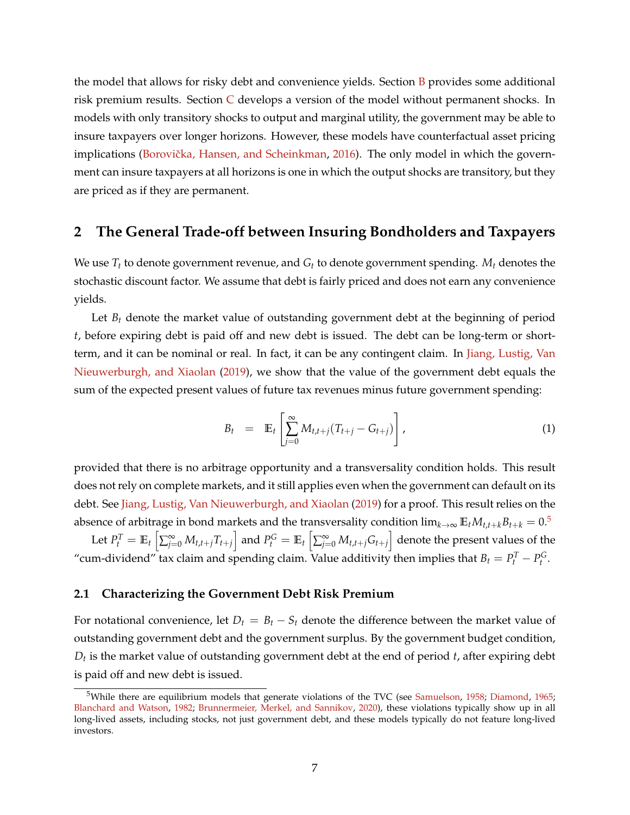the model that allows for risky debt and convenience yields. Section  $\overline{B}$  $\overline{B}$  $\overline{B}$  provides some additional risk premium results. Section [C](#page-48-1) develops a version of the model without permanent shocks. In models with only transitory shocks to output and marginal utility, the government may be able to insure taxpayers over longer horizons. However, these models have counterfactual asset pricing implications (Borovička, Hansen, and Scheinkman, [2016\)](#page-42-1). The only model in which the government can insure taxpayers at all horizons is one in which the output shocks are transitory, but they are priced as if they are permanent.

# <span id="page-7-0"></span>**2 The General Trade-off between Insuring Bondholders and Taxpayers**

We use *T<sup>t</sup>* to denote government revenue, and *G<sup>t</sup>* to denote government spending. *M<sup>t</sup>* denotes the stochastic discount factor. We assume that debt is fairly priced and does not earn any convenience yields.

Let  $B_t$  denote the market value of outstanding government debt at the beginning of period *t*, before expiring debt is paid off and new debt is issued. The debt can be long-term or shortterm, and it can be nominal or real. In fact, it can be any contingent claim. In [Jiang, Lustig, Van](#page-43-4) [Nieuwerburgh, and Xiaolan](#page-43-4) [\(2019\)](#page-43-4), we show that the value of the government debt equals the sum of the expected present values of future tax revenues minus future government spending:

<span id="page-7-2"></span>
$$
B_t = \mathbb{E}_t \left[ \sum_{j=0}^{\infty} M_{t,t+j} (T_{t+j} - G_{t+j}) \right], \qquad (1)
$$

provided that there is no arbitrage opportunity and a transversality condition holds. This result does not rely on complete markets, and it still applies even when the government can default on its debt. See [Jiang, Lustig, Van Nieuwerburgh, and Xiaolan](#page-43-4) [\(2019\)](#page-43-4) for a proof. This result relies on the absence of arbitrage in bond markets and the transversality condition  $\lim_{k\to\infty} \mathbb{E}_t M_{t,t+k} B_{t+k} = 0.5$  $\lim_{k\to\infty} \mathbb{E}_t M_{t,t+k} B_{t+k} = 0.5$ 

Let  $P_t^T=\mathbb{E}_t\left[\sum_{j=0}^{\infty}M_{t,t+j}T_{t+j}\right]$  and  $P_t^G=\mathbb{E}_t\left[\sum_{j=0}^{\infty}M_{t,t+j}G_{t+j}\right]$  denote the present values of the "cum-dividend" tax claim and spending claim. Value additivity then implies that  $B_t = P_t^T - P_t^G$ .

#### **2.1 Characterizing the Government Debt Risk Premium**

For notational convenience, let  $D_t = B_t - S_t$  denote the difference between the market value of outstanding government debt and the government surplus. By the government budget condition, *Dt* is the market value of outstanding government debt at the end of period *t*, after expiring debt is paid off and new debt is issued.

<span id="page-7-1"></span><sup>&</sup>lt;sup>5</sup>While there are equilibrium models that generate violations of the TVC (see [Samuelson,](#page-44-10) [1958;](#page-44-10) [Diamond,](#page-43-13) [1965;](#page-43-13) [Blanchard and Watson,](#page-42-11) [1982;](#page-42-11) [Brunnermeier, Merkel, and Sannikov,](#page-42-12) [2020\)](#page-42-12), these violations typically show up in all long-lived assets, including stocks, not just government debt, and these models typically do not feature long-lived investors.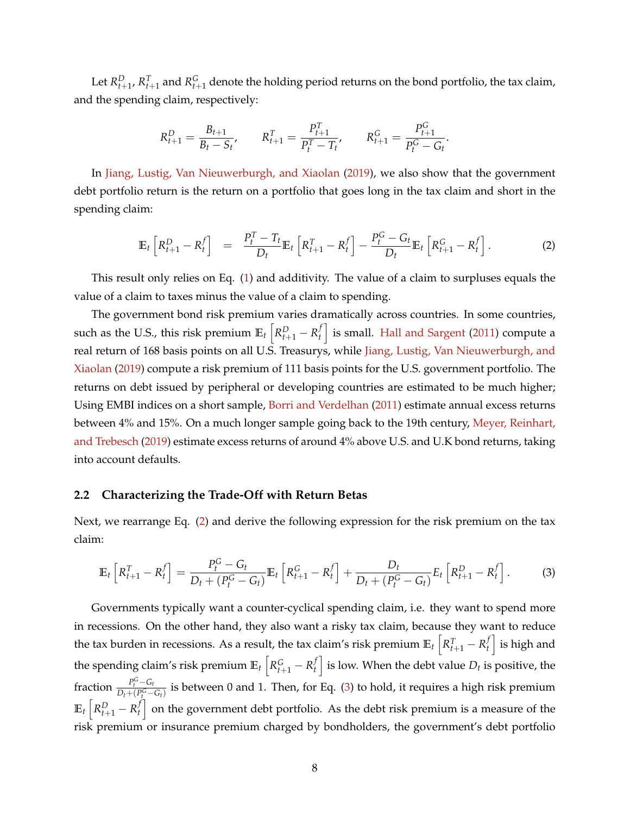Let  $R_{t+1}^D$ ,  $R_{t+1}^T$  and  $R_{t+1}^G$  denote the holding period returns on the bond portfolio, the tax claim, and the spending claim, respectively:

$$
R_{t+1}^D = \frac{B_{t+1}}{B_t - S_t}, \qquad R_{t+1}^T = \frac{P_{t+1}^T}{P_t^T - T_t}, \qquad R_{t+1}^G = \frac{P_{t+1}^G}{P_t^G - G_t}.
$$

In [Jiang, Lustig, Van Nieuwerburgh, and Xiaolan](#page-43-4) [\(2019\)](#page-43-4), we also show that the government debt portfolio return is the return on a portfolio that goes long in the tax claim and short in the spending claim:

<span id="page-8-0"></span>
$$
\mathbb{E}_t\left[R_{t+1}^D - R_t^f\right] = \frac{P_t^T - T_t}{D_t} \mathbb{E}_t\left[R_{t+1}^T - R_t^f\right] - \frac{P_t^G - G_t}{D_t} \mathbb{E}_t\left[R_{t+1}^G - R_t^f\right].
$$
 (2)

This result only relies on Eq. [\(1\)](#page-7-2) and additivity. The value of a claim to surpluses equals the value of a claim to taxes minus the value of a claim to spending.

The government bond risk premium varies dramatically across countries. In some countries, such as the U.S., this risk premium  $\mathbb{E}_t\left[R_{t+1}^D-R_t^f\right]$  $\left\{ \begin{array}{l} f \ h \end{array} \right\}$  is small. [Hall and Sargent](#page-43-14) [\(2011\)](#page-43-14) compute a real return of 168 basis points on all U.S. Treasurys, while [Jiang, Lustig, Van Nieuwerburgh, and](#page-43-4) [Xiaolan](#page-43-4) [\(2019\)](#page-43-4) compute a risk premium of 111 basis points for the U.S. government portfolio. The returns on debt issued by peripheral or developing countries are estimated to be much higher; Using EMBI indices on a short sample, [Borri and Verdelhan](#page-42-13) [\(2011\)](#page-42-13) estimate annual excess returns between 4% and 15%. On a much longer sample going back to the 19th century, [Meyer, Reinhart,](#page-44-11) [and Trebesch](#page-44-11) [\(2019\)](#page-44-11) estimate excess returns of around 4% above U.S. and U.K bond returns, taking into account defaults.

#### **2.2 Characterizing the Trade-Off with Return Betas**

Next, we rearrange Eq. [\(2\)](#page-8-0) and derive the following expression for the risk premium on the tax claim:

<span id="page-8-1"></span>
$$
\mathbb{E}_{t}\left[R_{t+1}^{T}-R_{t}^{f}\right]=\frac{P_{t}^{G}-G_{t}}{D_{t}+(P_{t}^{G}-G_{t})}\mathbb{E}_{t}\left[R_{t+1}^{G}-R_{t}^{f}\right]+\frac{D_{t}}{D_{t}+(P_{t}^{G}-G_{t})}E_{t}\left[R_{t+1}^{D}-R_{t}^{f}\right].
$$
 (3)

Governments typically want a counter-cyclical spending claim, i.e. they want to spend more in recessions. On the other hand, they also want a risky tax claim, because they want to reduce the tax burden in recessions. As a result, the tax claim's risk premium  $\mathbb{E}_t\left[R_{t+1}^T - R_t^f\right]$  $\left\{ \begin{array}{c} f \\ t \end{array} \right\}$  is high and the spending claim's risk premium  $\mathbb{E}_t\left[R_{t+1}^G-R_t^f\right]$  $\left\{ \begin{matrix} f \ h \end{matrix} \right\}$  is low. When the debt value  $D_t$  is positive, the fraction  $\frac{P_t^G - G_t}{D_t + (P_G^G - G_t)}$  $\frac{P_t - Q_t}{D_t + (P_t^G - G_t)}$  is between 0 and 1. Then, for Eq. [\(3\)](#page-8-1) to hold, it requires a high risk premium  $\mathbb{E}_t \left[ R_{t+1}^D - R_t^f \right]$  $\left\{ \begin{array}{l} t \end{array} \right\}$  on the government debt portfolio. As the debt risk premium is a measure of the risk premium or insurance premium charged by bondholders, the government's debt portfolio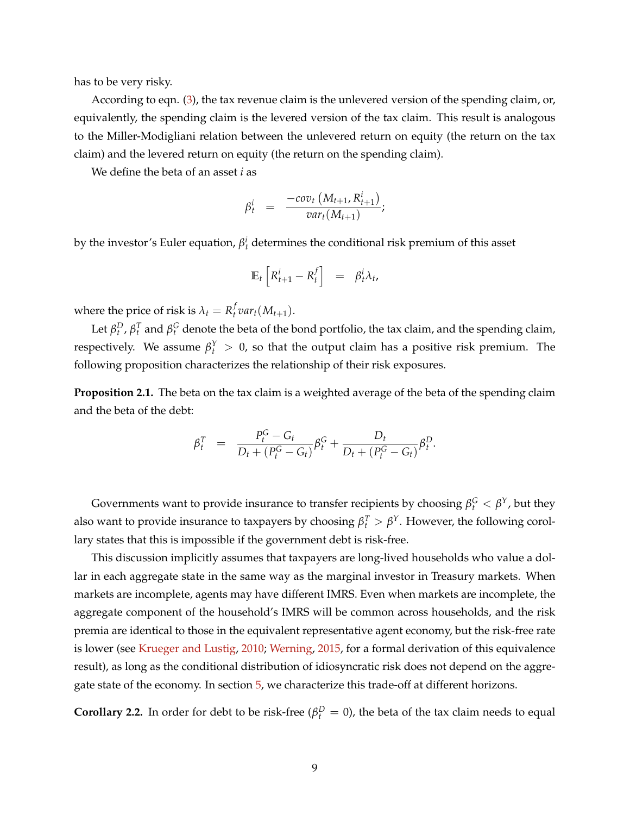has to be very risky.

According to eqn. [\(3\)](#page-8-1), the tax revenue claim is the unlevered version of the spending claim, or, equivalently, the spending claim is the levered version of the tax claim. This result is analogous to the Miller-Modigliani relation between the unlevered return on equity (the return on the tax claim) and the levered return on equity (the return on the spending claim).

We define the beta of an asset *i* as

$$
\beta_t^i = \frac{-cov_t(M_{t+1}, R_{t+1}^i)}{var_t(M_{t+1})};
$$

by the investor's Euler equation,  $\beta_t^i$  determines the conditional risk premium of this asset

$$
\mathbb{E}_t \left[ R^i_{t+1} - R^f_t \right] = \beta^i_t \lambda_t,
$$

where the price of risk is  $\lambda_t = R_t^f$  $_t^f$  var<sub>t</sub>( $M_{t+1}$ ).

Let  $\beta_t^D$ ,  $\beta_t^T$  and  $\beta_t^G$  denote the beta of the bond portfolio, the tax claim, and the spending claim, respectively. We assume  $\beta_t^Y > 0$ , so that the output claim has a positive risk premium. The following proposition characterizes the relationship of their risk exposures.

**Proposition 2.1.** The beta on the tax claim is a weighted average of the beta of the spending claim and the beta of the debt:

$$
\beta_t^T = \frac{P_t^G - G_t}{D_t + (P_t^G - G_t)} \beta_t^G + \frac{D_t}{D_t + (P_t^G - G_t)} \beta_t^D.
$$

Governments want to provide insurance to transfer recipients by choosing  $\beta_t^G < \beta^Y$ , but they also want to provide insurance to taxpayers by choosing  $\beta_t^T > \beta^Y$ . However, the following corollary states that this is impossible if the government debt is risk-free.

This discussion implicitly assumes that taxpayers are long-lived households who value a dollar in each aggregate state in the same way as the marginal investor in Treasury markets. When markets are incomplete, agents may have different IMRS. Even when markets are incomplete, the aggregate component of the household's IMRS will be common across households, and the risk premia are identical to those in the equivalent representative agent economy, but the risk-free rate is lower (see [Krueger and Lustig,](#page-44-12) [2010;](#page-44-12) [Werning,](#page-44-13) [2015,](#page-44-13) for a formal derivation of this equivalence result), as long as the conditional distribution of idiosyncratic risk does not depend on the aggregate state of the economy. In section [5,](#page-27-0) we characterize this trade-off at different horizons.

**Corollary 2.2.** In order for debt to be risk-free ( $\beta_t^D = 0$ ), the beta of the tax claim needs to equal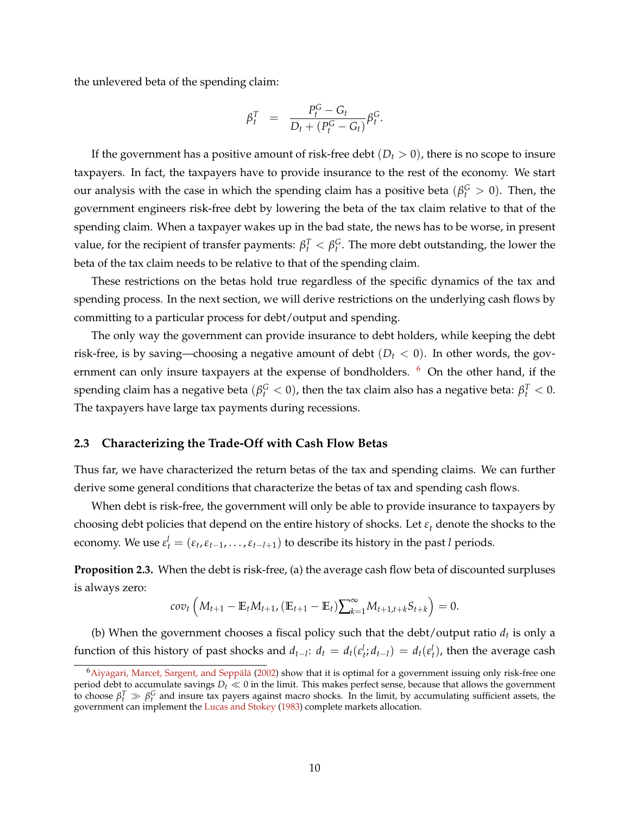the unlevered beta of the spending claim:

$$
\beta_t^T = \frac{P_t^G - G_t}{D_t + (P_t^G - G_t)} \beta_t^G.
$$

If the government has a positive amount of risk-free debt  $(D_t > 0)$ , there is no scope to insure taxpayers. In fact, the taxpayers have to provide insurance to the rest of the economy. We start our analysis with the case in which the spending claim has a positive beta ( $\beta_t^G > 0$ ). Then, the government engineers risk-free debt by lowering the beta of the tax claim relative to that of the spending claim. When a taxpayer wakes up in the bad state, the news has to be worse, in present value, for the recipient of transfer payments:  $\beta_t^T < \beta_t^G$ . The more debt outstanding, the lower the beta of the tax claim needs to be relative to that of the spending claim.

These restrictions on the betas hold true regardless of the specific dynamics of the tax and spending process. In the next section, we will derive restrictions on the underlying cash flows by committing to a particular process for debt/output and spending.

The only way the government can provide insurance to debt holders, while keeping the debt risk-free, is by saving—choosing a negative amount of debt  $(D_t < 0)$ . In other words, the government can only insure taxpayers at the expense of bondholders.  $6\,$  $6\,$  On the other hand, if the spending claim has a negative beta  $(\beta_t^G < 0)$ , then the tax claim also has a negative beta:  $\beta_t^T < 0$ . The taxpayers have large tax payments during recessions.

#### **2.3 Characterizing the Trade-Off with Cash Flow Betas**

Thus far, we have characterized the return betas of the tax and spending claims. We can further derive some general conditions that characterize the betas of tax and spending cash flows.

When debt is risk-free, the government will only be able to provide insurance to taxpayers by choosing debt policies that depend on the entire history of shocks. Let *ε<sup>t</sup>* denote the shocks to the economy. We use  $\varepsilon_t^l = (\varepsilon_t, \varepsilon_{t-1}, \ldots, \varepsilon_{t-l+1})$  to describe its history in the past *l* periods.

<span id="page-10-1"></span>**Proposition 2.3.** When the debt is risk-free, (a) the average cash flow beta of discounted surpluses is always zero:

$$
cov_t\left(M_{t+1}-\mathbb{E}_t M_{t+1}, (\mathbb{E}_{t+1}-\mathbb{E}_t)\sum_{k=1}^{\infty} M_{t+1,t+k} S_{t+k}\right)=0.
$$

(b) When the government chooses a fiscal policy such that the debt/output ratio  $d_t$  is only a function of this history of past shocks and  $d_{t-l}: d_t = d_t(\varepsilon_t^l; d_{t-l}) = d_t(\varepsilon_t^l)$ , then the average cash

<span id="page-10-0"></span> $6A$ iyagari, Marcet, Sargent, and Seppälä [\(2002\)](#page-41-9) show that it is optimal for a government issuing only risk-free one period debt to accumulate savings  $D_t \ll 0$  in the limit. This makes perfect sense, because that allows the government to choose  $\beta_t^T \gg \beta_t^G$  and insure tax payers against macro shocks. In the limit, by accumulating sufficient assets, the government can implement the [Lucas and Stokey](#page-44-0) [\(1983\)](#page-44-0) complete markets allocation.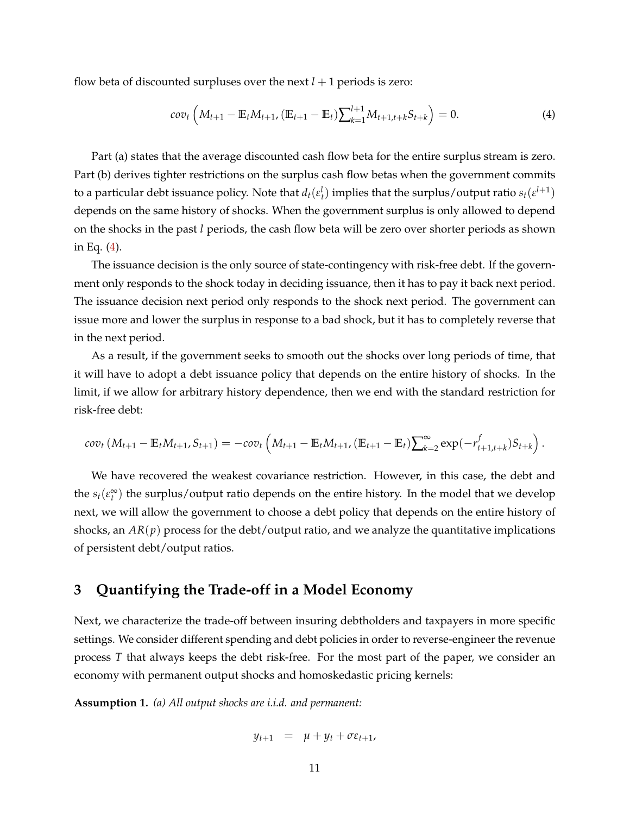flow beta of discounted surpluses over the next  $l + 1$  periods is zero:

<span id="page-11-1"></span>
$$
cov_t\left(M_{t+1}-\mathbb{E}_t M_{t+1}, \left(\mathbb{E}_{t+1}-\mathbb{E}_t\right)\right)\sum_{k=1}^{l+1} M_{t+1,t+k} S_{t+k}\right) = 0. \tag{4}
$$

Part (a) states that the average discounted cash flow beta for the entire surplus stream is zero. Part (b) derives tighter restrictions on the surplus cash flow betas when the government commits to a particular debt issuance policy. Note that  $d_t(e_t^l)$  implies that the surplus/output ratio  $s_t(e^{l+1})$ depends on the same history of shocks. When the government surplus is only allowed to depend on the shocks in the past *l* periods, the cash flow beta will be zero over shorter periods as shown in Eq. [\(4\)](#page-11-1).

The issuance decision is the only source of state-contingency with risk-free debt. If the government only responds to the shock today in deciding issuance, then it has to pay it back next period. The issuance decision next period only responds to the shock next period. The government can issue more and lower the surplus in response to a bad shock, but it has to completely reverse that in the next period.

As a result, if the government seeks to smooth out the shocks over long periods of time, that it will have to adopt a debt issuance policy that depends on the entire history of shocks. In the limit, if we allow for arbitrary history dependence, then we end with the standard restriction for risk-free debt:

$$
cov_t(M_{t+1}-\mathbb{E}_t M_{t+1}, S_{t+1})=-cov_t\left(M_{t+1}-\mathbb{E}_t M_{t+1}, (\mathbb{E}_{t+1}-\mathbb{E}_t)\sum_{k=2}^{\infty} \exp(-r_{t+1,t+k}^f)S_{t+k}\right).
$$

We have recovered the weakest covariance restriction. However, in this case, the debt and the  $s_t(\varepsilon_t^{\infty})$  the surplus/output ratio depends on the entire history. In the model that we develop next, we will allow the government to choose a debt policy that depends on the entire history of shocks, an  $AR(p)$  process for the debt/output ratio, and we analyze the quantitative implications of persistent debt/output ratios.

# <span id="page-11-0"></span>**3 Quantifying the Trade-off in a Model Economy**

Next, we characterize the trade-off between insuring debtholders and taxpayers in more specific settings. We consider different spending and debt policies in order to reverse-engineer the revenue process *T* that always keeps the debt risk-free. For the most part of the paper, we consider an economy with permanent output shocks and homoskedastic pricing kernels:

<span id="page-11-2"></span>**Assumption 1.** *(a) All output shocks are i.i.d. and permanent:*

$$
y_{t+1} = \mu + y_t + \sigma \varepsilon_{t+1},
$$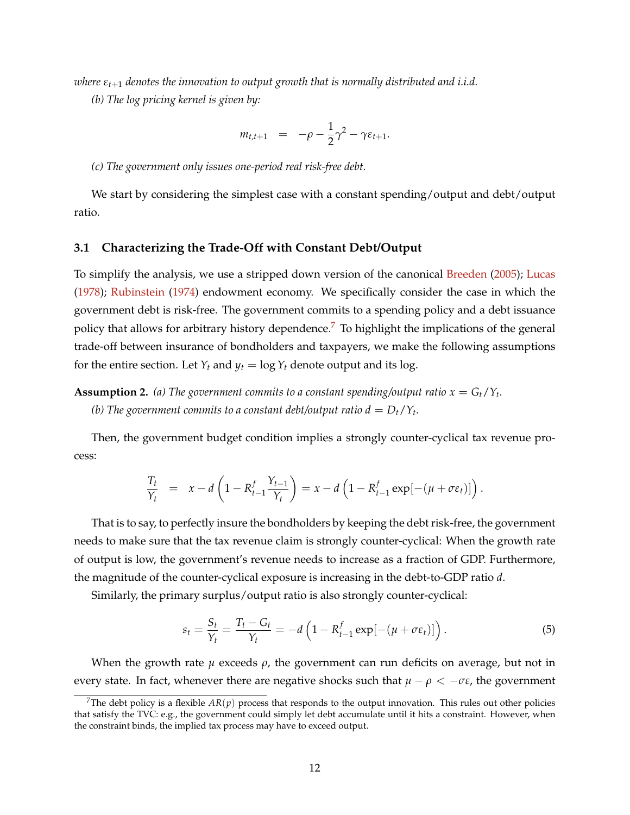*where εt*+<sup>1</sup> *denotes the innovation to output growth that is normally distributed and i.i.d.*

*(b) The log pricing kernel is given by:*

$$
m_{t,t+1} = -\rho - \frac{1}{2}\gamma^2 - \gamma \varepsilon_{t+1}.
$$

#### *(c) The government only issues one-period real risk-free debt.*

We start by considering the simplest case with a constant spending/output and debt/output ratio.

#### **3.1 Characterizing the Trade-Off with Constant Debt/Output**

To simplify the analysis, we use a stripped down version of the canonical [Breeden](#page-42-14) [\(2005\)](#page-42-14); [Lucas](#page-44-14) [\(1978\)](#page-44-14); [Rubinstein](#page-44-15) [\(1974\)](#page-44-15) endowment economy. We specifically consider the case in which the government debt is risk-free. The government commits to a spending policy and a debt issuance policy that allows for arbitrary history dependence.<sup>[7](#page-12-0)</sup> To highlight the implications of the general trade-off between insurance of bondholders and taxpayers, we make the following assumptions for the entire section. Let  $Y_t$  and  $y_t = \log Y_t$  denote output and its log.

<span id="page-12-1"></span>**Assumption 2.** (a) The government commits to a constant spending/output ratio  $x = G_t/Y_t$ . *(b)* The government commits to a constant debt/output ratio  $d = D_t/Y_t$ .

Then, the government budget condition implies a strongly counter-cyclical tax revenue process:

$$
\frac{T_t}{Y_t} = x - d \left( 1 - R_{t-1}^f \frac{Y_{t-1}}{Y_t} \right) = x - d \left( 1 - R_{t-1}^f \exp[-(\mu + \sigma \varepsilon_t)] \right).
$$

That is to say, to perfectly insure the bondholders by keeping the debt risk-free, the government needs to make sure that the tax revenue claim is strongly counter-cyclical: When the growth rate of output is low, the government's revenue needs to increase as a fraction of GDP. Furthermore, the magnitude of the counter-cyclical exposure is increasing in the debt-to-GDP ratio *d*.

Similarly, the primary surplus/output ratio is also strongly counter-cyclical:

<span id="page-12-2"></span>
$$
s_t = \frac{S_t}{Y_t} = \frac{T_t - G_t}{Y_t} = -d\left(1 - R_{t-1}^f \exp[-(\mu + \sigma \varepsilon_t)]\right). \tag{5}
$$

When the growth rate *µ* exceeds *ρ*, the government can run deficits on average, but not in every state. In fact, whenever there are negative shocks such that  $\mu - \rho < -\sigma \varepsilon$ , the government

<span id="page-12-0"></span><sup>&</sup>lt;sup>7</sup>The debt policy is a flexible  $AR(p)$  process that responds to the output innovation. This rules out other policies that satisfy the TVC: e.g., the government could simply let debt accumulate until it hits a constraint. However, when the constraint binds, the implied tax process may have to exceed output.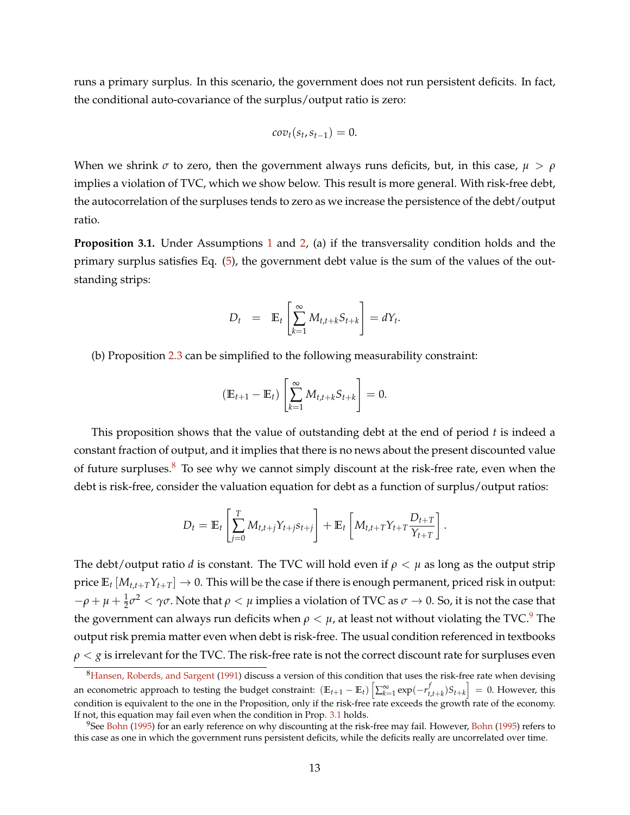runs a primary surplus. In this scenario, the government does not run persistent deficits. In fact, the conditional auto-covariance of the surplus/output ratio is zero:

$$
cov_t(s_t, s_{t-1}) = 0.
$$

When we shrink  $\sigma$  to zero, then the government always runs deficits, but, in this case,  $\mu > \rho$ implies a violation of TVC, which we show below. This result is more general. With risk-free debt, the autocorrelation of the surpluses tends to zero as we increase the persistence of the debt/output ratio.

<span id="page-13-2"></span>**Proposition 3.1.** Under Assumptions [1](#page-11-2) and [2,](#page-12-1) (a) if the transversality condition holds and the primary surplus satisfies Eq. [\(5\)](#page-12-2), the government debt value is the sum of the values of the outstanding strips:

$$
D_t = \mathbb{E}_t \left[ \sum_{k=1}^{\infty} M_{t,t+k} S_{t+k} \right] = dY_t.
$$

(b) Proposition [2.3](#page-10-1) can be simplified to the following measurability constraint:

$$
(\mathbb{E}_{t+1} - \mathbb{E}_t) \left[ \sum_{k=1}^{\infty} M_{t,t+k} S_{t+k} \right] = 0.
$$

This proposition shows that the value of outstanding debt at the end of period *t* is indeed a constant fraction of output, and it implies that there is no news about the present discounted value of future surpluses. $8\degree$  $8\degree$  To see why we cannot simply discount at the risk-free rate, even when the debt is risk-free, consider the valuation equation for debt as a function of surplus/output ratios:

$$
D_t = \mathbb{E}_t \left[ \sum_{j=0}^T M_{t,t+j} Y_{t+j} s_{t+j} \right] + \mathbb{E}_t \left[ M_{t,t+T} Y_{t+T} \frac{D_{t+T}}{Y_{t+T}} \right].
$$

The debt/output ratio *d* is constant. The TVC will hold even if  $\rho < \mu$  as long as the output strip price  $\mathbb{E}_t [M_{t,t+T}Y_{t+T}] \to 0$ . This will be the case if there is enough permanent, priced risk in output:  $−ρ + μ + \frac{1}{2}σ^2 < γ σ$ . Note that  $ρ < μ$  implies a violation of TVC as  $σ → 0$ . So, it is not the case that the government can always run deficits when  $\rho < \mu$ , at least not without violating the TVC.<sup>[9](#page-13-1)</sup> The output risk premia matter even when debt is risk-free. The usual condition referenced in textbooks *ρ* < *g* is irrelevant for the TVC. The risk-free rate is not the correct discount rate for surpluses even

<span id="page-13-0"></span><sup>&</sup>lt;sup>8</sup>[Hansen, Roberds, and Sargent](#page-43-5) [\(1991\)](#page-43-5) discuss a version of this condition that uses the risk-free rate when devising an econometric approach to testing the budget constraint:  $(\mathbb{E}_{t+1} - \mathbb{E}_t) \left[ \sum_{k=1}^{\infty} \exp(-r_{t,t+k}^f) S_{t+k} \right] = 0$ . However, this condition is equivalent to the one in the Proposition, only if the risk-free rate exceeds the growth rate of the economy. If not, this equation may fail even when the condition in Prop. [3.1](#page-13-2) holds.

<span id="page-13-1"></span> $9$ See [Bohn](#page-42-15) [\(1995\)](#page-42-15) for an early reference on why discounting at the risk-free may fail. However, Bohn (1995) refers to this case as one in which the government runs persistent deficits, while the deficits really are uncorrelated over time.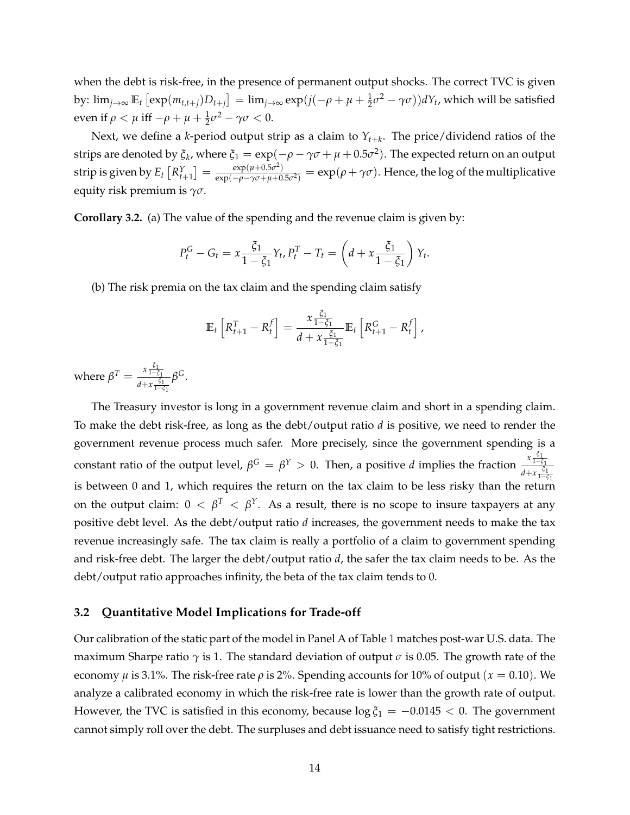when the debt is risk-free, in the presence of permanent output shocks. The correct TVC is given by:  $\lim_{j\to\infty} \mathbb{E}_t\left[\exp(m_{t,t+j})D_{t+j}\right] = \lim_{j\to\infty} \exp(j(-\rho + \mu + \frac{1}{2}\sigma^2 - \gamma\sigma))dY_t$ , which will be satisfied even if  $\rho < \mu$  iff  $-\rho + \mu + \frac{1}{2}\sigma^2 - \gamma\sigma < 0$ .

Next, we define a *k*-period output strip as a claim to *Yt*+*<sup>k</sup>* . The price/dividend ratios of the strips are denoted by  $\xi_k$ , where  $\xi_1=\exp(-\rho-\gamma\sigma+\mu+0.5\sigma^2).$  The expected return on an output  $\text{strip is given by } E_t\left[R_{t+1}^Y\right]=\frac{\exp(\mu+0.5\sigma^2)}{\exp(-\rho-\gamma\sigma+\mu+0.5\sigma^2)}$  $\frac{\exp(\mu+0.5\sigma^2)}{\exp(-\rho-\gamma\sigma+\mu+0.5\sigma^2)} = \exp(\rho+\gamma\sigma)$ . Hence, the log of the multiplicative equity risk premium is *γσ*.

<span id="page-14-0"></span>**Corollary 3.2.** (a) The value of the spending and the revenue claim is given by:

$$
P_t^G - G_t = x \frac{\xi_1}{1 - \xi_1} Y_t, P_t^T - T_t = \left( d + x \frac{\xi_1}{1 - \xi_1} \right) Y_t.
$$

(b) The risk premia on the tax claim and the spending claim satisfy

$$
\mathbb{E}_t\left[R_{t+1}^T - R_t^f\right] = \frac{x \frac{\xi_1}{1-\xi_1}}{d + x \frac{\xi_1}{1-\xi_1}} \mathbb{E}_t\left[R_{t+1}^G - R_t^f\right],
$$

where  $\beta^T = \frac{x \frac{\xi_1}{1-\xi_1}}{4+x \frac{\xi_1}{\xi_1}}$ *d*+ $x \frac{\zeta_1}{1-\zeta_1}$ *β G*.

The Treasury investor is long in a government revenue claim and short in a spending claim. To make the debt risk-free, as long as the debt/output ratio *d* is positive, we need to render the government revenue process much safer. More precisely, since the government spending is a constant ratio of the output level,  $\beta^G = \beta^Y > 0$ . Then, a positive *d* implies the fraction  $\frac{x \frac{c_1}{1-c_1^2}}{x \frac{c_1^2}{1-c_1^2}}$ *d*+*x*<sup> $\frac{ξ_1}{1−ξ_1}$ </sup> is between 0 and 1, which requires the return on the tax claim to be less risky than the return on the output claim:  $0 < \beta^T < \beta^\text{Y}$ . As a result, there is no scope to insure taxpayers at any positive debt level. As the debt/output ratio *d* increases, the government needs to make the tax revenue increasingly safe. The tax claim is really a portfolio of a claim to government spending and risk-free debt. The larger the debt/output ratio *d*, the safer the tax claim needs to be. As the debt/output ratio approaches infinity, the beta of the tax claim tends to 0.

#### **3.2 Quantitative Model Implications for Trade-off**

Our calibration of the static part of the model in Panel A of Table [1](#page-15-0) matches post-war U.S. data. The maximum Sharpe ratio  $\gamma$  is 1. The standard deviation of output  $\sigma$  is 0.05. The growth rate of the economy *μ* is 3.1%. The risk-free rate *ρ* is 2%. Spending accounts for 10% of output ( $x = 0.10$ ). We analyze a calibrated economy in which the risk-free rate is lower than the growth rate of output. However, the TVC is satisfied in this economy, because  $\log \xi_1 = -0.0145 < 0$ . The government cannot simply roll over the debt. The surpluses and debt issuance need to satisfy tight restrictions.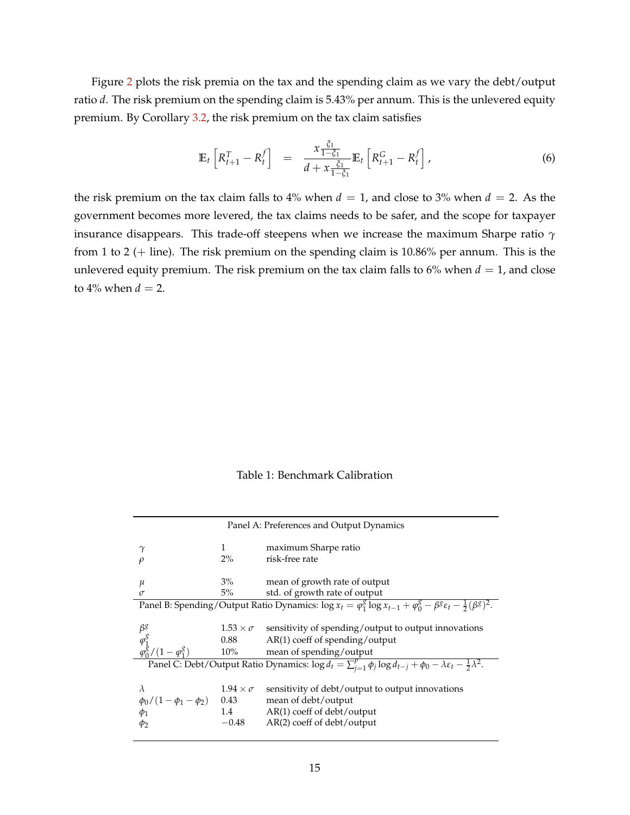Figure [2](#page-16-0) plots the risk premia on the tax and the spending claim as we vary the debt/output ratio *d*. The risk premium on the spending claim is 5.43% per annum. This is the unlevered equity premium. By Corollary [3.2,](#page-14-0) the risk premium on the tax claim satisfies

$$
\mathbb{E}_{t}\left[R_{t+1}^{T}-R_{t}^{f}\right] = \frac{x \frac{\xi_{1}}{1-\xi_{1}}}{d+x \frac{\xi_{1}}{1-\xi_{1}}} \mathbb{E}_{t}\left[R_{t+1}^{G}-R_{t}^{f}\right],
$$
\n(6)

the risk premium on the tax claim falls to 4% when  $d = 1$ , and close to 3% when  $d = 2$ . As the government becomes more levered, the tax claims needs to be safer, and the scope for taxpayer insurance disappears. This trade-off steepens when we increase the maximum Sharpe ratio *γ* from 1 to 2 ( $+$  line). The risk premium on the spending claim is 10.86% per annum. This is the unlevered equity premium. The risk premium on the tax claim falls to  $6\%$  when  $d = 1$ , and close to  $4\%$  when  $d = 2$ .

Table 1: Benchmark Calibration

<span id="page-15-0"></span>

| Panel A: Preferences and Output Dynamics                                                                                                         |                                                |                                                                                                                                       |  |  |  |  |  |
|--------------------------------------------------------------------------------------------------------------------------------------------------|------------------------------------------------|---------------------------------------------------------------------------------------------------------------------------------------|--|--|--|--|--|
| $\gamma$                                                                                                                                         | 1                                              | maximum Sharpe ratio                                                                                                                  |  |  |  |  |  |
| $\rho$                                                                                                                                           | $2\%$                                          | risk-free rate                                                                                                                        |  |  |  |  |  |
|                                                                                                                                                  | $3\%$                                          |                                                                                                                                       |  |  |  |  |  |
| $\mu$<br>$\sigma$                                                                                                                                | $5\%$                                          | mean of growth rate of output<br>std. of growth rate of output                                                                        |  |  |  |  |  |
|                                                                                                                                                  |                                                |                                                                                                                                       |  |  |  |  |  |
| Panel B: Spending/Output Ratio Dynamics: $\log x_t = \varphi_1^g \log x_{t-1} + \varphi_0^g - \beta^g \varepsilon_t - \frac{1}{2} (\beta^g)^2$ . |                                                |                                                                                                                                       |  |  |  |  |  |
|                                                                                                                                                  |                                                |                                                                                                                                       |  |  |  |  |  |
| $\beta^g$                                                                                                                                        |                                                | $1.53 \times \sigma$ sensitivity of spending/output to output innovations                                                             |  |  |  |  |  |
| $\varphi_{1}^{g}$<br>$\varphi_{0}^{g}/(1-\varphi_{1}^{g})$                                                                                       |                                                | 0.88 AR(1) coeff of spending/output                                                                                                   |  |  |  |  |  |
|                                                                                                                                                  |                                                | 10% mean of spending/output                                                                                                           |  |  |  |  |  |
| Panel C: Debt/Output Ratio Dynamics: $\log d_t = \sum_{i=1}^p \phi_i \log d_{t-i} + \phi_0 - \lambda \varepsilon_t - \frac{1}{2} \lambda^2$ .    |                                                |                                                                                                                                       |  |  |  |  |  |
| $\lambda$<br>$\frac{\phi_0}{1-\phi_1-\phi_2}$<br>$\phi_1$<br>Φ2                                                                                  | $1.94 \times \sigma$<br>0.43<br>1.4<br>$-0.48$ | sensitivity of debt/output to output innovations<br>mean of debt/output<br>$AR(1)$ coeff of debt/output<br>AR(2) coeff of debt/output |  |  |  |  |  |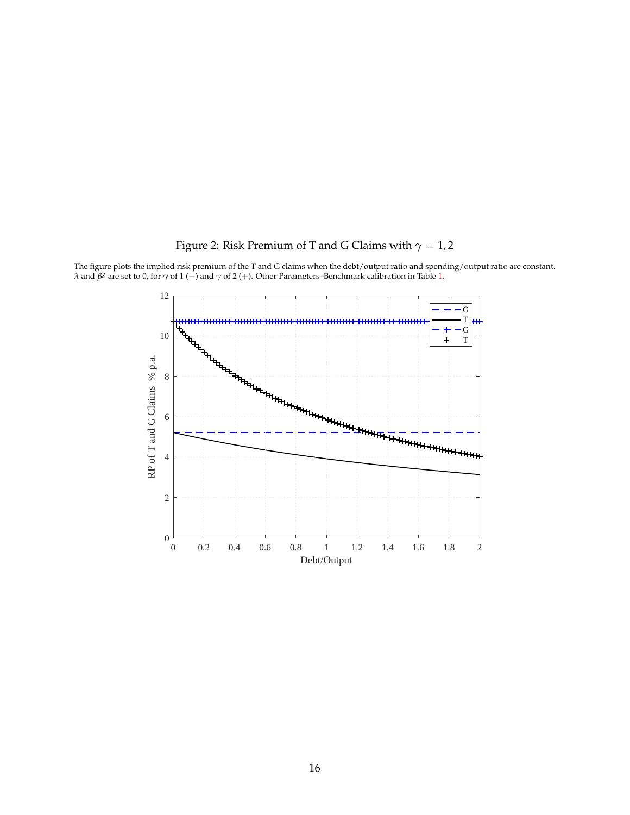# Figure 2: Risk Premium of T and G Claims with  $\gamma=1,2$



<span id="page-16-0"></span>The figure plots the implied risk premium of the T and G claims when the debt/output ratio and spending/output ratio are constant. *λ* and *β<sup>g</sup>* are set to 0, for *γ* of 1 (−) and *γ* of 2 (+). Other Parameters–Benchmark calibration in Table [1.](#page-15-0)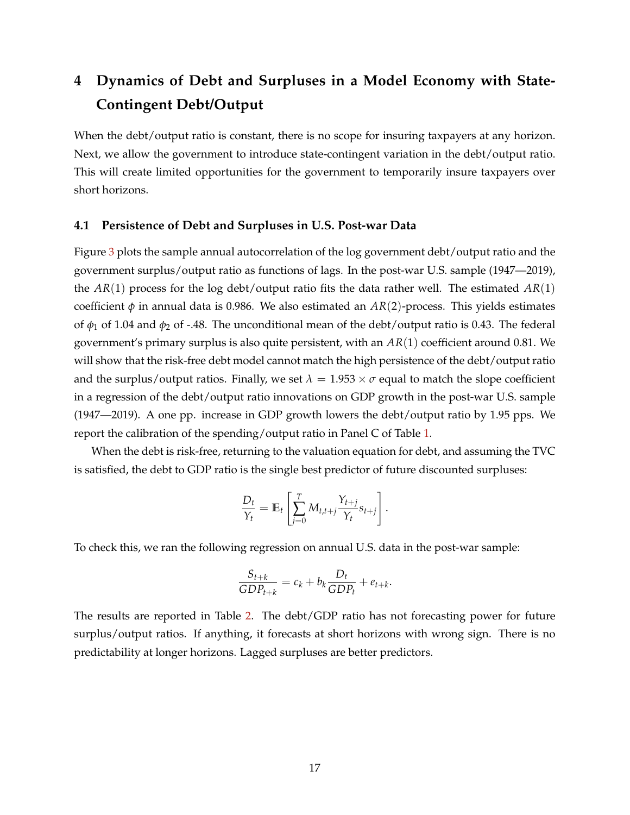# <span id="page-17-0"></span>**4 Dynamics of Debt and Surpluses in a Model Economy with State-Contingent Debt/Output**

When the debt/output ratio is constant, there is no scope for insuring taxpayers at any horizon. Next, we allow the government to introduce state-contingent variation in the debt/output ratio. This will create limited opportunities for the government to temporarily insure taxpayers over short horizons.

#### **4.1 Persistence of Debt and Surpluses in U.S. Post-war Data**

Figure [3](#page-18-0) plots the sample annual autocorrelation of the log government debt/output ratio and the government surplus/output ratio as functions of lags. In the post-war U.S. sample (1947—2019), the *AR*(1) process for the log debt/output ratio fits the data rather well. The estimated *AR*(1) coefficient  $\phi$  in annual data is 0.986. We also estimated an  $AR(2)$ -process. This yields estimates of  $\phi_1$  of 1.04 and  $\phi_2$  of -.48. The unconditional mean of the debt/output ratio is 0.43. The federal government's primary surplus is also quite persistent, with an *AR*(1) coefficient around 0.81. We will show that the risk-free debt model cannot match the high persistence of the debt/output ratio and the surplus/output ratios. Finally, we set  $\lambda = 1.953 \times \sigma$  equal to match the slope coefficient in a regression of the debt/output ratio innovations on GDP growth in the post-war U.S. sample (1947—2019). A one pp. increase in GDP growth lowers the debt/output ratio by 1.95 pps. We report the calibration of the spending/output ratio in Panel C of Table [1.](#page-15-0)

When the debt is risk-free, returning to the valuation equation for debt, and assuming the TVC is satisfied, the debt to GDP ratio is the single best predictor of future discounted surpluses:

$$
\frac{D_t}{Y_t} = \mathbb{E}_t \left[ \sum_{j=0}^T M_{t,t+j} \frac{Y_{t+j}}{Y_t} s_{t+j} \right].
$$

To check this, we ran the following regression on annual U.S. data in the post-war sample:

$$
\frac{S_{t+k}}{GDP_{t+k}} = c_k + b_k \frac{D_t}{GDP_t} + e_{t+k}.
$$

The results are reported in Table [2.](#page-19-0) The debt/GDP ratio has not forecasting power for future surplus/output ratios. If anything, it forecasts at short horizons with wrong sign. There is no predictability at longer horizons. Lagged surpluses are better predictors.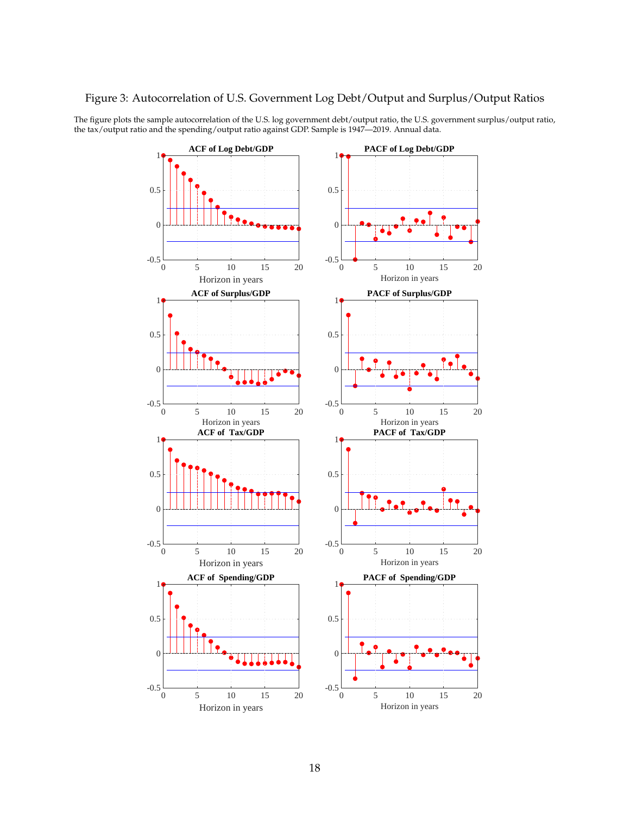#### <span id="page-18-0"></span>Figure 3: Autocorrelation of U.S. Government Log Debt/Output and Surplus/Output Ratios

The figure plots the sample autocorrelation of the U.S. log government debt/output ratio, the U.S. government surplus/output ratio, the tax/output ratio and the spending/output ratio against GDP. Sample is 1947—2019. Annual data.

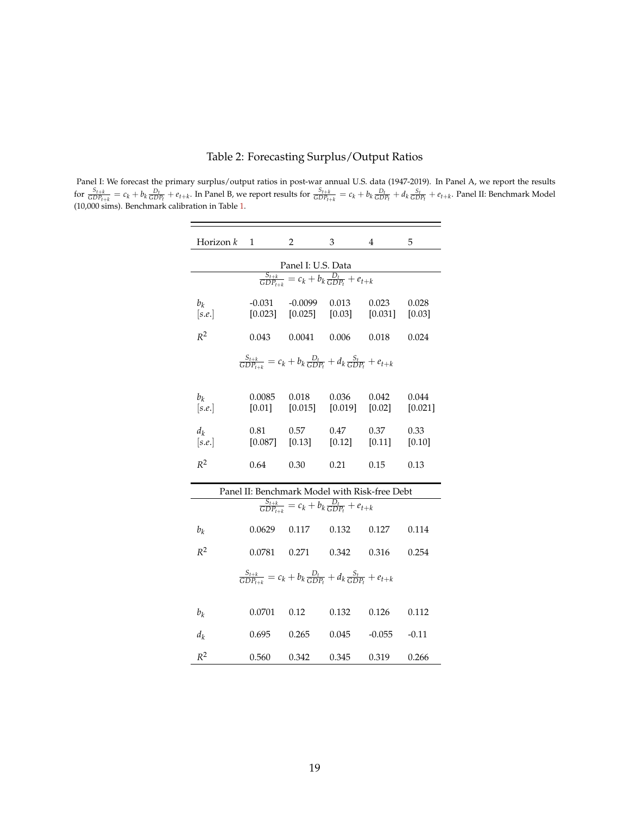|  |  | Table 2: Forecasting Surplus/Output Ratios |  |  |  |  |
|--|--|--------------------------------------------|--|--|--|--|
|--|--|--------------------------------------------|--|--|--|--|

<span id="page-19-0"></span>Panel I: We forecast the primary surplus/output ratios in post-war annual U.S. data (1947-2019). In Panel A, we report the results for  $\frac{S_{t+k}}{GDP_{t+k}} = c_k + b_k \frac{D_t}{GDP_t} + e_{t+k}$ . In Panel B, we report results for  $\frac{S_{t+k}}{GDP_{t+k}} = c_k + b_k \frac{D_t}{GDP_t} + d_k \frac{S_t}{GDP_t} + e_{t+k}$ . Panel II: Benchmark Model (10,000 sims). Benchmark calibration in Table [1.](#page-15-0)

 $\equiv$ 

| Horizon k                                                                                   | $\sim$ 1 $\sim$ $\sim$ | 2                                                                    | 3     | 4      | 5       |  |  |  |  |
|---------------------------------------------------------------------------------------------|------------------------|----------------------------------------------------------------------|-------|--------|---------|--|--|--|--|
| Panel I: U.S. Data                                                                          |                        |                                                                      |       |        |         |  |  |  |  |
| $\frac{S_{t+k}}{\text{GDP}_{t+k}} = c_k + b_k \frac{D_t}{\text{GDP}_{t}} + e_{t+k}$         |                        |                                                                      |       |        |         |  |  |  |  |
| $b_k$<br>[s.e.]                                                                             |                        | $-0.031 - 0.0099$<br>$[0.023]$ $[0.025]$ $[0.03]$ $[0.031]$ $[0.03]$ | 0.013 | 0.023  | 0.028   |  |  |  |  |
| $R^2$                                                                                       | 0.043                  | 0.0041                                                               | 0.006 | 0.018  | 0.024   |  |  |  |  |
| $\frac{S_{t+k}}{GDP_{t+k}} = c_k + b_k \frac{D_t}{GDP_t} + d_k \frac{S_t}{GDP_t} + e_{t+k}$ |                        |                                                                      |       |        |         |  |  |  |  |
| $b_k$<br>[s.e.]                                                                             | 0.0085                 | 0.018<br>$[0.01]$ $[0.015]$ $[0.019]$ $[0.02]$ $[0.021]$             | 0.036 | 0.042  | 0.044   |  |  |  |  |
| $d_k$<br>[s.e.]                                                                             | 0.81                   | 0.57<br>$[0.087]$ $[0.13]$ $[0.12]$ $[0.11]$ $[0.10]$                | 0.47  | 0.37   | 0.33    |  |  |  |  |
| $R^2$                                                                                       | 0.64                   | 0.30                                                                 | 0.21  | 0.15   | 0.13    |  |  |  |  |
| Panel II: Benchmark Model with Risk-free Debt                                               |                        |                                                                      |       |        |         |  |  |  |  |
| $\frac{S_{t+k}}{\text{GDP}_{t+k}} = c_k + b_k \frac{D_t}{\text{GDP}_{t}} + e_{t+k}$         |                        |                                                                      |       |        |         |  |  |  |  |
| $b_k$                                                                                       | $0.0629$ 0.117         |                                                                      | 0.132 | 0.127  | 0.114   |  |  |  |  |
| $R^2$                                                                                       | 0.0781 0.271           |                                                                      | 0.342 | 0.316  | 0.254   |  |  |  |  |
| $\frac{S_{t+k}}{GDP_{t+k}} = c_k + b_k \frac{D_t}{GDP_t} + d_k \frac{S_t}{GDP_t} + e_{t+k}$ |                        |                                                                      |       |        |         |  |  |  |  |
| $b_k$                                                                                       | 0.0701                 | 0.12                                                                 | 0.132 | 0.126  | 0.112   |  |  |  |  |
| $d_k$                                                                                       | 0.695                  | 0.265                                                                | 0.045 | -0.055 | $-0.11$ |  |  |  |  |
| $R^2$                                                                                       | 0.560                  | 0.342                                                                | 0.345 | 0.319  | 0.266   |  |  |  |  |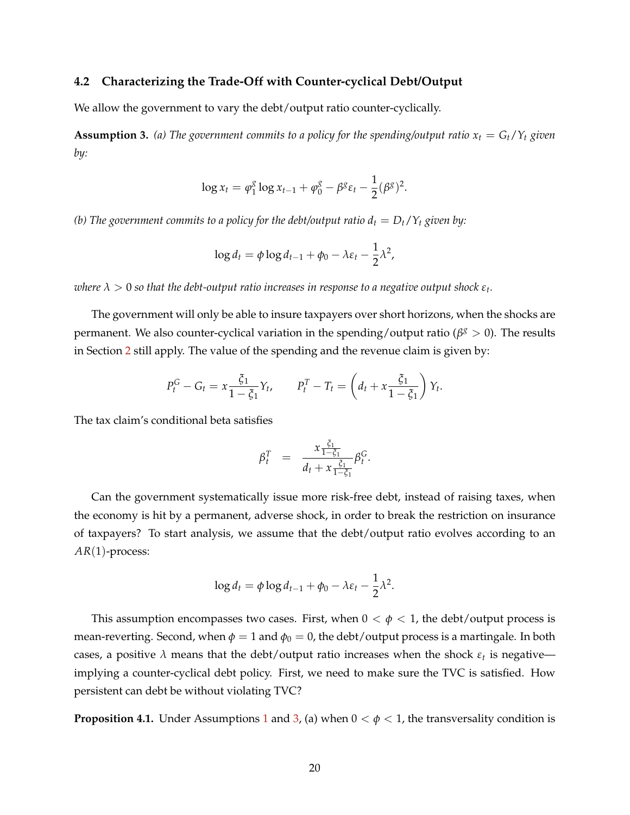#### **4.2 Characterizing the Trade-Off with Counter-cyclical Debt/Output**

We allow the government to vary the debt/output ratio counter-cyclically.

<span id="page-20-0"></span>**Assumption 3.** (a) The government commits to a policy for the spending/output ratio  $x_t = G_t/Y_t$  given *by:*

$$
\log x_t = \varphi_1^g \log x_{t-1} + \varphi_0^g - \beta^g \varepsilon_t - \frac{1}{2} (\beta^g)^2.
$$

*(b)* The government commits to a policy for the debt/output ratio  $d_t = D_t/Y_t$  given by:

$$
\log d_t = \phi \log d_{t-1} + \phi_0 - \lambda \varepsilon_t - \frac{1}{2} \lambda^2,
$$

 $\alpha$  *λ*  $>$  0 so that the debt-output ratio increases in response to a negative output shock  $\varepsilon_t$ .

The government will only be able to insure taxpayers over short horizons, when the shocks are permanent. We also counter-cyclical variation in the spending/output ratio (β<sup>*g*</sup> > 0). The results in Section [2](#page-7-0) still apply. The value of the spending and the revenue claim is given by:

$$
P_t^G - G_t = x \frac{\xi_1}{1 - \xi_1} Y_t, \qquad P_t^T - T_t = \left(d_t + x \frac{\xi_1}{1 - \xi_1}\right) Y_t.
$$

The tax claim's conditional beta satisfies

$$
\beta_t^T = \frac{x_{\frac{\xi_1}{1-\xi_1}}}{d_t + x_{\frac{\xi_1}{1-\xi_1}}} \beta_t^G.
$$

Can the government systematically issue more risk-free debt, instead of raising taxes, when the economy is hit by a permanent, adverse shock, in order to break the restriction on insurance of taxpayers? To start analysis, we assume that the debt/output ratio evolves according to an *AR*(1)-process:

$$
\log d_t = \phi \log d_{t-1} + \phi_0 - \lambda \varepsilon_t - \frac{1}{2} \lambda^2.
$$

This assumption encompasses two cases. First, when  $0 < \phi < 1$ , the debt/output process is mean-reverting. Second, when  $\phi = 1$  and  $\phi_0 = 0$ , the debt/output process is a martingale. In both cases, a positive  $\lambda$  means that the debt/output ratio increases when the shock  $\varepsilon_t$  is negative implying a counter-cyclical debt policy. First, we need to make sure the TVC is satisfied. How persistent can debt be without violating TVC?

<span id="page-20-1"></span>**Proposition 4.[1](#page-11-2).** Under Assumptions 1 and [3,](#page-20-0) (a) when  $0 < \phi < 1$ , the transversality condition is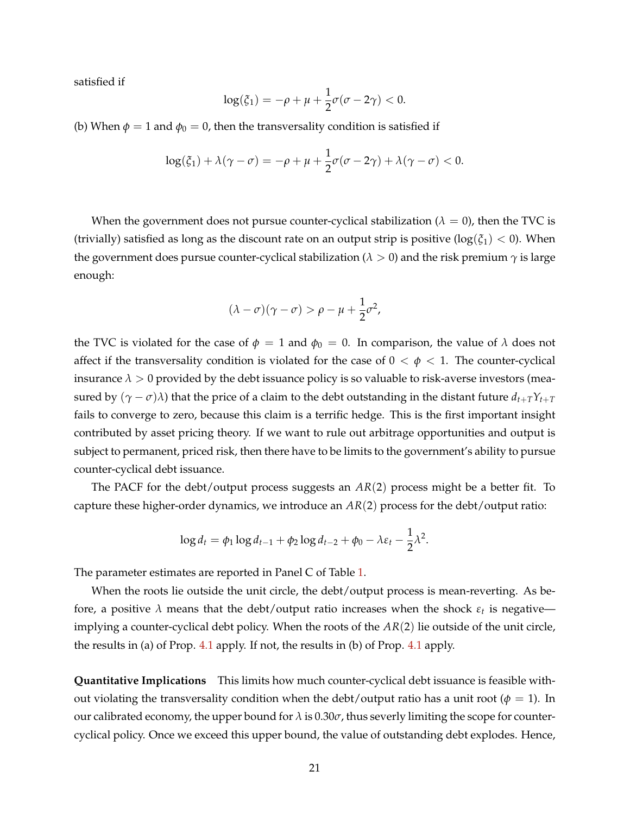satisfied if

$$
\log(\xi_1) = -\rho + \mu + \frac{1}{2}\sigma(\sigma - 2\gamma) < 0.
$$

(b) When  $\phi = 1$  and  $\phi_0 = 0$ , then the transversality condition is satisfied if

$$
\log(\xi_1) + \lambda(\gamma - \sigma) = -\rho + \mu + \frac{1}{2}\sigma(\sigma - 2\gamma) + \lambda(\gamma - \sigma) < 0.
$$

When the government does not pursue counter-cyclical stabilization ( $\lambda = 0$ ), then the TVC is (trivially) satisfied as long as the discount rate on an output strip is positive ( $log(\xi_1) < 0$ ). When the government does pursue counter-cyclical stabilization ( $\lambda > 0$ ) and the risk premium  $\gamma$  is large enough:

$$
(\lambda - \sigma)(\gamma - \sigma) > \rho - \mu + \frac{1}{2}\sigma^2,
$$

the TVC is violated for the case of  $\phi = 1$  and  $\phi_0 = 0$ . In comparison, the value of  $\lambda$  does not affect if the transversality condition is violated for the case of  $0 < \phi < 1$ . The counter-cyclical insurance  $\lambda > 0$  provided by the debt issuance policy is so valuable to risk-averse investors (measured by  $(\gamma - \sigma)\lambda$ ) that the price of a claim to the debt outstanding in the distant future  $d_{t+T}Y_{t+T}$ fails to converge to zero, because this claim is a terrific hedge. This is the first important insight contributed by asset pricing theory. If we want to rule out arbitrage opportunities and output is subject to permanent, priced risk, then there have to be limits to the government's ability to pursue counter-cyclical debt issuance.

The PACF for the debt/output process suggests an *AR*(2) process might be a better fit. To capture these higher-order dynamics, we introduce an *AR*(2) process for the debt/output ratio:

$$
\log d_t = \phi_1 \log d_{t-1} + \phi_2 \log d_{t-2} + \phi_0 - \lambda \varepsilon_t - \frac{1}{2} \lambda^2.
$$

The parameter estimates are reported in Panel C of Table [1.](#page-15-0)

When the roots lie outside the unit circle, the debt/output process is mean-reverting. As before, a positive  $\lambda$  means that the debt/output ratio increases when the shock  $\varepsilon_t$  is negative implying a counter-cyclical debt policy. When the roots of the *AR*(2) lie outside of the unit circle, the results in (a) of Prop. [4.1](#page-20-1) apply. If not, the results in (b) of Prop. [4.1](#page-20-1) apply.

**Quantitative Implications** This limits how much counter-cyclical debt issuance is feasible without violating the transversality condition when the debt/output ratio has a unit root ( $\phi = 1$ ). In our calibrated economy, the upper bound for  $\lambda$  is 0.30 $\sigma$ , thus severly limiting the scope for countercyclical policy. Once we exceed this upper bound, the value of outstanding debt explodes. Hence,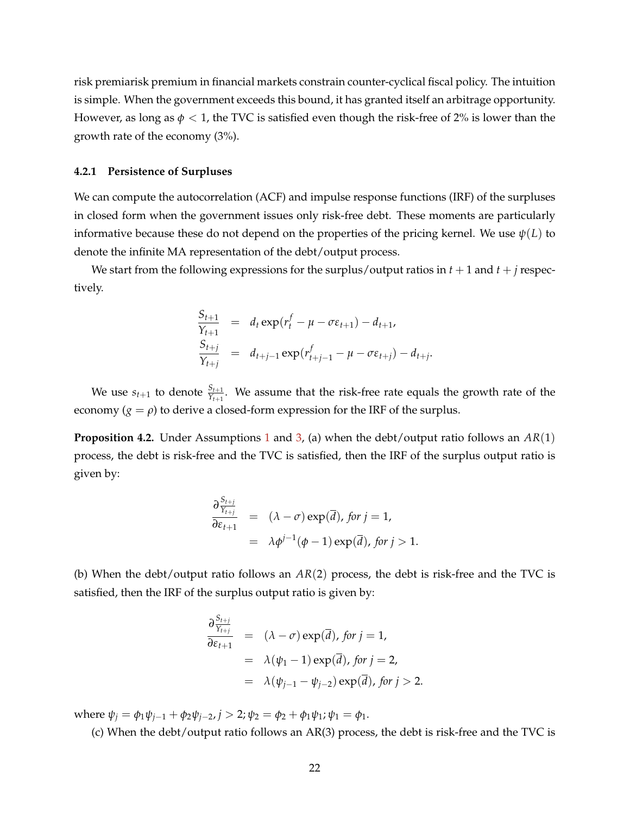risk premiarisk premium in financial markets constrain counter-cyclical fiscal policy. The intuition is simple. When the government exceeds this bound, it has granted itself an arbitrage opportunity. However, as long as  $\phi$  < 1, the TVC is satisfied even though the risk-free of 2% is lower than the growth rate of the economy (3%).

#### **4.2.1 Persistence of Surpluses**

We can compute the autocorrelation (ACF) and impulse response functions (IRF) of the surpluses in closed form when the government issues only risk-free debt. These moments are particularly informative because these do not depend on the properties of the pricing kernel. We use  $\psi(L)$  to denote the infinite MA representation of the debt/output process.

We start from the following expressions for the surplus/output ratios in  $t + 1$  and  $t + j$  respectively.

$$
\frac{S_{t+1}}{Y_{t+1}} = d_t \exp(r_t^f - \mu - \sigma \varepsilon_{t+1}) - d_{t+1},
$$
  
\n
$$
\frac{S_{t+j}}{Y_{t+j}} = d_{t+j-1} \exp(r_{t+j-1}^f - \mu - \sigma \varepsilon_{t+j}) - d_{t+j}.
$$

We use  $s_{t+1}$  to denote  $\frac{S_{t+1}}{Y_{t+1}}$ . We assume that the risk-free rate equals the growth rate of the economy  $(g = \rho)$  to derive a closed-form expression for the IRF of the surplus.

<span id="page-22-0"></span>**Proposition 4.2.** Under Assumptions [1](#page-11-2) and [3,](#page-20-0) (a) when the debt/output ratio follows an *AR*(1) process, the debt is risk-free and the TVC is satisfied, then the IRF of the surplus output ratio is given by:

$$
\frac{\partial \frac{S_{t+j}}{Y_{t+j}}}{\partial \varepsilon_{t+1}} = (\lambda - \sigma) \exp(\overline{d}), \text{ for } j = 1,
$$
  
=  $\lambda \phi^{j-1}(\phi - 1) \exp(\overline{d}), \text{ for } j > 1.$ 

(b) When the debt/output ratio follows an *AR*(2) process, the debt is risk-free and the TVC is satisfied, then the IRF of the surplus output ratio is given by:

$$
\frac{\partial \frac{S_{t+j}}{Y_{t+j}}}{\partial \varepsilon_{t+1}} = (\lambda - \sigma) \exp(\overline{d}), \text{ for } j = 1,
$$
  
\n
$$
= \lambda(\psi_1 - 1) \exp(\overline{d}), \text{ for } j = 2,
$$
  
\n
$$
= \lambda(\psi_{j-1} - \psi_{j-2}) \exp(\overline{d}), \text{ for } j > 2.
$$

where  $\psi_j = \phi_1 \psi_{j-1} + \phi_2 \psi_{j-2}, j > 2; \psi_2 = \phi_2 + \phi_1 \psi_1; \psi_1 = \phi_1.$ 

(c) When the debt/output ratio follows an AR(3) process, the debt is risk-free and the TVC is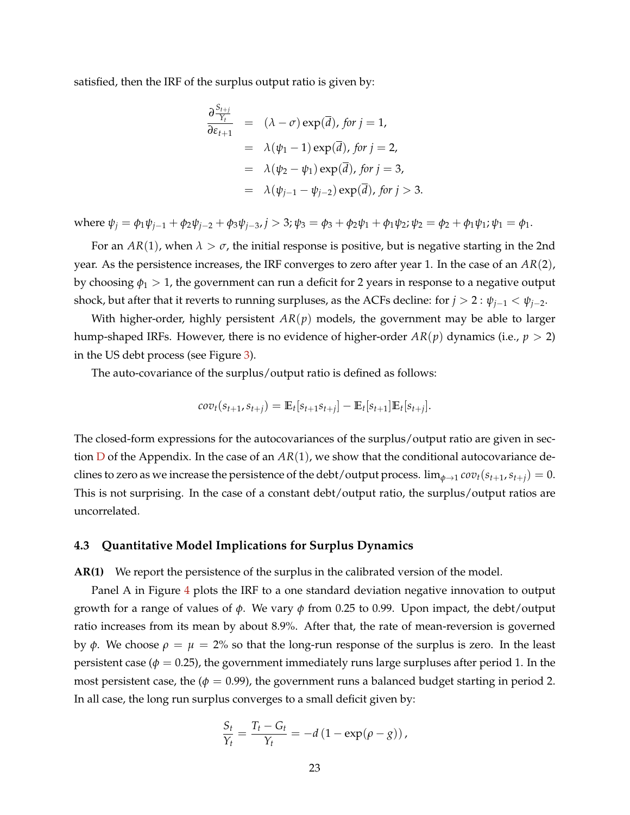satisfied, then the IRF of the surplus output ratio is given by:

$$
\frac{\partial \frac{S_{t+j}}{Y_t}}{\partial \varepsilon_{t+1}} = (\lambda - \sigma) \exp(\overline{d}), \text{ for } j = 1,
$$
  
\n
$$
= \lambda(\psi_1 - 1) \exp(\overline{d}), \text{ for } j = 2,
$$
  
\n
$$
= \lambda(\psi_2 - \psi_1) \exp(\overline{d}), \text{ for } j = 3,
$$
  
\n
$$
= \lambda(\psi_{j-1} - \psi_{j-2}) \exp(\overline{d}), \text{ for } j > 3.
$$

where  $\psi_j = \phi_1 \psi_{j-1} + \phi_2 \psi_{j-2} + \phi_3 \psi_{j-3}$ ,  $j > 3$ ;  $\psi_3 = \phi_3 + \phi_2 \psi_1 + \phi_1 \psi_2$ ;  $\psi_2 = \phi_2 + \phi_1 \psi_1$ ;  $\psi_1 = \phi_1$ .

For an  $AR(1)$ , when  $\lambda > \sigma$ , the initial response is positive, but is negative starting in the 2nd year. As the persistence increases, the IRF converges to zero after year 1. In the case of an *AR*(2), by choosing *φ*<sup>1</sup> > 1, the government can run a deficit for 2 years in response to a negative output shock, but after that it reverts to running surpluses, as the ACFs decline: for  $j > 2$ :  $\psi_{j-1} < \psi_{j-2}$ .

With higher-order, highly persistent *AR*(*p*) models, the government may be able to larger hump-shaped IRFs. However, there is no evidence of higher-order  $AR(p)$  dynamics (i.e.,  $p > 2$ ) in the US debt process (see Figure [3\)](#page-18-0).

The auto-covariance of the surplus/output ratio is defined as follows:

$$
cov_t(s_{t+1}, s_{t+j}) = \mathbb{E}_t[s_{t+1} s_{t+j}] - \mathbb{E}_t[s_{t+1}] \mathbb{E}_t[s_{t+j}].
$$

The closed-form expressions for the autocovariances of the surplus/output ratio are given in section [D](#page-53-0) of the Appendix. In the case of an *AR*(1), we show that the conditional autocovariance declines to zero as we increase the persistence of the debt/output process.  $\lim_{\phi \to 1} cov_t(s_{t+1}, s_{t+j}) = 0$ . This is not surprising. In the case of a constant debt/output ratio, the surplus/output ratios are uncorrelated.

#### **4.3 Quantitative Model Implications for Surplus Dynamics**

**AR(1)** We report the persistence of the surplus in the calibrated version of the model.

Panel A in Figure [4](#page-24-0) plots the IRF to a one standard deviation negative innovation to output growth for a range of values of *φ*. We vary *φ* from 0.25 to 0.99. Upon impact, the debt/output ratio increases from its mean by about 8.9%. After that, the rate of mean-reversion is governed by *φ*. We choose  $ρ = μ = 2%$  so that the long-run response of the surplus is zero. In the least persistent case ( $\phi = 0.25$ ), the government immediately runs large surpluses after period 1. In the most persistent case, the ( $\phi = 0.99$ ), the government runs a balanced budget starting in period 2. In all case, the long run surplus converges to a small deficit given by:

$$
\frac{S_t}{Y_t} = \frac{T_t - G_t}{Y_t} = -d\left(1 - \exp(\rho - g)\right),
$$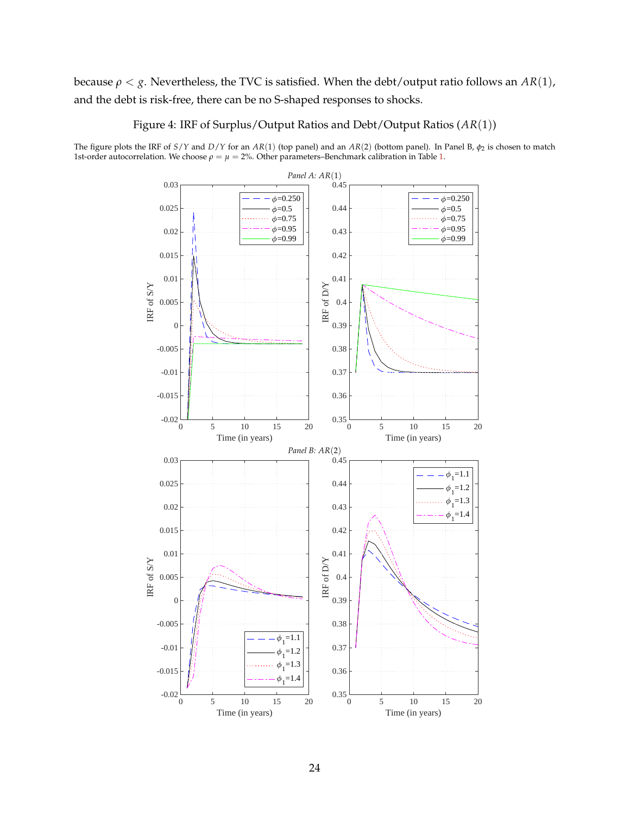# because  $\rho < g$ . Nevertheless, the TVC is satisfied. When the debt/output ratio follows an  $AR(1)$ , and the debt is risk-free, there can be no S-shaped responses to shocks.

Figure 4: IRF of Surplus/Output Ratios and Debt/Output Ratios (*AR*(1))

<span id="page-24-0"></span>The figure plots the IRF of *S*/*Y* and *D*/*Y* for an *AR*(1) (top panel) and an *AR*(2) (bottom panel). In Panel B, *φ*<sup>2</sup> is chosen to match 1st-order autocorrelation. We choose *ρ* = *µ* = 2%. Other parameters–Benchmark calibration in Table [1.](#page-15-0)

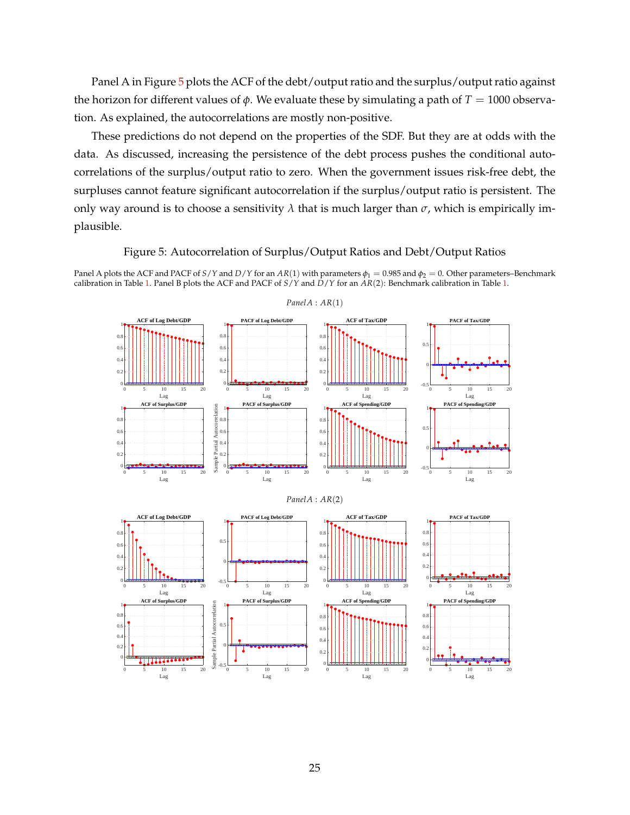Panel A in Figure [5](#page-25-0) plots the ACF of the debt/output ratio and the surplus/output ratio against the horizon for different values of φ. We evaluate these by simulating a path of  $T = 1000$  observation. As explained, the autocorrelations are mostly non-positive.

These predictions do not depend on the properties of the SDF. But they are at odds with the data. As discussed, increasing the persistence of the debt process pushes the conditional autocorrelations of the surplus/output ratio to zero. When the government issues risk-free debt, the surpluses cannot feature significant autocorrelation if the surplus/output ratio is persistent. The only way around is to choose a sensitivity  $\lambda$  that is much larger than  $\sigma$ , which is empirically implausible.

#### Figure 5: Autocorrelation of Surplus/Output Ratios and Debt/Output Ratios

<span id="page-25-0"></span>Panel A plots the ACF and PACF of *S*/*Y* and *D*/*Y* for an *AR*(1) with parameters  $\phi_1 = 0.985$  and  $\phi_2 = 0$ . Other parameters–Benchmark calibration in Table [1.](#page-15-0) Panel B plots the ACF and PACF of *S*/*Y* and *D*/*Y* for an *AR*(2): Benchmark calibration in Table [1.](#page-15-0)



#### *PanelA* : *AR*(1)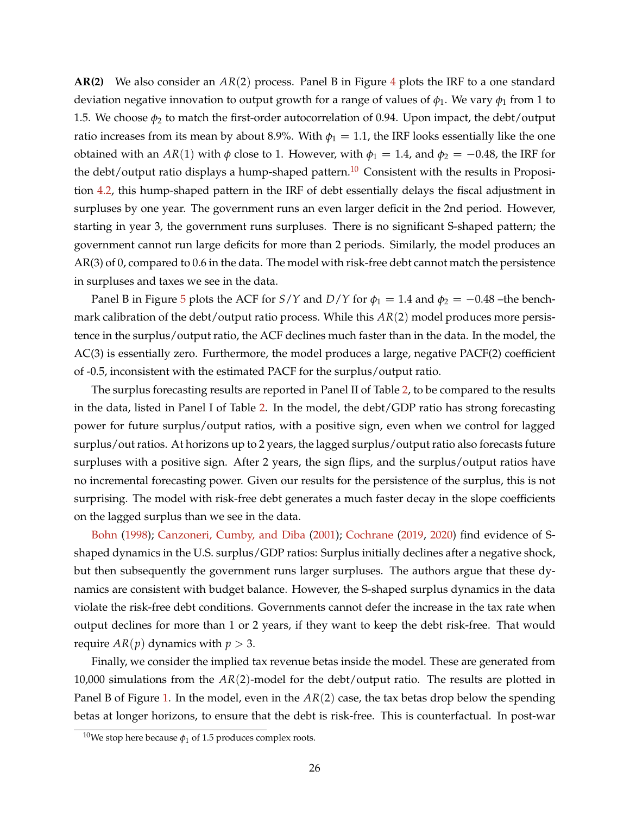**AR(2)** We also consider an *AR*(2) process. Panel B in Figure [4](#page-24-0) plots the IRF to a one standard deviation negative innovation to output growth for a range of values of  $\phi_1$ . We vary  $\phi_1$  from 1 to 1.5. We choose  $\phi_2$  to match the first-order autocorrelation of 0.94. Upon impact, the debt/output ratio increases from its mean by about 8.9%. With  $\phi_1 = 1.1$ , the IRF looks essentially like the one obtained with an  $AR(1)$  with  $\phi$  close to 1. However, with  $\phi_1 = 1.4$ , and  $\phi_2 = -0.48$ , the IRF for the debt/output ratio displays a hump-shaped pattern.<sup>[10](#page-26-0)</sup> Consistent with the results in Proposition [4.2,](#page-22-0) this hump-shaped pattern in the IRF of debt essentially delays the fiscal adjustment in surpluses by one year. The government runs an even larger deficit in the 2nd period. However, starting in year 3, the government runs surpluses. There is no significant S-shaped pattern; the government cannot run large deficits for more than 2 periods. Similarly, the model produces an AR(3) of 0, compared to 0.6 in the data. The model with risk-free debt cannot match the persistence in surpluses and taxes we see in the data.

Panel B in Figure [5](#page-25-0) plots the ACF for *S*/*Y* and *D*/*Y* for  $\phi_1 = 1.4$  and  $\phi_2 = -0.48$  –the benchmark calibration of the debt/output ratio process. While this *AR*(2) model produces more persistence in the surplus/output ratio, the ACF declines much faster than in the data. In the model, the AC(3) is essentially zero. Furthermore, the model produces a large, negative PACF(2) coefficient of -0.5, inconsistent with the estimated PACF for the surplus/output ratio.

The surplus forecasting results are reported in Panel II of Table [2,](#page-19-0) to be compared to the results in the data, listed in Panel I of Table [2.](#page-19-0) In the model, the debt/GDP ratio has strong forecasting power for future surplus/output ratios, with a positive sign, even when we control for lagged surplus/out ratios. At horizons up to 2 years, the lagged surplus/output ratio also forecasts future surpluses with a positive sign. After 2 years, the sign flips, and the surplus/output ratios have no incremental forecasting power. Given our results for the persistence of the surplus, this is not surprising. The model with risk-free debt generates a much faster decay in the slope coefficients on the lagged surplus than we see in the data.

[Bohn](#page-42-2) [\(1998\)](#page-42-2); [Canzoneri, Cumby, and Diba](#page-42-3) [\(2001\)](#page-42-3); [Cochrane](#page-42-4) [\(2019,](#page-42-4) [2020\)](#page-43-3) find evidence of Sshaped dynamics in the U.S. surplus/GDP ratios: Surplus initially declines after a negative shock, but then subsequently the government runs larger surpluses. The authors argue that these dynamics are consistent with budget balance. However, the S-shaped surplus dynamics in the data violate the risk-free debt conditions. Governments cannot defer the increase in the tax rate when output declines for more than 1 or 2 years, if they want to keep the debt risk-free. That would require  $AR(p)$  dynamics with  $p > 3$ .

Finally, we consider the implied tax revenue betas inside the model. These are generated from 10,000 simulations from the *AR*(2)-model for the debt/output ratio. The results are plotted in Panel B of Figure [1.](#page-3-0) In the model, even in the *AR*(2) case, the tax betas drop below the spending betas at longer horizons, to ensure that the debt is risk-free. This is counterfactual. In post-war

<span id="page-26-0"></span><sup>&</sup>lt;sup>10</sup>We stop here because  $\phi_1$  of 1.5 produces complex roots.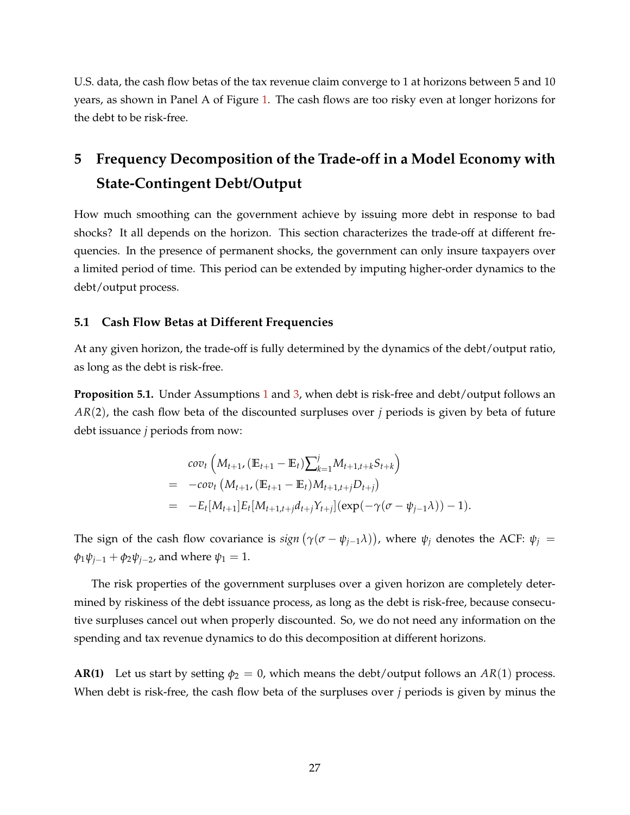U.S. data, the cash flow betas of the tax revenue claim converge to 1 at horizons between 5 and 10 years, as shown in Panel A of Figure [1.](#page-3-0) The cash flows are too risky even at longer horizons for the debt to be risk-free.

# <span id="page-27-0"></span>**5 Frequency Decomposition of the Trade-off in a Model Economy with State-Contingent Debt/Output**

How much smoothing can the government achieve by issuing more debt in response to bad shocks? It all depends on the horizon. This section characterizes the trade-off at different frequencies. In the presence of permanent shocks, the government can only insure taxpayers over a limited period of time. This period can be extended by imputing higher-order dynamics to the debt/output process.

#### **5.1 Cash Flow Betas at Different Frequencies**

At any given horizon, the trade-off is fully determined by the dynamics of the debt/output ratio, as long as the debt is risk-free.

<span id="page-27-1"></span>**Proposition 5.[1](#page-11-2).** Under Assumptions 1 and [3,](#page-20-0) when debt is risk-free and debt/output follows an *AR*(2), the cash flow beta of the discounted surpluses over *j* periods is given by beta of future debt issuance *j* periods from now:

$$
cov_t\left(M_{t+1}, (\mathbb{E}_{t+1} - \mathbb{E}_t) \sum_{k=1}^j M_{t+1,t+k} S_{t+k}\right)
$$
  
= -cov\_t\left(M\_{t+1}, (\mathbb{E}\_{t+1} - \mathbb{E}\_t) M\_{t+1,t+j} D\_{t+j}\right)  
= -E\_t[M\_{t+1}] E\_t[M\_{t+1,t+j} d\_{t+j} Y\_{t+j}] (exp(-\gamma(\sigma - \psi\_{j-1}\lambda)) - 1).

The sign of the cash flow covariance is  $sign(\gamma(\sigma - \psi_{j-1}\lambda))$ , where  $\psi_j$  denotes the ACF:  $\psi_j$  =  $φ_1ψ_{i-1} + φ_2ψ_{i-2}$ , and where  $ψ_1 = 1$ .

The risk properties of the government surpluses over a given horizon are completely determined by riskiness of the debt issuance process, as long as the debt is risk-free, because consecutive surpluses cancel out when properly discounted. So, we do not need any information on the spending and tax revenue dynamics to do this decomposition at different horizons.

**AR(1)** Let us start by setting  $\phi_2 = 0$ , which means the debt/output follows an  $AR(1)$  process. When debt is risk-free, the cash flow beta of the surpluses over *j* periods is given by minus the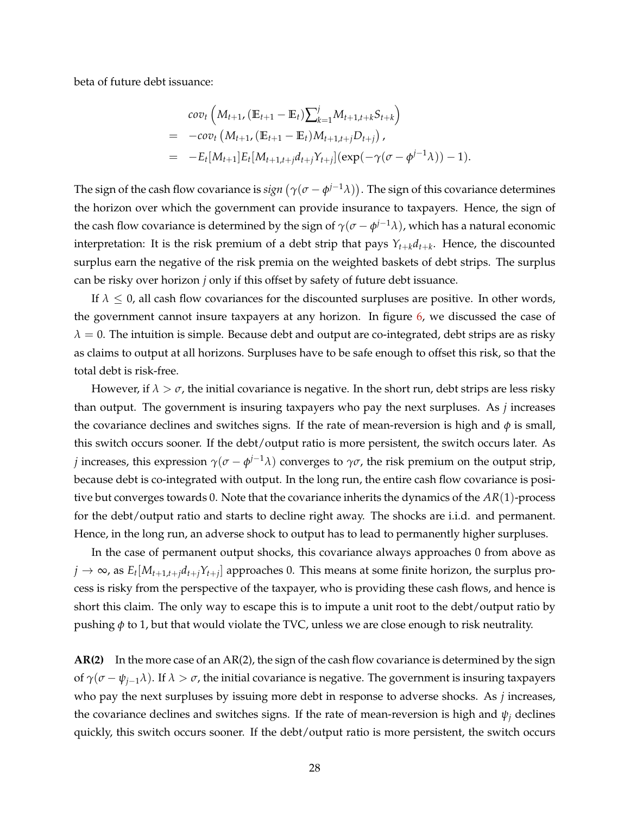beta of future debt issuance:

$$
cov_t\left(M_{t+1}, (\mathbb{E}_{t+1} - \mathbb{E}_t)\sum_{k=1}^j M_{t+1,t+k}S_{t+k}\right)
$$
  
= -cov\_t\left(M\_{t+1}, (\mathbb{E}\_{t+1} - \mathbb{E}\_t)M\_{t+1,t+j}D\_{t+j}\right),  
= -E\_t[M\_{t+1}]E\_t[M\_{t+1,t+j}d\_{t+j}Y\_{t+j}](exp(-\gamma(\sigma - \phi^{j-1}\lambda)) - 1).

The sign of the cash flow covariance is  $sign\left(\gamma(\sigma-\phi^{j-1}\lambda)\right)$ . The sign of this covariance determines the horizon over which the government can provide insurance to taxpayers. Hence, the sign of the cash flow covariance is determined by the sign of  $\gamma(\sigma-\phi^{j-1}\lambda)$ , which has a natural economic interpretation: It is the risk premium of a debt strip that pays *Yt*+*kdt*+*<sup>k</sup>* . Hence, the discounted surplus earn the negative of the risk premia on the weighted baskets of debt strips. The surplus can be risky over horizon *j* only if this offset by safety of future debt issuance.

If  $\lambda \leq 0$ , all cash flow covariances for the discounted surpluses are positive. In other words, the government cannot insure taxpayers at any horizon. In figure [6,](#page-30-0) we discussed the case of  $\lambda = 0$ . The intuition is simple. Because debt and output are co-integrated, debt strips are as risky as claims to output at all horizons. Surpluses have to be safe enough to offset this risk, so that the total debt is risk-free.

However, if  $\lambda > \sigma$ , the initial covariance is negative. In the short run, debt strips are less risky than output. The government is insuring taxpayers who pay the next surpluses. As *j* increases the covariance declines and switches signs. If the rate of mean-reversion is high and  $\phi$  is small, this switch occurs sooner. If the debt/output ratio is more persistent, the switch occurs later. As *j* increases, this expression  $γ(σ - φ^{j-1}λ)$  converges to  $γσ$ , the risk premium on the output strip, because debt is co-integrated with output. In the long run, the entire cash flow covariance is positive but converges towards 0. Note that the covariance inherits the dynamics of the *AR*(1)-process for the debt/output ratio and starts to decline right away. The shocks are i.i.d. and permanent. Hence, in the long run, an adverse shock to output has to lead to permanently higher surpluses.

In the case of permanent output shocks, this covariance always approaches 0 from above as  $j \to \infty$ , as  $E_t[M_{t+1,t+j}d_{t+j}Y_{t+j}]$  approaches 0. This means at some finite horizon, the surplus process is risky from the perspective of the taxpayer, who is providing these cash flows, and hence is short this claim. The only way to escape this is to impute a unit root to the debt/output ratio by pushing *φ* to 1, but that would violate the TVC, unless we are close enough to risk neutrality.

**AR(2)** In the more case of an AR(2), the sign of the cash flow covariance is determined by the sign of  $\gamma(\sigma - \psi_{j-1}\lambda)$ . If  $\lambda > \sigma$ , the initial covariance is negative. The government is insuring taxpayers who pay the next surpluses by issuing more debt in response to adverse shocks. As *j* increases, the covariance declines and switches signs. If the rate of mean-reversion is high and  $\psi_i$  declines quickly, this switch occurs sooner. If the debt/output ratio is more persistent, the switch occurs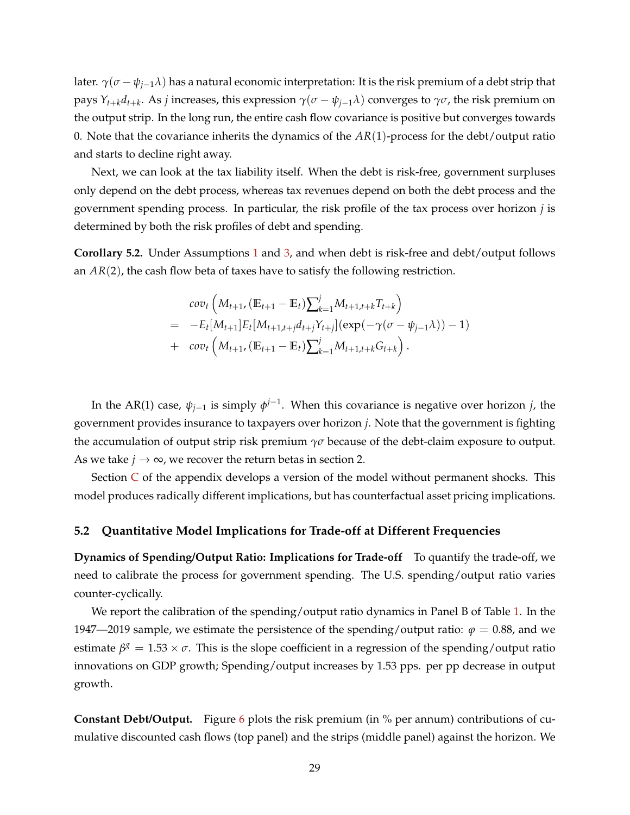later.  $\gamma(\sigma - \psi_{i-1}\lambda)$  has a natural economic interpretation: It is the risk premium of a debt strip that pays *Yt*+*kdt*+*<sup>k</sup>* . As *j* increases, this expression *γ*(*σ* − *ψj*−1*λ*) converges to *γσ*, the risk premium on the output strip. In the long run, the entire cash flow covariance is positive but converges towards 0. Note that the covariance inherits the dynamics of the *AR*(1)-process for the debt/output ratio and starts to decline right away.

Next, we can look at the tax liability itself. When the debt is risk-free, government surpluses only depend on the debt process, whereas tax revenues depend on both the debt process and the government spending process. In particular, the risk profile of the tax process over horizon *j* is determined by both the risk profiles of debt and spending.

**Corollary 5.2.** Under Assumptions [1](#page-11-2) and [3,](#page-20-0) and when debt is risk-free and debt/output follows an *AR*(2), the cash flow beta of taxes have to satisfy the following restriction.

$$
cov_t\left(M_{t+1}, (\mathbb{E}_{t+1} - \mathbb{E}_t) \sum_{k=1}^j M_{t+1,t+k} T_{t+k}\right) = -E_t[M_{t+1}] E_t[M_{t+1,t+j} d_{t+j} Y_{t+j}] (exp(-\gamma(\sigma - \psi_{j-1}\lambda)) - 1) + cov_t\left(M_{t+1}, (\mathbb{E}_{t+1} - \mathbb{E}_t) \sum_{k=1}^j M_{t+1,t+k} G_{t+k}\right).
$$

In the AR(1) case,  $\psi_{j-1}$  is simply  $\phi^{j-1}$ . When this covariance is negative over horizon *j*, the government provides insurance to taxpayers over horizon *j*. Note that the government is fighting the accumulation of output strip risk premium  $\gamma\sigma$  because of the debt-claim exposure to output. As we take  $j \rightarrow \infty$ , we recover the return betas in section 2.

Section  $\overline{C}$  $\overline{C}$  $\overline{C}$  of the appendix develops a version of the model without permanent shocks. This model produces radically different implications, but has counterfactual asset pricing implications.

#### **5.2 Quantitative Model Implications for Trade-off at Different Frequencies**

**Dynamics of Spending/Output Ratio: Implications for Trade-off** To quantify the trade-off, we need to calibrate the process for government spending. The U.S. spending/output ratio varies counter-cyclically.

We report the calibration of the spending/output ratio dynamics in Panel B of Table [1.](#page-15-0) In the 1947—2019 sample, we estimate the persistence of the spending/output ratio:  $\varphi = 0.88$ , and we estimate  $\beta^g = 1.53 \times \sigma$ . This is the slope coefficient in a regression of the spending/output ratio innovations on GDP growth; Spending/output increases by 1.53 pps. per pp decrease in output growth.

**Constant Debt/Output.** Figure [6](#page-30-0) plots the risk premium (in % per annum) contributions of cumulative discounted cash flows (top panel) and the strips (middle panel) against the horizon. We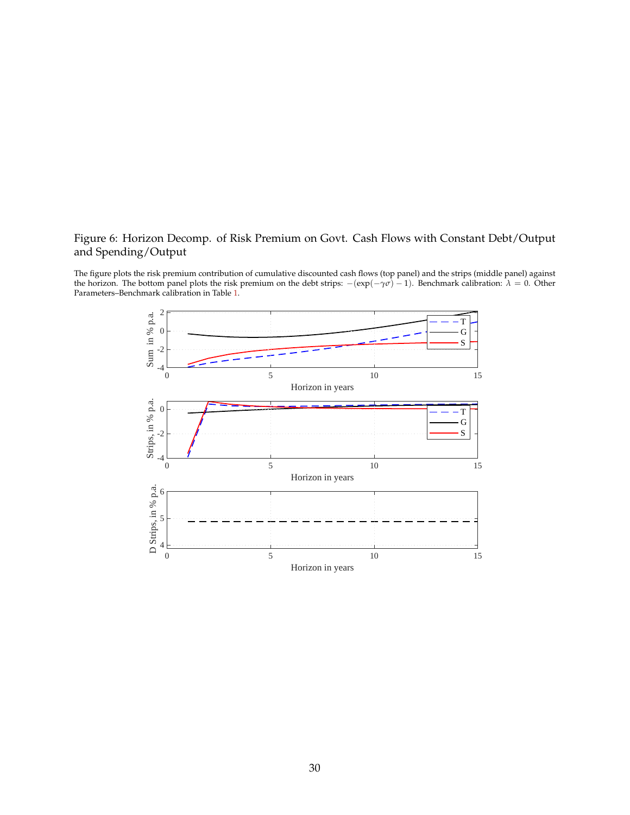# <span id="page-30-0"></span>Figure 6: Horizon Decomp. of Risk Premium on Govt. Cash Flows with Constant Debt/Output and Spending/Output

The figure plots the risk premium contribution of cumulative discounted cash flows (top panel) and the strips (middle panel) against the horizon. The bottom panel plots the risk premium on the debt strips:  $-(exp(-\gamma\sigma) - 1)$ . Benchmark calibration:  $\lambda = 0$ . Other Parameters–Benchmark calibration in Table [1.](#page-15-0)

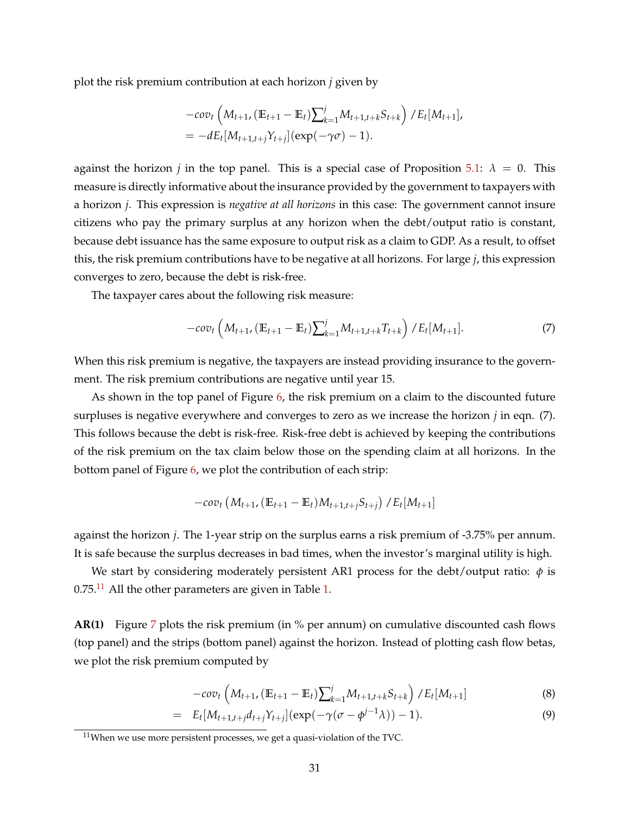plot the risk premium contribution at each horizon *j* given by

$$
-cov_t \left( M_{t+1}, (\mathbb{E}_{t+1} - \mathbb{E}_t) \sum_{k=1}^j M_{t+1,t+k} S_{t+k} \right) / E_t[M_{t+1}],
$$
  
=  $-dE_t[M_{t+1,t+j}Y_{t+j}] (exp(-\gamma \sigma) - 1).$ 

against the horizon *j* in the top panel. This is a special case of Proposition [5.1:](#page-27-1)  $\lambda = 0$ . This measure is directly informative about the insurance provided by the government to taxpayers with a horizon *j*. This expression is *negative at all horizons* in this case: The government cannot insure citizens who pay the primary surplus at any horizon when the debt/output ratio is constant, because debt issuance has the same exposure to output risk as a claim to GDP. As a result, to offset this, the risk premium contributions have to be negative at all horizons. For large *j*, this expression converges to zero, because the debt is risk-free.

The taxpayer cares about the following risk measure:

$$
-cov_t\left(M_{t+1}, \left(\mathbb{E}_{t+1} - \mathbb{E}_t\right)\sum_{k=1}^j M_{t+1,t+k}T_{t+k}\right) / E_t[M_{t+1}].
$$
\n(7)

When this risk premium is negative, the taxpayers are instead providing insurance to the government. The risk premium contributions are negative until year 15.

As shown in the top panel of Figure [6,](#page-30-0) the risk premium on a claim to the discounted future surpluses is negative everywhere and converges to zero as we increase the horizon *j* in eqn. (7). This follows because the debt is risk-free. Risk-free debt is achieved by keeping the contributions of the risk premium on the tax claim below those on the spending claim at all horizons. In the bottom panel of Figure [6,](#page-30-0) we plot the contribution of each strip:

$$
-cov_t (M_{t+1}, (\mathbb{E}_{t+1} - \mathbb{E}_t)M_{t+1,t+j}S_{t+j})/E_t[M_{t+1}]
$$

against the horizon *j*. The 1-year strip on the surplus earns a risk premium of -3.75% per annum. It is safe because the surplus decreases in bad times, when the investor's marginal utility is high.

We start by considering moderately persistent AR1 process for the debt/output ratio:  $\phi$  is  $0.75$ .<sup>[11](#page-31-0)</sup> All the other parameters are given in Table [1.](#page-15-0)

**AR(1)** Figure [7](#page-33-0) plots the risk premium (in % per annum) on cumulative discounted cash flows (top panel) and the strips (bottom panel) against the horizon. Instead of plotting cash flow betas, we plot the risk premium computed by

$$
-cov_t\left(M_{t+1}, \left(\mathbb{E}_{t+1} - \mathbb{E}_t\right)\right)\sum_{k=1}^j M_{t+1,t+k} S_{t+k}\right) / E_t[M_{t+1}]
$$
\n(8)

$$
= E_t[M_{t+1,t+j}d_{t+j}Y_{t+j}](\exp(-\gamma(\sigma-\phi^{j-1}\lambda))-1).
$$
 (9)

<span id="page-31-0"></span> $11$ When we use more persistent processes, we get a quasi-violation of the TVC.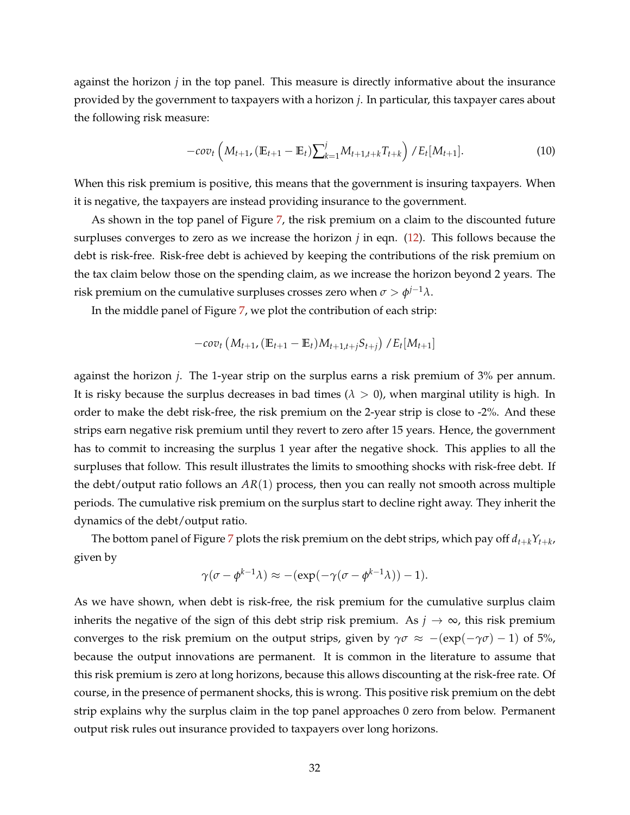against the horizon *j* in the top panel. This measure is directly informative about the insurance provided by the government to taxpayers with a horizon *j*. In particular, this taxpayer cares about the following risk measure:

$$
-cov_t\left(M_{t+1}, \left(\mathbb{E}_{t+1} - \mathbb{E}_t\right)\right)\sum_{k=1}^j M_{t+1,t+k}T_{t+k}\right)/E_t[M_{t+1}].
$$
\n(10)

When this risk premium is positive, this means that the government is insuring taxpayers. When it is negative, the taxpayers are instead providing insurance to the government.

As shown in the top panel of Figure [7,](#page-33-0) the risk premium on a claim to the discounted future surpluses converges to zero as we increase the horizon *j* in eqn. [\(12\)](#page-34-0). This follows because the debt is risk-free. Risk-free debt is achieved by keeping the contributions of the risk premium on the tax claim below those on the spending claim, as we increase the horizon beyond 2 years. The risk premium on the cumulative surpluses crosses zero when  $\sigma > \phi^{j-1}\lambda$ .

In the middle panel of Figure [7,](#page-33-0) we plot the contribution of each strip:

$$
-cov_t (M_{t+1}, (\mathbb{E}_{t+1} - \mathbb{E}_t)M_{t+1,t+j}S_{t+j})/E_t[M_{t+1}]
$$

against the horizon *j*. The 1-year strip on the surplus earns a risk premium of 3% per annum. It is risky because the surplus decreases in bad times  $(\lambda > 0)$ , when marginal utility is high. In order to make the debt risk-free, the risk premium on the 2-year strip is close to -2%. And these strips earn negative risk premium until they revert to zero after 15 years. Hence, the government has to commit to increasing the surplus 1 year after the negative shock. This applies to all the surpluses that follow. This result illustrates the limits to smoothing shocks with risk-free debt. If the debt/output ratio follows an *AR*(1) process, then you can really not smooth across multiple periods. The cumulative risk premium on the surplus start to decline right away. They inherit the dynamics of the debt/output ratio.

The bottom panel of Figure [7](#page-33-0) plots the risk premium on the debt strips, which pay off  $d_{t+k}Y_{t+k}$ , given by

$$
\gamma(\sigma - \phi^{k-1}\lambda) \approx -(\exp(-\gamma(\sigma - \phi^{k-1}\lambda)) - 1).
$$

As we have shown, when debt is risk-free, the risk premium for the cumulative surplus claim inherits the negative of the sign of this debt strip risk premium. As  $j \to \infty$ , this risk premium converges to the risk premium on the output strips, given by  $\gamma \sigma \approx -(\exp(-\gamma \sigma) - 1)$  of 5%, because the output innovations are permanent. It is common in the literature to assume that this risk premium is zero at long horizons, because this allows discounting at the risk-free rate. Of course, in the presence of permanent shocks, this is wrong. This positive risk premium on the debt strip explains why the surplus claim in the top panel approaches 0 zero from below. Permanent output risk rules out insurance provided to taxpayers over long horizons.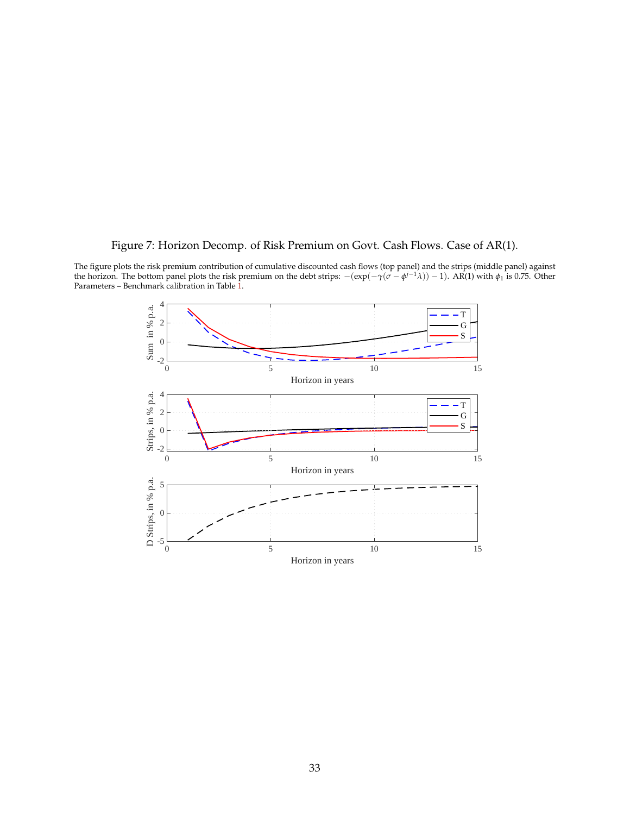# Figure 7: Horizon Decomp. of Risk Premium on Govt. Cash Flows. Case of AR(1).

<span id="page-33-0"></span>The figure plots the risk premium contribution of cumulative discounted cash flows (top panel) and the strips (middle panel) against the horizon. The bottom panel plots the risk premium on the debt strips:  $-(exp(-γ(σ − φ<sup>j-1</sup>λ)) – 1)$ . AR(1) with  $φ₁$  is 0.75. Other Parameters – Benchmark calibration in Table [1.](#page-15-0)

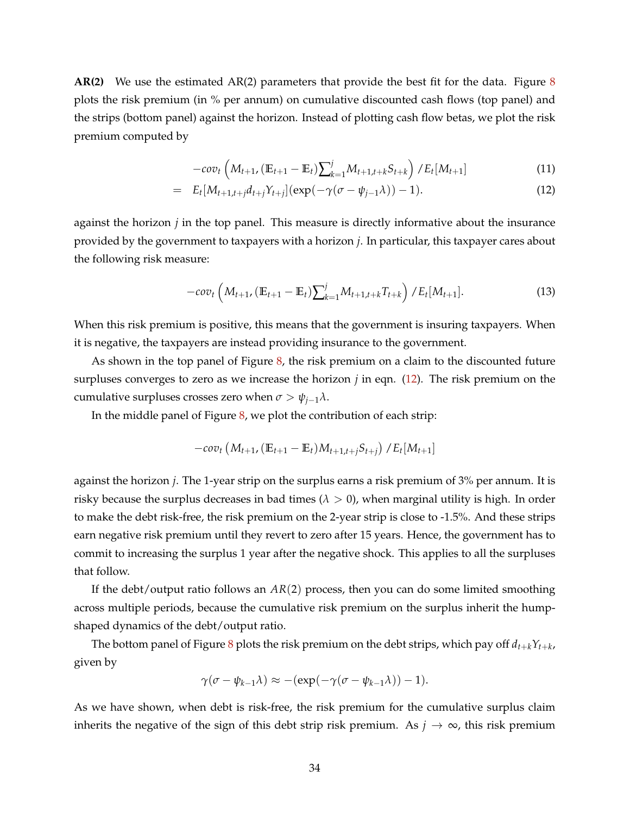**AR(2)** We use the estimated AR(2) parameters that provide the best fit for the data. Figure [8](#page-35-0) plots the risk premium (in % per annum) on cumulative discounted cash flows (top panel) and the strips (bottom panel) against the horizon. Instead of plotting cash flow betas, we plot the risk premium computed by

<span id="page-34-0"></span>
$$
-cov_t\left(M_{t+1}, \left(\mathbb{E}_{t+1} - \mathbb{E}_t\right)\right)\sum_{k=1}^j M_{t+1,t+k} S_{t+k}\right) / E_t[M_{t+1}]
$$
\n(11)

$$
= E_t[M_{t+1,t+j}d_{t+j}Y_{t+j}](\exp(-\gamma(\sigma-\psi_{j-1}\lambda))-1).
$$
 (12)

against the horizon *j* in the top panel. This measure is directly informative about the insurance provided by the government to taxpayers with a horizon *j*. In particular, this taxpayer cares about the following risk measure:

$$
-cov_t\left(M_{t+1}, \left(\mathbb{E}_{t+1} - \mathbb{E}_t\right)\right)\sum_{k=1}^j M_{t+1,t+k}T_{t+k}\right)/E_t[M_{t+1}].
$$
\n(13)

When this risk premium is positive, this means that the government is insuring taxpayers. When it is negative, the taxpayers are instead providing insurance to the government.

As shown in the top panel of Figure  $\delta$ , the risk premium on a claim to the discounted future surpluses converges to zero as we increase the horizon  $j$  in eqn.  $(12)$ . The risk premium on the cumulative surpluses crosses zero when  $\sigma > \psi_{i-1}\lambda$ .

In the middle panel of Figure [8,](#page-35-0) we plot the contribution of each strip:

$$
-cov_t (M_{t+1}, (\mathbb{E}_{t+1} - \mathbb{E}_t)M_{t+1,t+j}S_{t+j})/E_t[M_{t+1}]
$$

against the horizon *j*. The 1-year strip on the surplus earns a risk premium of 3% per annum. It is risky because the surplus decreases in bad times  $(\lambda > 0)$ , when marginal utility is high. In order to make the debt risk-free, the risk premium on the 2-year strip is close to -1.5%. And these strips earn negative risk premium until they revert to zero after 15 years. Hence, the government has to commit to increasing the surplus 1 year after the negative shock. This applies to all the surpluses that follow.

If the debt/output ratio follows an *AR*(2) process, then you can do some limited smoothing across multiple periods, because the cumulative risk premium on the surplus inherit the humpshaped dynamics of the debt/output ratio.

The bottom panel of Figure  $8$  plots the risk premium on the debt strips, which pay off  $d_{t+k}Y_{t+k}$ , given by

$$
\gamma(\sigma - \psi_{k-1}\lambda) \approx -(\exp(-\gamma(\sigma - \psi_{k-1}\lambda)) - 1).
$$

As we have shown, when debt is risk-free, the risk premium for the cumulative surplus claim inherits the negative of the sign of this debt strip risk premium. As  $j \to \infty$ , this risk premium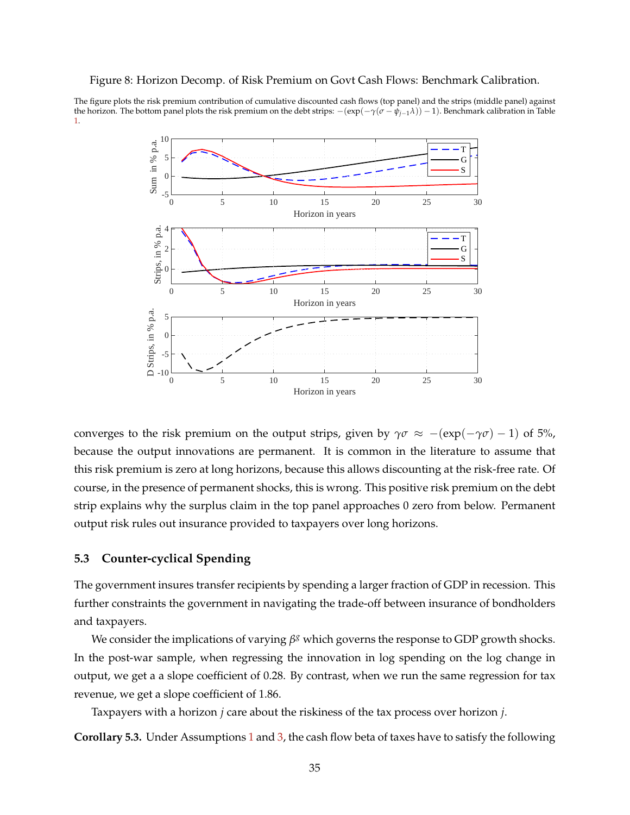#### <span id="page-35-0"></span>Figure 8: Horizon Decomp. of Risk Premium on Govt Cash Flows: Benchmark Calibration.

The figure plots the risk premium contribution of cumulative discounted cash flows (top panel) and the strips (middle panel) against the horizon. The bottom panel plots the risk premium on the debt strips: −(exp(−*γ*(*σ* − *ψj*−1*λ*)) − 1). Benchmark calibration in Table [1.](#page-15-0)



converges to the risk premium on the output strips, given by  $\gamma \sigma \approx -(\exp(-\gamma \sigma) - 1)$  of 5%, because the output innovations are permanent. It is common in the literature to assume that this risk premium is zero at long horizons, because this allows discounting at the risk-free rate. Of course, in the presence of permanent shocks, this is wrong. This positive risk premium on the debt strip explains why the surplus claim in the top panel approaches 0 zero from below. Permanent output risk rules out insurance provided to taxpayers over long horizons.

#### **5.3 Counter-cyclical Spending**

The government insures transfer recipients by spending a larger fraction of GDP in recession. This further constraints the government in navigating the trade-off between insurance of bondholders and taxpayers.

We consider the implications of varying  $β<sup>g</sup>$  which governs the response to GDP growth shocks. In the post-war sample, when regressing the innovation in log spending on the log change in output, we get a a slope coefficient of 0.28. By contrast, when we run the same regression for tax revenue, we get a slope coefficient of 1.86.

Taxpayers with a horizon *j* care about the riskiness of the tax process over horizon *j*.

**Corollary 5.3.** Under Assumptions [1](#page-11-2) and [3,](#page-20-0) the cash flow beta of taxes have to satisfy the following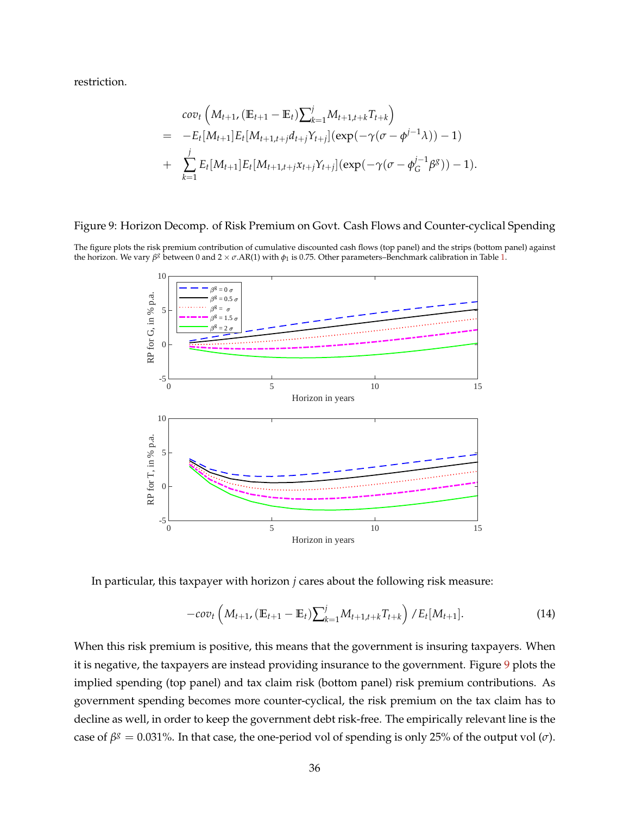restriction.

$$
cov_t\left(M_{t+1}, (\mathbb{E}_{t+1} - \mathbb{E}_t) \sum_{k=1}^j M_{t+1,t+k} T_{t+k}\right)
$$
  
= 
$$
-E_t[M_{t+1}]E_t[M_{t+1,t+j}d_{t+j}Y_{t+j}](exp(-\gamma(\sigma - \phi^{j-1}\lambda)) - 1)
$$
  
+ 
$$
\sum_{k=1}^j E_t[M_{t+1}]E_t[M_{t+1,t+j}X_{t+j}Y_{t+j}](exp(-\gamma(\sigma - \phi^{j-1}_G\beta^g)) - 1).
$$

#### <span id="page-36-0"></span>Figure 9: Horizon Decomp. of Risk Premium on Govt. Cash Flows and Counter-cyclical Spending

The figure plots the risk premium contribution of cumulative discounted cash flows (top panel) and the strips (bottom panel) against the horizon. We vary β<sup>g</sup> between 0 and 2 × *σ*.AR(1) with  $φ_1$  is 0.75. Other parameters–Benchmark calibration in Table [1.](#page-15-0)



In particular, this taxpayer with horizon *j* cares about the following risk measure:

$$
-cov_t\left(M_{t+1}, \left(\mathbb{E}_{t+1} - \mathbb{E}_t\right) \sum_{k=1}^j M_{t+1,t+k} T_{t+k}\right) / E_t[M_{t+1}].
$$
\n(14)

When this risk premium is positive, this means that the government is insuring taxpayers. When it is negative, the taxpayers are instead providing insurance to the government. Figure [9](#page-36-0) plots the implied spending (top panel) and tax claim risk (bottom panel) risk premium contributions. As government spending becomes more counter-cyclical, the risk premium on the tax claim has to decline as well, in order to keep the government debt risk-free. The empirically relevant line is the case of  $\beta^g = 0.031$ %. In that case, the one-period vol of spending is only 25% of the output vol ( $\sigma$ ).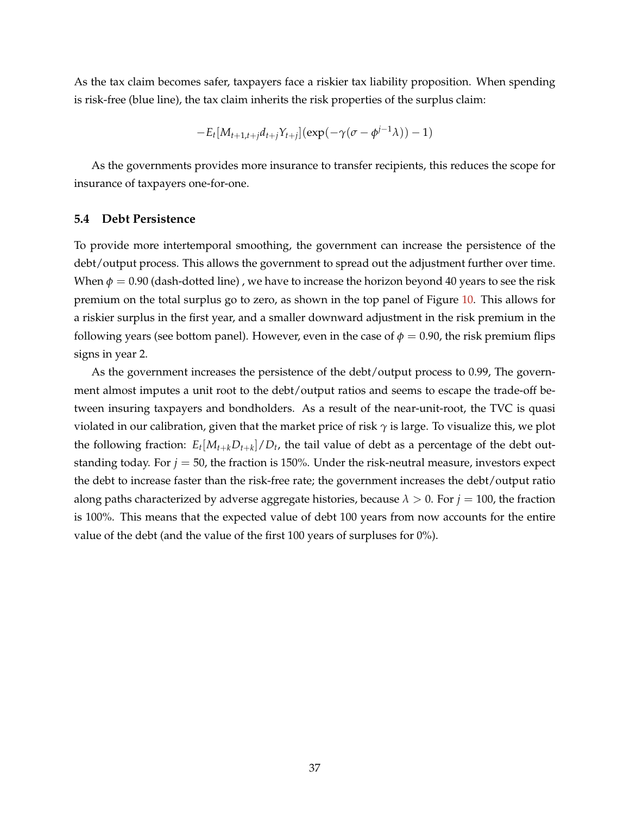As the tax claim becomes safer, taxpayers face a riskier tax liability proposition. When spending is risk-free (blue line), the tax claim inherits the risk properties of the surplus claim:

$$
-E_t[M_{t+1,t+j}d_{t+j}Y_{t+j}](\exp(-\gamma(\sigma-\phi^{j-1}\lambda))-1)
$$

As the governments provides more insurance to transfer recipients, this reduces the scope for insurance of taxpayers one-for-one.

#### **5.4 Debt Persistence**

To provide more intertemporal smoothing, the government can increase the persistence of the debt/output process. This allows the government to spread out the adjustment further over time. When  $\phi = 0.90$  (dash-dotted line), we have to increase the horizon beyond 40 years to see the risk premium on the total surplus go to zero, as shown in the top panel of Figure [10.](#page-38-0) This allows for a riskier surplus in the first year, and a smaller downward adjustment in the risk premium in the following years (see bottom panel). However, even in the case of  $\phi = 0.90$ , the risk premium flips signs in year 2.

As the government increases the persistence of the debt/output process to 0.99, The government almost imputes a unit root to the debt/output ratios and seems to escape the trade-off between insuring taxpayers and bondholders. As a result of the near-unit-root, the TVC is quasi violated in our calibration, given that the market price of risk *γ* is large. To visualize this, we plot the following fraction:  $E_t[M_{t+k}D_{t+k}]/D_t$ , the tail value of debt as a percentage of the debt outstanding today. For *j* = 50, the fraction is 150%. Under the risk-neutral measure, investors expect the debt to increase faster than the risk-free rate; the government increases the debt/output ratio along paths characterized by adverse aggregate histories, because  $\lambda > 0$ . For  $j = 100$ , the fraction is 100%. This means that the expected value of debt 100 years from now accounts for the entire value of the debt (and the value of the first 100 years of surpluses for 0%).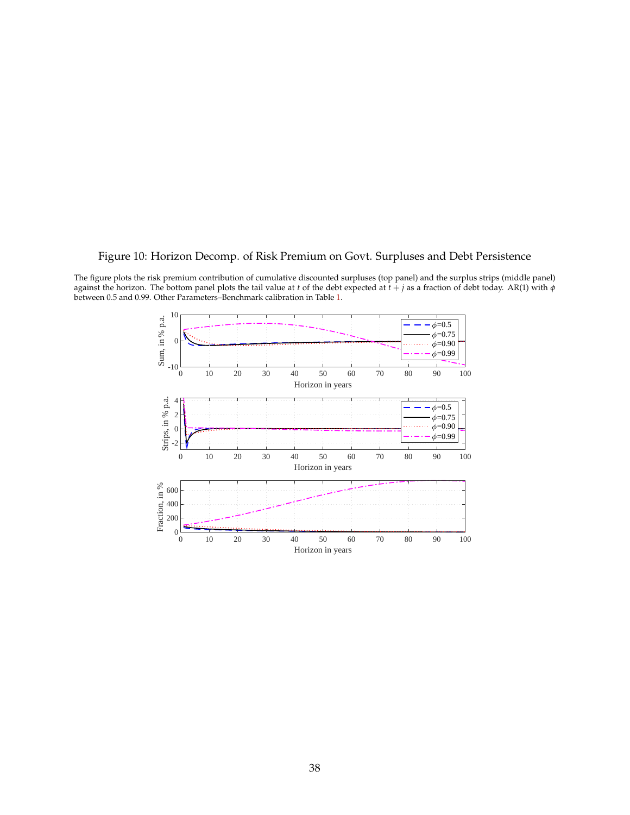### <span id="page-38-0"></span>Figure 10: Horizon Decomp. of Risk Premium on Govt. Surpluses and Debt Persistence

The figure plots the risk premium contribution of cumulative discounted surpluses (top panel) and the surplus strips (middle panel) against the horizon. The bottom panel plots the tail value at *t* of the debt expected at *t* + *j* as a fraction of debt today. AR(1) with *φ* between 0.5 and 0.99. Other Parameters–Benchmark calibration in Table [1.](#page-15-0)

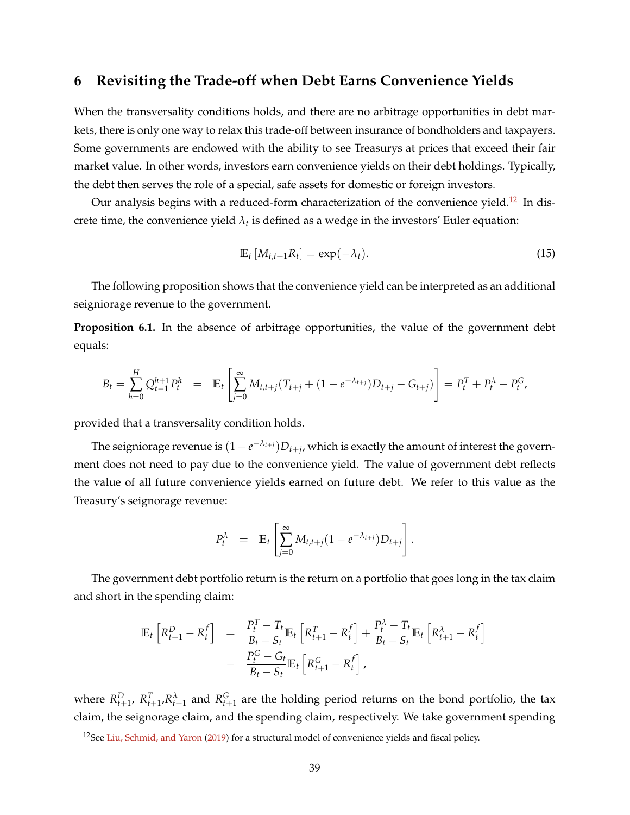# **6 Revisiting the Trade-off when Debt Earns Convenience Yields**

When the transversality conditions holds, and there are no arbitrage opportunities in debt markets, there is only one way to relax this trade-off between insurance of bondholders and taxpayers. Some governments are endowed with the ability to see Treasurys at prices that exceed their fair market value. In other words, investors earn convenience yields on their debt holdings. Typically, the debt then serves the role of a special, safe assets for domestic or foreign investors.

Our analysis begins with a reduced-form characterization of the convenience yield.<sup>[12](#page-39-0)</sup> In discrete time, the convenience yield  $\lambda_t$  is defined as a wedge in the investors' Euler equation:

$$
\mathbb{E}_t\left[M_{t,t+1}R_t\right] = \exp(-\lambda_t). \tag{15}
$$

The following proposition shows that the convenience yield can be interpreted as an additional seigniorage revenue to the government.

**Proposition 6.1.** In the absence of arbitrage opportunities, the value of the government debt equals:

$$
B_t = \sum_{h=0}^H Q_{t-1}^{h+1} P_t^h = \mathbb{E}_t \left[ \sum_{j=0}^\infty M_{t,t+j} (T_{t+j} + (1 - e^{-\lambda_{t+j}}) D_{t+j} - G_{t+j}) \right] = P_t^T + P_t^{\lambda} - P_t^G,
$$

provided that a transversality condition holds.

The seigniorage revenue is  $(1-e^{-\lambda_{t+j}})D_{t+j}$ , which is exactly the amount of interest the government does not need to pay due to the convenience yield. The value of government debt reflects the value of all future convenience yields earned on future debt. We refer to this value as the Treasury's seignorage revenue:

$$
P_t^{\lambda} = \mathbb{E}_t \left[ \sum_{j=0}^{\infty} M_{t,t+j} (1 - e^{-\lambda_{t+j}}) D_{t+j} \right].
$$

The government debt portfolio return is the return on a portfolio that goes long in the tax claim and short in the spending claim:

$$
\mathbb{E}_{t}\left[R_{t+1}^{D} - R_{t}^{f}\right] = \frac{P_{t}^{T} - T_{t}}{B_{t} - S_{t}}\mathbb{E}_{t}\left[R_{t+1}^{T} - R_{t}^{f}\right] + \frac{P_{t}^{\lambda} - T_{t}}{B_{t} - S_{t}}\mathbb{E}_{t}\left[R_{t+1}^{\lambda} - R_{t}^{f}\right] - \frac{P_{t}^{G} - G_{t}}{B_{t} - S_{t}}\mathbb{E}_{t}\left[R_{t+1}^{G} - R_{t}^{f}\right],
$$

where  $R_{t+1}^D$ ,  $R_{t+1}^T$ ,  $R_{t+1}^{\lambda}$  and  $R_{t+1}^G$  are the holding period returns on the bond portfolio, the tax claim, the seignorage claim, and the spending claim, respectively. We take government spending

<span id="page-39-0"></span><sup>&</sup>lt;sup>12</sup>See [Liu, Schmid, and Yaron](#page-44-0) [\(2019\)](#page-44-0) for a structural model of convenience yields and fiscal policy.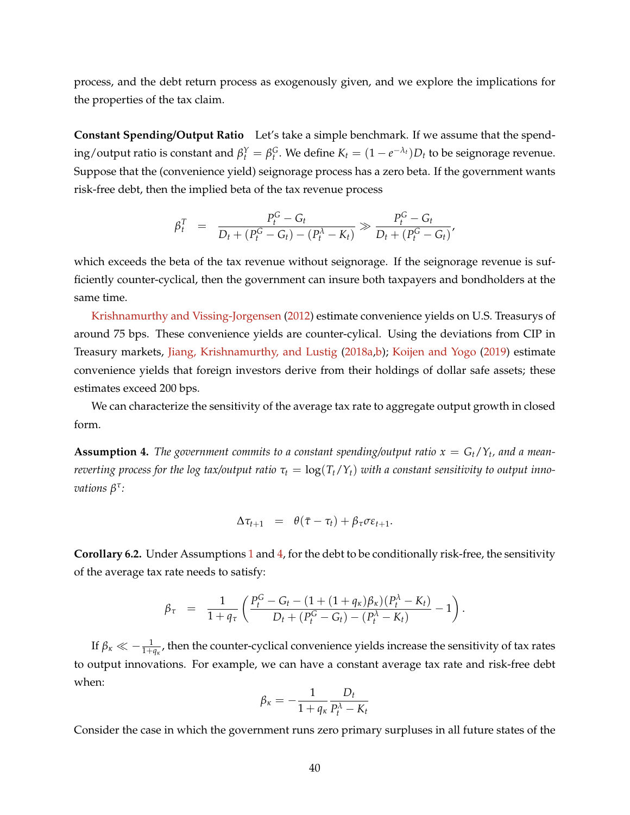process, and the debt return process as exogenously given, and we explore the implications for the properties of the tax claim.

**Constant Spending/Output Ratio** Let's take a simple benchmark. If we assume that the spend- $\log$  / output ratio is constant and  $\beta_t^Y = \beta_t^G$ . We define  $K_t = (1 - e^{-\lambda_t})D_t$  to be seignorage revenue. Suppose that the (convenience yield) seignorage process has a zero beta. If the government wants risk-free debt, then the implied beta of the tax revenue process

$$
\beta_t^T = \frac{P_t^G - G_t}{D_t + (P_t^G - G_t) - (P_t^{\lambda} - K_t)} \gg \frac{P_t^G - G_t}{D_t + (P_t^G - G_t)},
$$

which exceeds the beta of the tax revenue without seignorage. If the seignorage revenue is sufficiently counter-cyclical, then the government can insure both taxpayers and bondholders at the same time.

[Krishnamurthy and Vissing-Jorgensen](#page-44-1) [\(2012\)](#page-44-1) estimate convenience yields on U.S. Treasurys of around 75 bps. These convenience yields are counter-cylical. Using the deviations from CIP in Treasury markets, [Jiang, Krishnamurthy, and Lustig](#page-43-0) [\(2018a](#page-43-0)[,b\)](#page-43-1); [Koijen and Yogo](#page-44-2) [\(2019\)](#page-44-2) estimate convenience yields that foreign investors derive from their holdings of dollar safe assets; these estimates exceed 200 bps.

We can characterize the sensitivity of the average tax rate to aggregate output growth in closed form.

<span id="page-40-0"></span>**Assumption 4.** The government commits to a constant spending/output ratio  $x = G_t/Y_t$ , and a mean*reverting process for the log tax/output ratio*  $\tau_t = \log(T_t/Y_t)$  *with a constant sensitivity to output innovations β τ :*

$$
\Delta \tau_{t+1} = \theta(\bar{\tau} - \tau_t) + \beta_{\tau} \sigma \varepsilon_{t+1}.
$$

**Corollary 6.2.** Under Assumptions [1](#page-11-0) and [4,](#page-40-0) for the debt to be conditionally risk-free, the sensitivity of the average tax rate needs to satisfy:

$$
\beta_{\tau} = \frac{1}{1 + q_{\tau}} \left( \frac{P_t^G - G_t - (1 + (1 + q_{\kappa})\beta_{\kappa})(P_t^{\lambda} - K_t)}{D_t + (P_t^G - G_t) - (P_t^{\lambda} - K_t)} - 1 \right).
$$

If  $\beta_\kappa\ll-\frac{1}{1+q_\kappa}$ , then the counter-cyclical convenience yields increase the sensitivity of tax rates to output innovations. For example, we can have a constant average tax rate and risk-free debt when:

$$
\beta_{\kappa} = -\frac{1}{1 + q_{\kappa}} \frac{D_t}{P_t^{\lambda} - K_t}
$$

Consider the case in which the government runs zero primary surpluses in all future states of the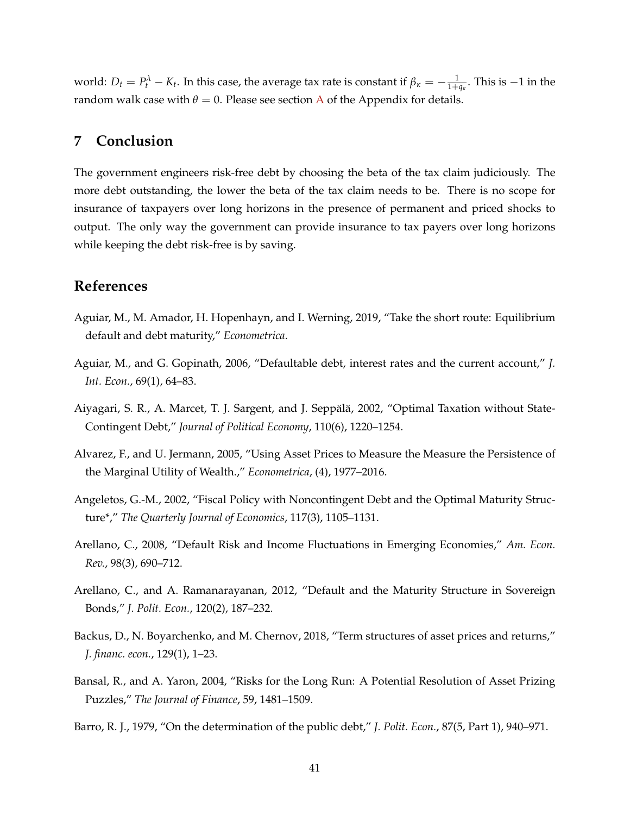world:  $D_t = P_t^{\lambda} - K_t$ . In this case, the average tax rate is constant if  $\beta_{\kappa} = -\frac{1}{1+q_{\kappa}}$ . This is  $-1$  in the random walk case with  $\theta = 0$ . Please see section [A](#page-45-0) of the Appendix for details.

## **7 Conclusion**

The government engineers risk-free debt by choosing the beta of the tax claim judiciously. The more debt outstanding, the lower the beta of the tax claim needs to be. There is no scope for insurance of taxpayers over long horizons in the presence of permanent and priced shocks to output. The only way the government can provide insurance to tax payers over long horizons while keeping the debt risk-free is by saving.

## **References**

- Aguiar, M., M. Amador, H. Hopenhayn, and I. Werning, 2019, "Take the short route: Equilibrium default and debt maturity," *Econometrica*.
- Aguiar, M., and G. Gopinath, 2006, "Defaultable debt, interest rates and the current account," *J. Int. Econ.*, 69(1), 64–83.
- Aiyagari, S. R., A. Marcet, T. J. Sargent, and J. Seppälä, 2002, "Optimal Taxation without State-Contingent Debt," *Journal of Political Economy*, 110(6), 1220–1254.
- <span id="page-41-1"></span>Alvarez, F., and U. Jermann, 2005, "Using Asset Prices to Measure the Measure the Persistence of the Marginal Utility of Wealth.," *Econometrica*, (4), 1977–2016.
- Angeletos, G.-M., 2002, "Fiscal Policy with Noncontingent Debt and the Optimal Maturity Structure\*," *The Quarterly Journal of Economics*, 117(3), 1105–1131.
- Arellano, C., 2008, "Default Risk and Income Fluctuations in Emerging Economies," *Am. Econ. Rev.*, 98(3), 690–712.
- Arellano, C., and A. Ramanarayanan, 2012, "Default and the Maturity Structure in Sovereign Bonds," *J. Polit. Econ.*, 120(2), 187–232.
- <span id="page-41-3"></span>Backus, D., N. Boyarchenko, and M. Chernov, 2018, "Term structures of asset prices and returns," *J. financ. econ.*, 129(1), 1–23.
- <span id="page-41-2"></span>Bansal, R., and A. Yaron, 2004, "Risks for the Long Run: A Potential Resolution of Asset Prizing Puzzles," *The Journal of Finance*, 59, 1481–1509.
- <span id="page-41-0"></span>Barro, R. J., 1979, "On the determination of the public debt," *J. Polit. Econ.*, 87(5, Part 1), 940–971.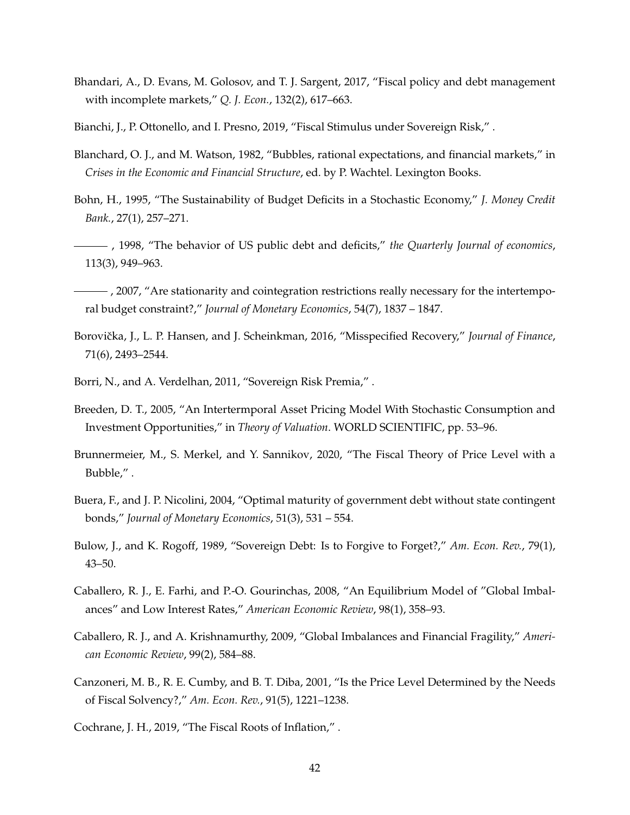- Bhandari, A., D. Evans, M. Golosov, and T. J. Sargent, 2017, "Fiscal policy and debt management with incomplete markets," *Q. J. Econ.*, 132(2), 617–663.
- Bianchi, J., P. Ottonello, and I. Presno, 2019, "Fiscal Stimulus under Sovereign Risk," .
- Blanchard, O. J., and M. Watson, 1982, "Bubbles, rational expectations, and financial markets," in *Crises in the Economic and Financial Structure*, ed. by P. Wachtel. Lexington Books.
- Bohn, H., 1995, "The Sustainability of Budget Deficits in a Stochastic Economy," *J. Money Credit Bank.*, 27(1), 257–271.
- , 1998, "The behavior of US public debt and deficits," *the Quarterly Journal of economics*, 113(3), 949–963.
- $\frac{1}{1}$ , 2007, "Are stationarity and cointegration restrictions really necessary for the intertemporal budget constraint?," *Journal of Monetary Economics*, 54(7), 1837 – 1847.
- <span id="page-42-0"></span>Borovička, J., L. P. Hansen, and J. Scheinkman, 2016, "Misspecified Recovery," Journal of Finance, 71(6), 2493–2544.
- Borri, N., and A. Verdelhan, 2011, "Sovereign Risk Premia," .
- Breeden, D. T., 2005, "An Intertermporal Asset Pricing Model With Stochastic Consumption and Investment Opportunities," in *Theory of Valuation*. WORLD SCIENTIFIC, pp. 53–96.
- Brunnermeier, M., S. Merkel, and Y. Sannikov, 2020, "The Fiscal Theory of Price Level with a Bubble," .
- Buera, F., and J. P. Nicolini, 2004, "Optimal maturity of government debt without state contingent bonds," *Journal of Monetary Economics*, 51(3), 531 – 554.
- Bulow, J., and K. Rogoff, 1989, "Sovereign Debt: Is to Forgive to Forget?," *Am. Econ. Rev.*, 79(1), 43–50.
- Caballero, R. J., E. Farhi, and P.-O. Gourinchas, 2008, "An Equilibrium Model of "Global Imbalances" and Low Interest Rates," *American Economic Review*, 98(1), 358–93.
- Caballero, R. J., and A. Krishnamurthy, 2009, "Global Imbalances and Financial Fragility," *American Economic Review*, 99(2), 584–88.
- Canzoneri, M. B., R. E. Cumby, and B. T. Diba, 2001, "Is the Price Level Determined by the Needs of Fiscal Solvency?," *Am. Econ. Rev.*, 91(5), 1221–1238.

Cochrane, J. H., 2019, "The Fiscal Roots of Inflation," .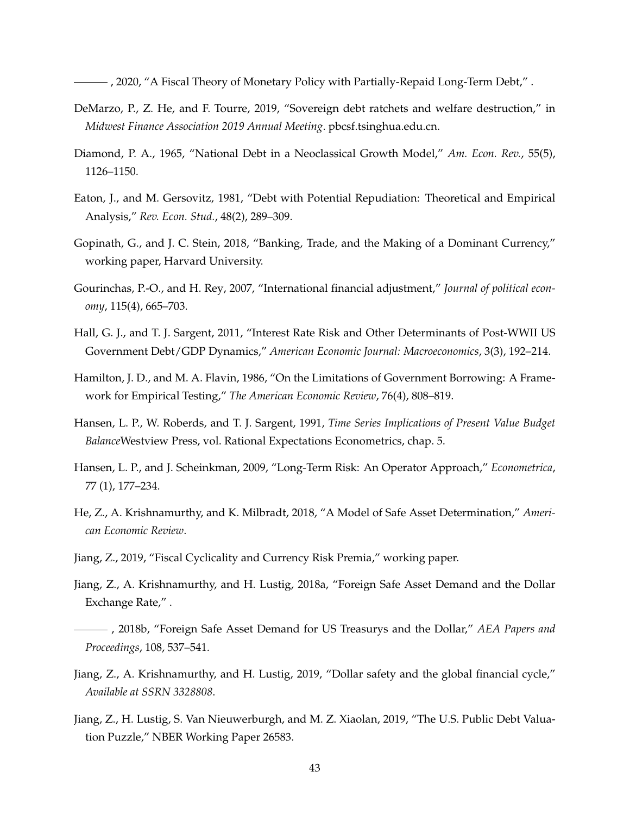, 2020, "A Fiscal Theory of Monetary Policy with Partially-Repaid Long-Term Debt," .

- DeMarzo, P., Z. He, and F. Tourre, 2019, "Sovereign debt ratchets and welfare destruction," in *Midwest Finance Association 2019 Annual Meeting*. pbcsf.tsinghua.edu.cn.
- Diamond, P. A., 1965, "National Debt in a Neoclassical Growth Model," *Am. Econ. Rev.*, 55(5), 1126–1150.
- Eaton, J., and M. Gersovitz, 1981, "Debt with Potential Repudiation: Theoretical and Empirical Analysis," *Rev. Econ. Stud.*, 48(2), 289–309.
- Gopinath, G., and J. C. Stein, 2018, "Banking, Trade, and the Making of a Dominant Currency," working paper, Harvard University.
- Gourinchas, P.-O., and H. Rey, 2007, "International financial adjustment," *Journal of political economy*, 115(4), 665–703.
- Hall, G. J., and T. J. Sargent, 2011, "Interest Rate Risk and Other Determinants of Post-WWII US Government Debt/GDP Dynamics," *American Economic Journal: Macroeconomics*, 3(3), 192–214.
- Hamilton, J. D., and M. A. Flavin, 1986, "On the Limitations of Government Borrowing: A Framework for Empirical Testing," *The American Economic Review*, 76(4), 808–819.
- Hansen, L. P., W. Roberds, and T. J. Sargent, 1991, *Time Series Implications of Present Value Budget Balance*Westview Press, vol. Rational Expectations Econometrics, chap. 5.
- <span id="page-43-2"></span>Hansen, L. P., and J. Scheinkman, 2009, "Long-Term Risk: An Operator Approach," *Econometrica*, 77 (1), 177–234.
- He, Z., A. Krishnamurthy, and K. Milbradt, 2018, "A Model of Safe Asset Determination," *American Economic Review*.
- Jiang, Z., 2019, "Fiscal Cyclicality and Currency Risk Premia," working paper.
- <span id="page-43-0"></span>Jiang, Z., A. Krishnamurthy, and H. Lustig, 2018a, "Foreign Safe Asset Demand and the Dollar Exchange Rate," .
- <span id="page-43-1"></span>, 2018b, "Foreign Safe Asset Demand for US Treasurys and the Dollar," *AEA Papers and Proceedings*, 108, 537–541.
- Jiang, Z., A. Krishnamurthy, and H. Lustig, 2019, "Dollar safety and the global financial cycle," *Available at SSRN 3328808*.
- <span id="page-43-3"></span>Jiang, Z., H. Lustig, S. Van Nieuwerburgh, and M. Z. Xiaolan, 2019, "The U.S. Public Debt Valuation Puzzle," NBER Working Paper 26583.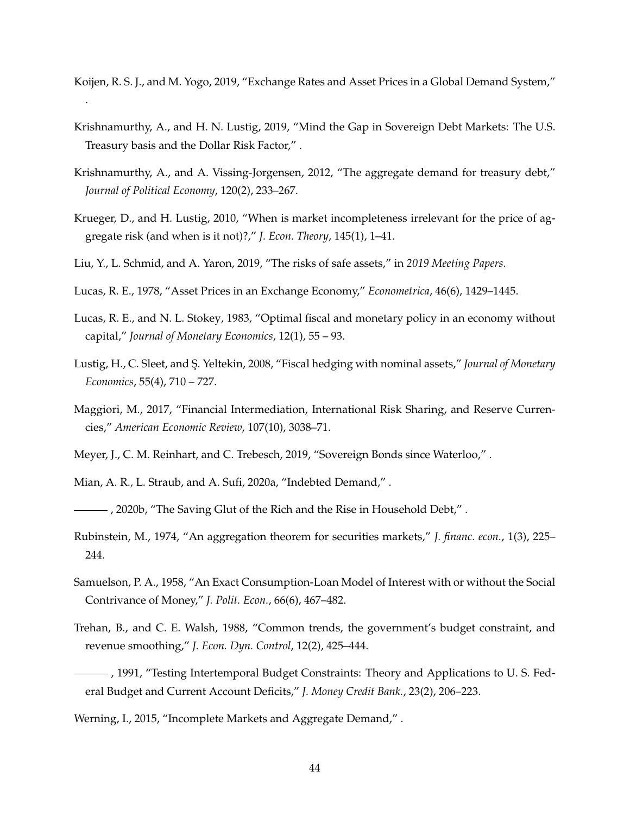<span id="page-44-2"></span>Koijen, R. S. J., and M. Yogo, 2019, "Exchange Rates and Asset Prices in a Global Demand System," .

- Krishnamurthy, A., and H. N. Lustig, 2019, "Mind the Gap in Sovereign Debt Markets: The U.S. Treasury basis and the Dollar Risk Factor," .
- <span id="page-44-1"></span>Krishnamurthy, A., and A. Vissing-Jorgensen, 2012, "The aggregate demand for treasury debt," *Journal of Political Economy*, 120(2), 233–267.
- Krueger, D., and H. Lustig, 2010, "When is market incompleteness irrelevant for the price of aggregate risk (and when is it not)?," *J. Econ. Theory*, 145(1), 1–41.
- <span id="page-44-0"></span>Liu, Y., L. Schmid, and A. Yaron, 2019, "The risks of safe assets," in *2019 Meeting Papers*.
- Lucas, R. E., 1978, "Asset Prices in an Exchange Economy," *Econometrica*, 46(6), 1429–1445.
- Lucas, R. E., and N. L. Stokey, 1983, "Optimal fiscal and monetary policy in an economy without capital," *Journal of Monetary Economics*, 12(1), 55 – 93.
- Lustig, H., C. Sleet, and S¸. Yeltekin, 2008, "Fiscal hedging with nominal assets," *Journal of Monetary Economics*, 55(4), 710 – 727.
- Maggiori, M., 2017, "Financial Intermediation, International Risk Sharing, and Reserve Currencies," *American Economic Review*, 107(10), 3038–71.
- Meyer, J., C. M. Reinhart, and C. Trebesch, 2019, "Sovereign Bonds since Waterloo," .
- Mian, A. R., L. Straub, and A. Sufi, 2020a, "Indebted Demand," .
- , 2020b, "The Saving Glut of the Rich and the Rise in Household Debt," .
- Rubinstein, M., 1974, "An aggregation theorem for securities markets," *J. financ. econ.*, 1(3), 225– 244.
- Samuelson, P. A., 1958, "An Exact Consumption-Loan Model of Interest with or without the Social Contrivance of Money," *J. Polit. Econ.*, 66(6), 467–482.
- Trehan, B., and C. E. Walsh, 1988, "Common trends, the government's budget constraint, and revenue smoothing," *J. Econ. Dyn. Control*, 12(2), 425–444.
- , 1991, "Testing Intertemporal Budget Constraints: Theory and Applications to U. S. Federal Budget and Current Account Deficits," *J. Money Credit Bank.*, 23(2), 206–223.
- Werning, I., 2015, "Incomplete Markets and Aggregate Demand," .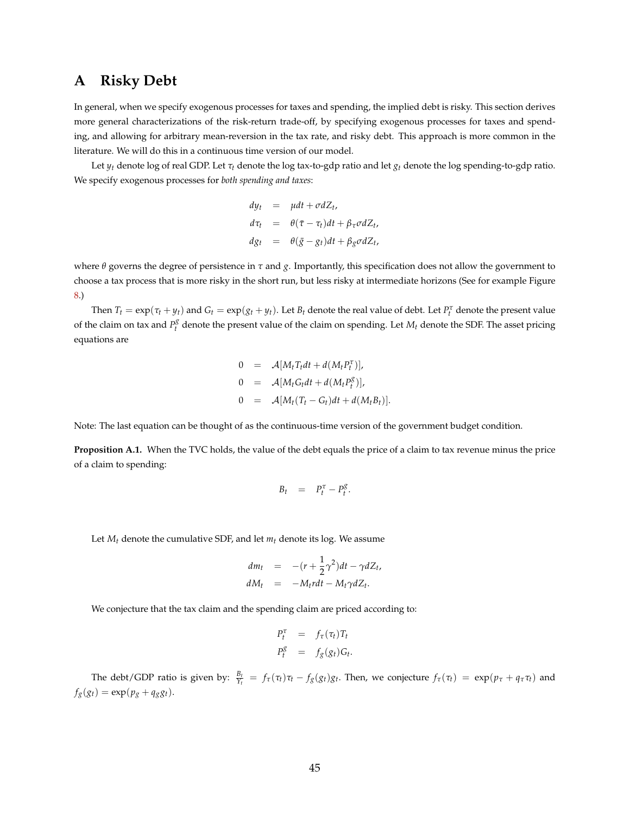# <span id="page-45-0"></span>**A Risky Debt**

In general, when we specify exogenous processes for taxes and spending, the implied debt is risky. This section derives more general characterizations of the risk-return trade-off, by specifying exogenous processes for taxes and spending, and allowing for arbitrary mean-reversion in the tax rate, and risky debt. This approach is more common in the literature. We will do this in a continuous time version of our model.

Let  $y_t$  denote log of real GDP. Let  $\tau_t$  denote the log tax-to-gdp ratio and let  $g_t$  denote the log spending-to-gdp ratio. We specify exogenous processes for *both spending and taxes*:

$$
dy_t = \mu dt + \sigma dZ_t,
$$
  
\n
$$
d\tau_t = \theta(\bar{\tau} - \tau_t)dt + \beta_{\tau}\sigma dZ_t,
$$
  
\n
$$
dg_t = \theta(\bar{g} - g_t)dt + \beta_g\sigma dZ_t,
$$

where *θ* governs the degree of persistence in *τ* and *g*. Importantly, this specification does not allow the government to choose a tax process that is more risky in the short run, but less risky at intermediate horizons (See for example Figure [8.](#page-35-0))

Then  $T_t = \exp(\tau_t + y_t)$  and  $G_t = \exp(g_t + y_t)$ . Let  $B_t$  denote the real value of debt. Let  $P_t^{\tau}$  denote the present value of the claim on tax and  $P_t^g$  denote the present value of the claim on spending. Let  $M_t$  denote the SDF. The asset pricing equations are

$$
0 = \mathcal{A}[M_t T_t dt + d(M_t P_t^{\tau})],
$$
  
\n
$$
0 = \mathcal{A}[M_t G_t dt + d(M_t P_t^g)],
$$
  
\n
$$
0 = \mathcal{A}[M_t (T_t - G_t) dt + d(M_t B_t)].
$$

Note: The last equation can be thought of as the continuous-time version of the government budget condition.

**Proposition A.1.** When the TVC holds, the value of the debt equals the price of a claim to tax revenue minus the price of a claim to spending:

$$
B_t = P_t^{\tau} - P_t^g.
$$

Let  $M_t$  denote the cumulative SDF, and let  $m_t$  denote its log. We assume

$$
dm_t = -(r + \frac{1}{2}\gamma^2)dt - \gamma dZ_t,
$$
  

$$
dM_t = -M_t r dt - M_t \gamma dZ_t.
$$

We conjecture that the tax claim and the spending claim are priced according to:

$$
P_t^{\tau} = f_{\tau}(\tau_t)T_t
$$
  

$$
P_t^g = f_g(g_t)G_t.
$$

The debt/GDP ratio is given by:  $\frac{B_t}{Y_t} = f_\tau(\tau_t)\tau_t - f_g(g_t)g_t$ . Then, we conjecture  $f_\tau(\tau_t) = \exp(p_\tau + q_\tau \tau_t)$  and  $f_g(g_t) = \exp(p_g + q_g g_t).$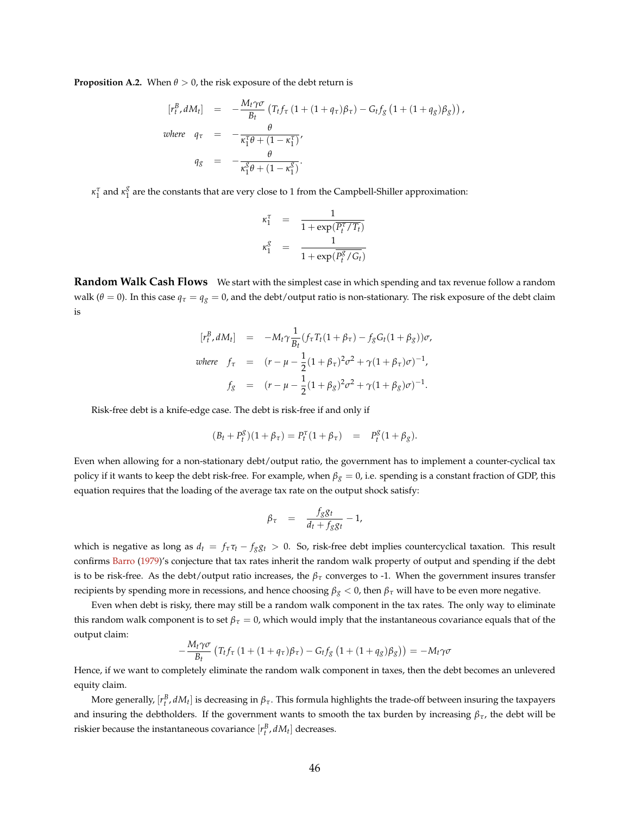<span id="page-46-0"></span>**Proposition A.2.** When  $\theta > 0$ , the risk exposure of the debt return is

$$
[r_t^B, dM_t] = -\frac{M_t \gamma \sigma}{B_t} (T_t f_\tau (1 + (1 + q_\tau) \beta_\tau) - G_t f_g (1 + (1 + q_g) \beta_g)),
$$
  
where  $q_\tau = -\frac{\theta}{\kappa_1^T \theta + (1 - \kappa_1^T)},$   
 $q_g = -\frac{\theta}{\kappa_1^g \theta + (1 - \kappa_1^g)}.$ 

*κ*<sup>*τ*</sup></sup><sub>1</sub> and *κ*<sup>*g*</sup><sub>1</sub>  $\frac{8}{1}$  are the constants that are very close to 1 from the Campbell-Shiller approximation:

$$
\begin{array}{rcl} \kappa_1^{\tau} & = & \displaystyle \frac{1}{1+\exp(\overline{P_t^{\tau}/T_t})} \\ \kappa_1^g & = & \displaystyle \frac{1}{1+\exp(\overline{P_t^g}/G_t)} \end{array}
$$

**Random Walk Cash Flows** We start with the simplest case in which spending and tax revenue follow a random walk ( $\theta = 0$ ). In this case  $q_\tau = q_g = 0$ , and the debt/output ratio is non-stationary. The risk exposure of the debt claim is

$$
[r_t^B, dM_t] = -M_t \gamma \frac{1}{B_t} (f_\tau T_t (1 + \beta_\tau) - f_g G_t (1 + \beta_g)) \sigma,
$$
  
where  $f_\tau$  =  $(r - \mu - \frac{1}{2} (1 + \beta_\tau)^2 \sigma^2 + \gamma (1 + \beta_\tau) \sigma)^{-1},$   
 $f_g$  =  $(r - \mu - \frac{1}{2} (1 + \beta_g)^2 \sigma^2 + \gamma (1 + \beta_g) \sigma)^{-1}.$ 

Risk-free debt is a knife-edge case. The debt is risk-free if and only if

$$
(B_t + P_t^g)(1 + \beta_\tau) = P_t^\tau (1 + \beta_\tau) = P_t^g (1 + \beta_g).
$$

Even when allowing for a non-stationary debt/output ratio, the government has to implement a counter-cyclical tax policy if it wants to keep the debt risk-free. For example, when *β<sup>g</sup>* = 0, i.e. spending is a constant fraction of GDP, this equation requires that the loading of the average tax rate on the output shock satisfy:

$$
\beta_{\tau} = \frac{f_{g}g_{t}}{d_{t} + f_{g}g_{t}} - 1,
$$

which is negative as long as  $d_t = f_\tau \tau_t - f_g g_t > 0$ . So, risk-free debt implies countercyclical taxation. This result confirms [Barro](#page-41-0) [\(1979\)](#page-41-0)'s conjecture that tax rates inherit the random walk property of output and spending if the debt is to be risk-free. As the debt/output ratio increases, the  $\beta_{\tau}$  converges to -1. When the government insures transfer recipients by spending more in recessions, and hence choosing *β<sup>g</sup>* < 0, then *β<sup>τ</sup>* will have to be even more negative.

Even when debt is risky, there may still be a random walk component in the tax rates. The only way to eliminate this random walk component is to set  $\beta_\tau = 0$ , which would imply that the instantaneous covariance equals that of the output claim:

$$
-\frac{M_t\gamma\sigma}{B_t}\left(T_tf_\tau\left(1+(1+q_\tau)\beta_\tau\right)-G_tf_g\left(1+(1+q_g)\beta_g\right)\right)=-M_t\gamma\sigma
$$

Hence, if we want to completely eliminate the random walk component in taxes, then the debt becomes an unlevered equity claim.

More generally,  $[r_t^B,dM_t]$  is decreasing in  $\beta_\tau$ . This formula highlights the trade-off between insuring the taxpayers and insuring the debtholders. If the government wants to smooth the tax burden by increasing  $\beta_{\tau}$ , the debt will be riskier because the instantaneous covariance  $[r_t^B, dM_t]$  decreases.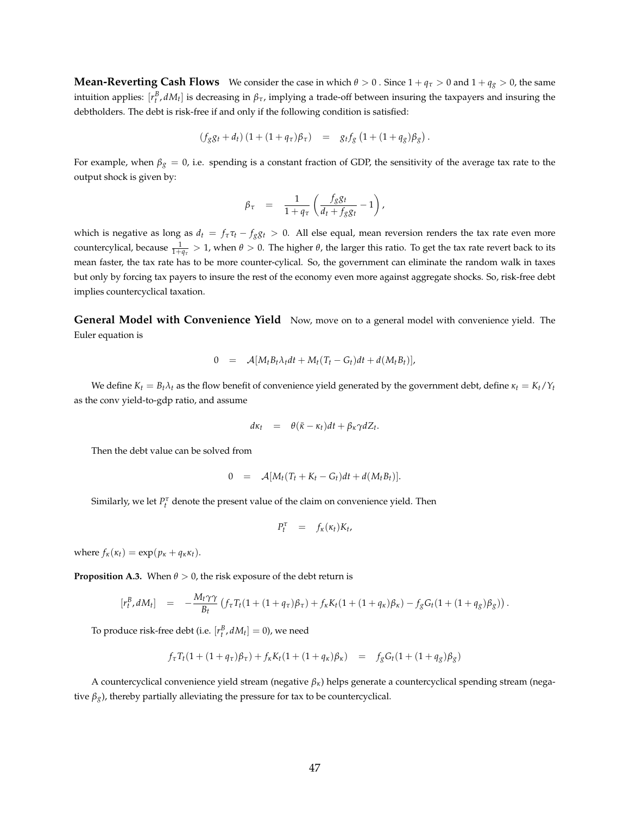**Mean-Reverting Cash Flows** We consider the case in which  $\theta > 0$ . Since  $1 + q_\tau > 0$  and  $1 + q_g > 0$ , the same intuition applies:  $[r_t^B, dM_t]$  is decreasing in  $\beta_{\tau}$ , implying a trade-off between insuring the taxpayers and insuring the debtholders. The debt is risk-free if and only if the following condition is satisfied:

$$
(f_{g}g_{t} + d_{t}) (1 + (1 + q_{\tau})\beta_{\tau}) = g_{t}f_{g} (1 + (1 + q_{g})\beta_{g}).
$$

For example, when  $\beta_g = 0$ , i.e. spending is a constant fraction of GDP, the sensitivity of the average tax rate to the output shock is given by:

$$
\beta_{\tau} = \frac{1}{1 + q_{\tau}} \left( \frac{f_{g} g_{t}}{d_{t} + f_{g} g_{t}} - 1 \right),
$$

which is negative as long as  $d_t = f_\tau \tau_t - f_g g_t > 0$ . All else equal, mean reversion renders the tax rate even more countercylical, because  $\frac{1}{1+q_\tau}>1$ , when  $\theta>0$ . The higher  $\theta$ , the larger this ratio. To get the tax rate revert back to its mean faster, the tax rate has to be more counter-cylical. So, the government can eliminate the random walk in taxes but only by forcing tax payers to insure the rest of the economy even more against aggregate shocks. So, risk-free debt implies countercyclical taxation.

**General Model with Convenience Yield** Now, move on to a general model with convenience yield. The Euler equation is

$$
0 = \mathcal{A}[M_t B_t \lambda_t dt + M_t (T_t - G_t) dt + d(M_t B_t)],
$$

We define  $K_t = B_t \lambda_t$  as the flow benefit of convenience yield generated by the government debt, define  $\kappa_t = K_t / Y_t$ as the conv yield-to-gdp ratio, and assume

$$
d\kappa_t = \theta(\bar{\kappa} - \kappa_t)dt + \beta_{\kappa}\gamma dZ_t.
$$

Then the debt value can be solved from

$$
0 = \mathcal{A}[M_t(T_t + K_t - G_t)dt + d(M_t B_t)].
$$

Similarly, we let  $P_t^{\tau}$  denote the present value of the claim on convenience yield. Then

$$
P_t^{\tau} = f_{\kappa}(\kappa_t) K_t,
$$

where  $f_k(\kappa_t) = \exp(p_k + q_k \kappa_t)$ .

**Proposition A.3.** When  $\theta > 0$ , the risk exposure of the debt return is

$$
[r_t^B, dM_t] = -\frac{M_t \gamma \gamma}{B_t} (f_\tau T_t (1 + (1 + q_\tau)\beta_\tau) + f_\kappa K_t (1 + (1 + q_\kappa)\beta_\kappa) - f_g G_t (1 + (1 + q_g)\beta_g)).
$$

To produce risk-free debt (i.e.  $[r_t^B, dM_t] = 0$ ), we need

$$
f_{\tau}T_t(1+(1+q_{\tau})\beta_{\tau})+f_{\kappa}K_t(1+(1+q_{\kappa})\beta_{\kappa}) = f_gG_t(1+(1+q_g)\beta_g)
$$

A countercyclical convenience yield stream (negative *βκ*) helps generate a countercyclical spending stream (negative  $\beta_g$ ), thereby partially alleviating the pressure for tax to be countercyclical.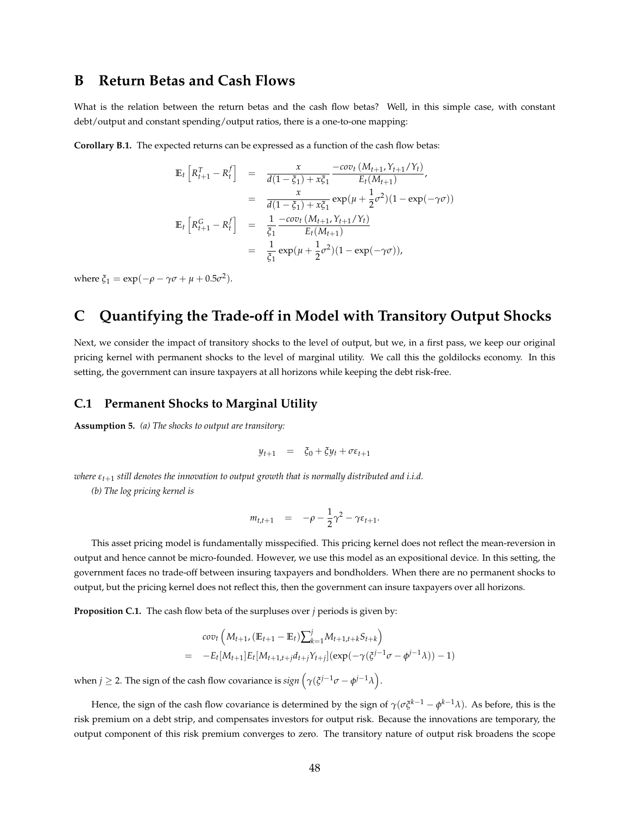### **B Return Betas and Cash Flows**

What is the relation between the return betas and the cash flow betas? Well, in this simple case, with constant debt/output and constant spending/output ratios, there is a one-to-one mapping:

**Corollary B.1.** The expected returns can be expressed as a function of the cash flow betas:

$$
\mathbb{E}_{t}\left[R_{t+1}^{T} - R_{t}^{f}\right] = \frac{x}{d(1-\xi_{1}) + x\xi_{1}} \frac{-cov_{t}\left(M_{t+1}, Y_{t+1}/Y_{t}\right)}{E_{t}(M_{t+1})},
$$
\n
$$
= \frac{x}{d(1-\xi_{1}) + x\xi_{1}} exp(\mu + \frac{1}{2}\sigma^{2})(1 - exp(-\gamma\sigma))
$$
\n
$$
\mathbb{E}_{t}\left[R_{t+1}^{G} - R_{t}^{f}\right] = \frac{1}{\xi_{1}} \frac{-cov_{t}\left(M_{t+1}, Y_{t+1}/Y_{t}\right)}{E_{t}(M_{t+1})}
$$
\n
$$
= \frac{1}{\xi_{1}} exp(\mu + \frac{1}{2}\sigma^{2})(1 - exp(-\gamma\sigma)),
$$

where  $\xi_1 = \exp(-\rho - \gamma \sigma + \mu + 0.5\sigma^2)$ .

# **C Quantifying the Trade-off in Model with Transitory Output Shocks**

Next, we consider the impact of transitory shocks to the level of output, but we, in a first pass, we keep our original pricing kernel with permanent shocks to the level of marginal utility. We call this the goldilocks economy. In this setting, the government can insure taxpayers at all horizons while keeping the debt risk-free.

#### **C.1 Permanent Shocks to Marginal Utility**

**Assumption 5.** *(a) The shocks to output are transitory:*

$$
y_{t+1} = \xi_0 + \xi y_t + \sigma \varepsilon_{t+1}
$$

*where εt*+<sup>1</sup> *still denotes the innovation to output growth that is normally distributed and i.i.d.*

*(b) The log pricing kernel is*

$$
m_{t,t+1} = -\rho - \frac{1}{2}\gamma^2 - \gamma \varepsilon_{t+1}.
$$

This asset pricing model is fundamentally misspecified. This pricing kernel does not reflect the mean-reversion in output and hence cannot be micro-founded. However, we use this model as an expositional device. In this setting, the government faces no trade-off between insuring taxpayers and bondholders. When there are no permanent shocks to output, but the pricing kernel does not reflect this, then the government can insure taxpayers over all horizons.

**Proposition C.1.** The cash flow beta of the surpluses over *j* periods is given by:

$$
cov_t\left(M_{t+1}, (\mathbb{E}_{t+1} - \mathbb{E}_t)\sum_{k=1}^j M_{t+1,t+k} S_{t+k}\right)
$$
  
= 
$$
-E_t[M_{t+1}]E_t[M_{t+1,t+j}d_{t+j}Y_{t+j}](exp(-\gamma(\xi^{j-1}\sigma - \phi^{j-1}\lambda)) - 1)
$$

when  $j \geq 2$ . The sign of the cash flow covariance is  $sign(\gamma(\xi^{j-1}\sigma - \phi^{j-1}\lambda))$ .

Hence, the sign of the cash flow covariance is determined by the sign of *γ*(*σξk*−<sup>1</sup> − *φ <sup>k</sup>*−1*λ*). As before, this is the risk premium on a debt strip, and compensates investors for output risk. Because the innovations are temporary, the output component of this risk premium converges to zero. The transitory nature of output risk broadens the scope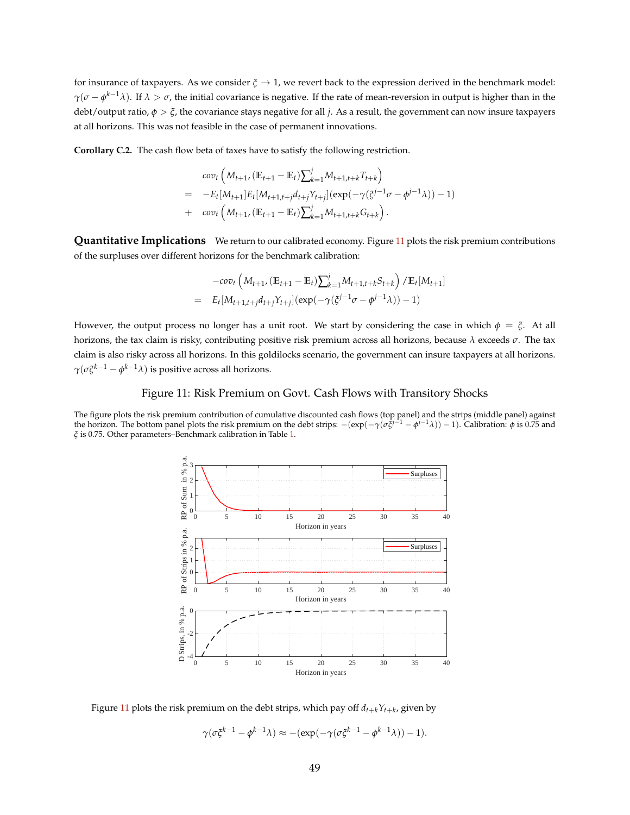for insurance of taxpayers. As we consider  $\zeta \to 1$ , we revert back to the expression derived in the benchmark model: *γ*(*σ* − *φ*<sup>*k*−1</sup>*λ*). If *λ* > *σ*, the initial covariance is negative. If the rate of mean-reversion in output is higher than in the debt/output ratio, *φ* > *ξ*, the covariance stays negative for all *j*. As a result, the government can now insure taxpayers at all horizons. This was not feasible in the case of permanent innovations.

**Corollary C.2.** The cash flow beta of taxes have to satisfy the following restriction.

$$
cov_t \left( M_{t+1}, (\mathbb{E}_{t+1} - \mathbb{E}_t) \sum_{k=1}^j M_{t+1,t+k} T_{t+k} \right)
$$
  
= 
$$
-E_t[M_{t+1}] E_t[M_{t+1,t+j} d_{t+j} Y_{t+j}] (\exp(-\gamma (\xi^{j-1} \sigma - \phi^{j-1} \lambda)) - 1)
$$
  
+ 
$$
cov_t \left( M_{t+1}, (\mathbb{E}_{t+1} - \mathbb{E}_t) \sum_{k=1}^j M_{t+1,t+k} G_{t+k} \right).
$$

**Quantitative Implications** We return to our calibrated economy. Figure [11](#page-49-0) plots the risk premium contributions of the surpluses over different horizons for the benchmark calibration:

$$
-cov_t \left( M_{t+1}, (\mathbb{E}_{t+1} - \mathbb{E}_t) \sum_{k=1}^j M_{t+1,t+k} S_{t+k} \right) / \mathbb{E}_t[M_{t+1}]
$$
  
=  $E_t[M_{t+1,t+j}d_{t+j}Y_{t+j}] (exp(-\gamma(\xi^{j-1}\sigma - \phi^{j-1}\lambda)) - 1)$ 

However, the output process no longer has a unit root. We start by considering the case in which  $\phi = \xi$ . At all horizons, the tax claim is risky, contributing positive risk premium across all horizons, because *λ* exceeds *σ*. The tax claim is also risky across all horizons. In this goldilocks scenario, the government can insure taxpayers at all horizons. *γ*(*σξk*−<sup>1</sup> − *φ <sup>k</sup>*−1*λ*) is positive across all horizons.

#### Figure 11: Risk Premium on Govt. Cash Flows with Transitory Shocks

<span id="page-49-0"></span>The figure plots the risk premium contribution of cumulative discounted cash flows (top panel) and the strips (middle panel) against<br>the horizon. The bottom panel plots the risk premium on the debt strips:  $-(\exp(-\gamma(\sigma \xi^{j-1$ *ξ* is 0.75. Other parameters–Benchmark calibration in Table [1.](#page-15-0)



Figure  $11$  plots the risk premium on the debt strips, which pay off  $d_{t+k}Y_{t+k}$ , given by

$$
\gamma(\sigma \xi^{k-1} - \phi^{k-1} \lambda) \approx -(\exp(-\gamma(\sigma \xi^{k-1} - \phi^{k-1} \lambda)) - 1).
$$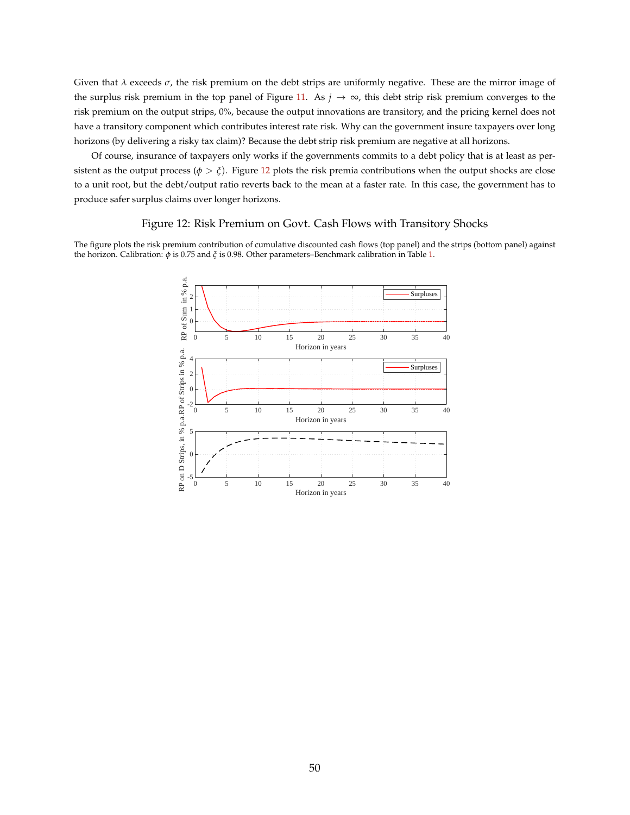Given that *λ* exceeds *σ*, the risk premium on the debt strips are uniformly negative. These are the mirror image of the surplus risk premium in the top panel of Figure [11.](#page-49-0) As  $j \to \infty$ , this debt strip risk premium converges to the risk premium on the output strips, 0%, because the output innovations are transitory, and the pricing kernel does not have a transitory component which contributes interest rate risk. Why can the government insure taxpayers over long horizons (by delivering a risky tax claim)? Because the debt strip risk premium are negative at all horizons.

Of course, insurance of taxpayers only works if the governments commits to a debt policy that is at least as persistent as the output process ( $\phi > \xi$ ). Figure [12](#page-50-0) plots the risk premia contributions when the output shocks are close to a unit root, but the debt/output ratio reverts back to the mean at a faster rate. In this case, the government has to produce safer surplus claims over longer horizons.

#### Figure 12: Risk Premium on Govt. Cash Flows with Transitory Shocks

<span id="page-50-0"></span>The figure plots the risk premium contribution of cumulative discounted cash flows (top panel) and the strips (bottom panel) against the horizon. Calibration: *φ* is 0.75 and *ξ* is 0.98. Other parameters–Benchmark calibration in Table [1.](#page-15-0)

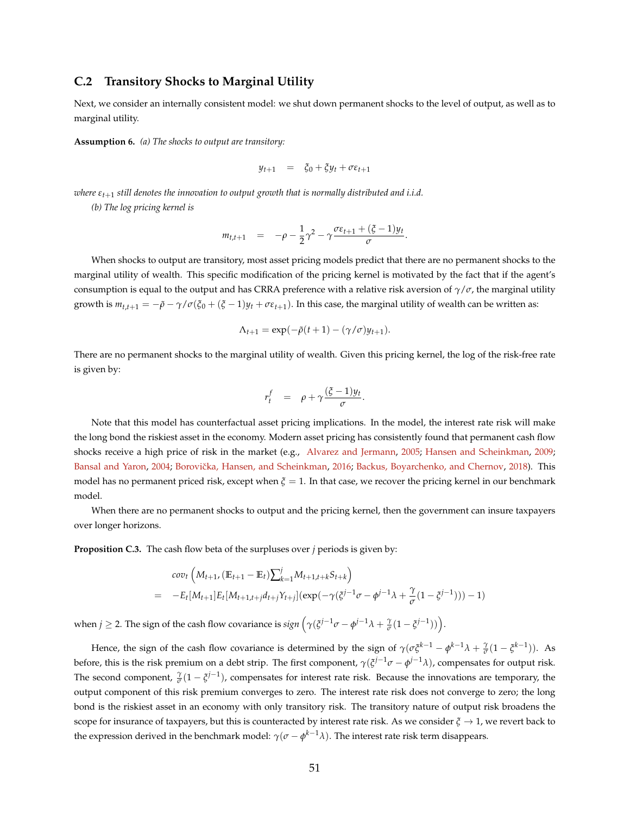#### **C.2 Transitory Shocks to Marginal Utility**

Next, we consider an internally consistent model: we shut down permanent shocks to the level of output, as well as to marginal utility.

**Assumption 6.** *(a) The shocks to output are transitory:*

$$
y_{t+1} = \xi_0 + \xi y_t + \sigma \varepsilon_{t+1}
$$

*where εt*+<sup>1</sup> *still denotes the innovation to output growth that is normally distributed and i.i.d.*

*(b) The log pricing kernel is*

$$
m_{t,t+1} = -\rho - \frac{1}{2}\gamma^2 - \gamma \frac{\sigma \varepsilon_{t+1} + (\xi - 1)y_t}{\sigma}
$$

.

When shocks to output are transitory, most asset pricing models predict that there are no permanent shocks to the marginal utility of wealth. This specific modification of the pricing kernel is motivated by the fact that if the agent's consumption is equal to the output and has CRRA preference with a relative risk aversion of *γ*/*σ*, the marginal utility growth is  $m_{t,t+1} = -\tilde{\rho} - \gamma/\sigma(\xi_0 + (\xi - 1)y_t + \sigma \varepsilon_{t+1})$ . In this case, the marginal utility of wealth can be written as:

$$
\Lambda_{t+1} = \exp(-\tilde{\rho}(t+1) - (\gamma/\sigma)y_{t+1}).
$$

There are no permanent shocks to the marginal utility of wealth. Given this pricing kernel, the log of the risk-free rate is given by:

$$
r_t^f = \rho + \gamma \frac{(\xi - 1)y_t}{\sigma}.
$$

Note that this model has counterfactual asset pricing implications. In the model, the interest rate risk will make the long bond the riskiest asset in the economy. Modern asset pricing has consistently found that permanent cash flow shocks receive a high price of risk in the market (e.g., [Alvarez and Jermann,](#page-41-1) [2005;](#page-41-1) [Hansen and Scheinkman,](#page-43-2) [2009;](#page-43-2) [Bansal and Yaron,](#page-41-2) [2004;](#page-41-2) Borovička, Hansen, and Scheinkman, [2016;](#page-42-0) [Backus, Boyarchenko, and Chernov,](#page-41-3) [2018\)](#page-41-3). This model has no permanent priced risk, except when *ξ* = 1. In that case, we recover the pricing kernel in our benchmark model.

When there are no permanent shocks to output and the pricing kernel, then the government can insure taxpayers over longer horizons.

**Proposition C.3.** The cash flow beta of the surpluses over *j* periods is given by:

$$
cov_t\left(M_{t+1}, (\mathbb{E}_{t+1} - \mathbb{E}_t)\sum_{k=1}^j M_{t+1,t+k} S_{t+k}\right)
$$
  
= 
$$
-E_t[M_{t+1}]E_t[M_{t+1,t+j}d_{t+j}Y_{t+j}](exp(-\gamma(\xi^{j-1}\sigma - \phi^{j-1}\lambda + \frac{\gamma}{\sigma}(1 - \xi^{j-1}))) - 1)
$$

when  $j \ge 2$ . The sign of the cash flow covariance is  $sign(\gamma(\xi^{j-1}\sigma - \phi^{j-1}\lambda + \frac{\gamma}{\sigma}(1 - \xi^{j-1}))$ .

Hence, the sign of the cash flow covariance is determined by the sign of  $\gamma(\sigma\xi^{k-1} - \phi^{k-1}\lambda + \frac{\gamma}{\sigma}(1 - \zeta^{k-1}))$ . As before, this is the risk premium on a debt strip. The first component, *γ*(*ξ <sup>j</sup>*−1*σ* − *φ <sup>j</sup>*−1*λ*), compensates for output risk. The second component,  $\frac{\gamma}{\sigma}(1-\xi^{j-1})$ , compensates for interest rate risk. Because the innovations are temporary, the output component of this risk premium converges to zero. The interest rate risk does not converge to zero; the long bond is the riskiest asset in an economy with only transitory risk. The transitory nature of output risk broadens the scope for insurance of taxpayers, but this is counteracted by interest rate risk. As we consider  $\xi \to 1$ , we revert back to the expression derived in the benchmark model:  $\gamma(\sigma-\phi^{k-1}\lambda)$ . The interest rate risk term disappears.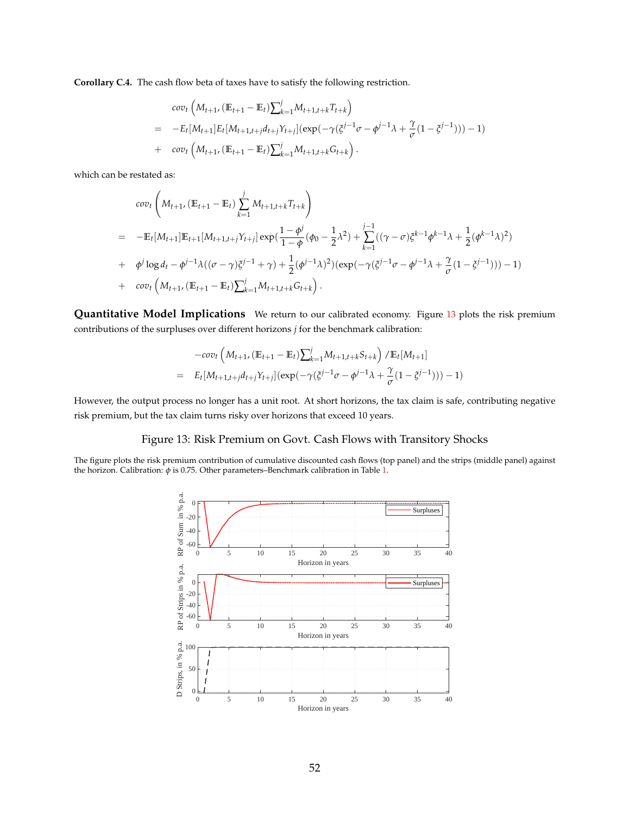**Corollary C.4.** The cash flow beta of taxes have to satisfy the following restriction.

$$
cov_t\left(M_{t+1}, (\mathbb{E}_{t+1} - \mathbb{E}_t)\sum_{k=1}^j M_{t+1,t+k}T_{t+k}\right)
$$
  
= 
$$
-E_t[M_{t+1}]E_t[M_{t+1,t+j}d_{t+j}Y_{t+j}](exp(-\gamma(\xi^{j-1}\sigma - \phi^{j-1}\lambda + \frac{\gamma}{\sigma}(1 - \xi^{j-1}))) - 1)
$$
  
+ 
$$
cov_t\left(M_{t+1}, (\mathbb{E}_{t+1} - \mathbb{E}_t)\sum_{k=1}^j M_{t+1,t+k}G_{t+k}\right).
$$

which can be restated as:

$$
cov_t\left(M_{t+1}, (\mathbb{E}_{t+1} - \mathbb{E}_t) \sum_{k=1}^j M_{t+1,t+k} T_{t+k}\right)
$$
  
= 
$$
-\mathbb{E}_t[M_{t+1}]\mathbb{E}_{t+1}[M_{t+1,t+j}Y_{t+j}]exp(\frac{1-\phi^j}{1-\phi}(\phi_0 - \frac{1}{2}\lambda^2) + \sum_{k=1}^{j-1}((\gamma - \sigma)\xi^{k-1}\phi^{k-1}\lambda + \frac{1}{2}(\phi^{k-1}\lambda)^2)
$$
  
+ 
$$
\phi^j \log d_t - \phi^{j-1}\lambda((\sigma - \gamma)\xi^{j-1} + \gamma) + \frac{1}{2}(\phi^{j-1}\lambda)^2)(exp(-\gamma(\xi^{j-1}\sigma - \phi^{j-1}\lambda + \frac{\gamma}{\sigma}(1 - \xi^{j-1}))) - 1)
$$
  
+ 
$$
cov_t\left(M_{t+1}, (\mathbb{E}_{t+1} - \mathbb{E}_t)\sum_{k=1}^j M_{t+1,t+k} G_{t+k}\right).
$$

**Quantitative Model Implications** We return to our calibrated economy. Figure [13](#page-52-0) plots the risk premium contributions of the surpluses over different horizons *j* for the benchmark calibration:

$$
-cov_t \left( M_{t+1}, (\mathbb{E}_{t+1} - \mathbb{E}_t) \sum_{k=1}^j M_{t+1,t+k} S_{t+k} \right) / \mathbb{E}_t [M_{t+1}]
$$
  
=  $E_t [M_{t+1,t+j} d_{t+j} Y_{t+j}] (exp(-\gamma (\xi^{j-1} \sigma - \phi^{j-1} \lambda + \frac{\gamma}{\sigma} (1 - \xi^{j-1}))) - 1)$ 

<span id="page-52-0"></span>However, the output process no longer has a unit root. At short horizons, the tax claim is safe, contributing negative risk premium, but the tax claim turns risky over horizons that exceed 10 years.

### Figure 13: Risk Premium on Govt. Cash Flows with Transitory Shocks

The figure plots the risk premium contribution of cumulative discounted cash flows (top panel) and the strips (middle panel) against the horizon. Calibration: *φ* is 0.75. Other parameters–Benchmark calibration in Table [1.](#page-15-0)

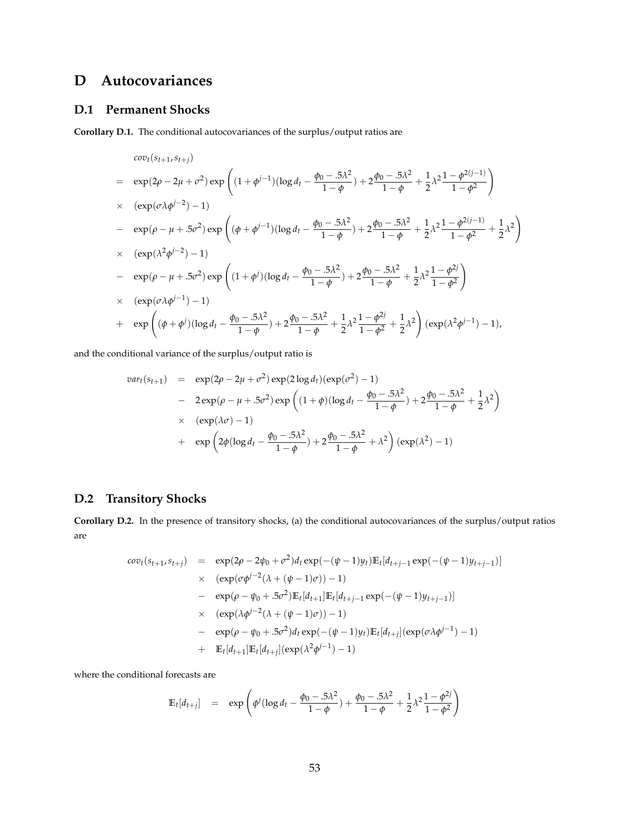# **D Autocovariances**

### **D.1 Permanent Shocks**

**Corollary D.1.** The conditional autocovariances of the surplus/output ratios are

$$
cov_t(s_{t+1}, s_{t+j})
$$
\n
$$
= \exp(2\rho - 2\mu + \sigma^2) \exp\left((1 + \phi^{j-1})(\log d_t - \frac{\phi_0 - 5\lambda^2}{1 - \phi}) + 2\frac{\phi_0 - 5\lambda^2}{1 - \phi} + \frac{1}{2}\lambda^2 \frac{1 - \phi^{2(j-1)}}{1 - \phi^2}\right)
$$
\n
$$
\times (\exp(\sigma\lambda\phi^{j-2}) - 1)
$$
\n
$$
- \exp(\rho - \mu + 5\sigma^2) \exp\left((\phi + \phi^{j-1})(\log d_t - \frac{\phi_0 - 5\lambda^2}{1 - \phi}) + 2\frac{\phi_0 - 5\lambda^2}{1 - \phi} + \frac{1}{2}\lambda^2 \frac{1 - \phi^{2(j-1)}}{1 - \phi^2} + \frac{1}{2}\lambda^2\right)
$$
\n
$$
\times (\exp(\lambda^2\phi^{j-2}) - 1)
$$
\n
$$
- \exp(\rho - \mu + 5\sigma^2) \exp\left((1 + \phi^j)(\log d_t - \frac{\phi_0 - 5\lambda^2}{1 - \phi}) + 2\frac{\phi_0 - 5\lambda^2}{1 - \phi} + \frac{1}{2}\lambda^2 \frac{1 - \phi^{2j}}{1 - \phi^2}\right)
$$
\n
$$
\times (\exp(\sigma\lambda\phi^{j-1}) - 1)
$$
\n
$$
+ \exp\left((\phi + \phi^j)(\log d_t - \frac{\phi_0 - 5\lambda^2}{1 - \phi}) + 2\frac{\phi_0 - 5\lambda^2}{1 - \phi} + \frac{1}{2}\lambda^2 \frac{1 - \phi^{2j}}{1 - \phi^2} + \frac{1}{2}\lambda^2\right) (\exp(\lambda^2\phi^{j-1}) - 1),
$$

and the conditional variance of the surplus/output ratio is

$$
var_t(s_{t+1}) = \exp(2\rho - 2\mu + \sigma^2) \exp(2\log d_t)(\exp(\sigma^2) - 1)
$$
  
- 2 exp(\rho - \mu + .5\sigma^2) exp ((1 + \phi)(\log d\_t - \frac{\phi\_0 - .5\lambda^2}{1 - \phi}) + 2\frac{\phi\_0 - .5\lambda^2}{1 - \phi} + \frac{1}{2}\lambda^2)  
× (exp(\lambda\sigma) - 1)  
+ exp(2\phi(\log d\_t - \frac{\phi\_0 - .5\lambda^2}{1 - \phi}) + 2\frac{\phi\_0 - .5\lambda^2}{1 - \phi} + \lambda^2) (exp(\lambda^2) - 1)

### **D.2 Transitory Shocks**

**Corollary D.2.** In the presence of transitory shocks, (a) the conditional autocovariances of the surplus/output ratios are

$$
cov_{t}(s_{t+1}, s_{t+j}) = \exp(2\rho - 2\psi_{0} + \sigma^{2})d_{t} \exp(-( \psi - 1)y_{t}) \mathbb{E}_{t}[d_{t+j-1} \exp(-( \psi - 1)y_{t+j-1})]
$$
  
\n
$$
\times (\exp(\sigma \phi^{j-2}(\lambda + (\psi - 1)\sigma)) - 1)
$$
  
\n
$$
- \exp(\rho - \psi_{0} + .5\sigma^{2}) \mathbb{E}_{t}[d_{t+1}] \mathbb{E}_{t}[d_{t+j-1} \exp(-( \psi - 1)y_{t+j-1})]
$$
  
\n
$$
\times (\exp(\lambda \phi^{j-2}(\lambda + (\psi - 1)\sigma)) - 1)
$$
  
\n
$$
- \exp(\rho - \psi_{0} + .5\sigma^{2})d_{t} \exp(-( \psi - 1)y_{t}) \mathbb{E}_{t}[d_{t+j}] (\exp(\sigma \lambda \phi^{j-1}) - 1)
$$
  
\n
$$
+ \mathbb{E}_{t}[d_{t+1}] \mathbb{E}_{t}[d_{t+j}] (\exp(\lambda^{2} \phi^{j-1}) - 1)
$$

where the conditional forecasts are

$$
\mathbb{E}_{t}[d_{t+j}] = \exp\left(\phi^{j}(\log d_{t} - \frac{\phi_{0} - .5\lambda^{2}}{1 - \phi}) + \frac{\phi_{0} - .5\lambda^{2}}{1 - \phi} + \frac{1}{2}\lambda^{2}\frac{1 - \phi^{2j}}{1 - \phi^{2}}\right)
$$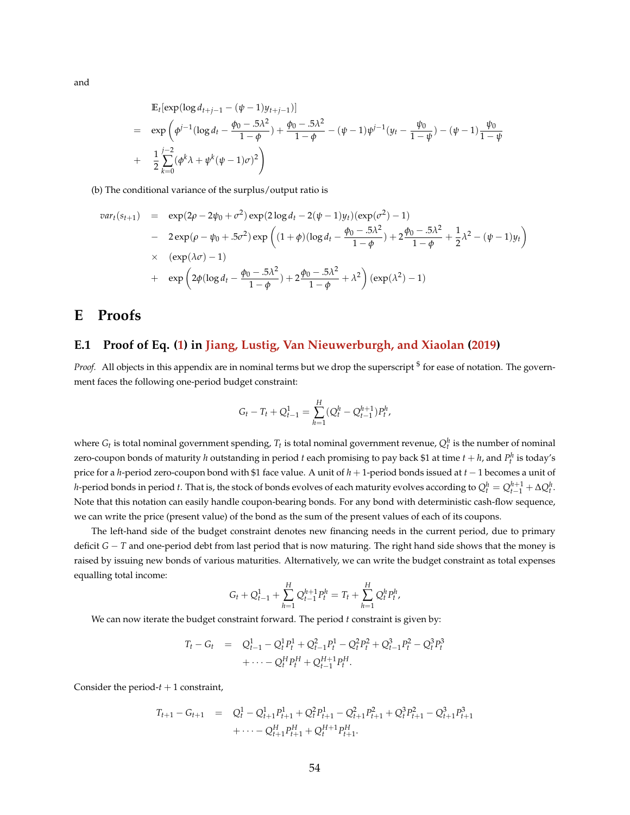and

$$
\mathbb{E}_{t}[\exp(\log d_{t+j-1} - (\psi - 1)y_{t+j-1})]
$$
\n
$$
= \exp\left(\phi^{j-1}(\log d_{t} - \frac{\phi_{0} - 5\lambda^{2}}{1 - \phi}) + \frac{\phi_{0} - 5\lambda^{2}}{1 - \phi} - (\psi - 1)\psi^{j-1}(y_{t} - \frac{\psi_{0}}{1 - \psi}) - (\psi - 1)\frac{\psi_{0}}{1 - \psi}\right)
$$
\n
$$
+ \frac{1}{2}\sum_{k=0}^{j-2}(\phi^{k}\lambda + \psi^{k}(\psi - 1)\sigma)^{2}\right)
$$

(b) The conditional variance of the surplus/output ratio is

$$
var_t(s_{t+1}) = \exp(2\rho - 2\psi_0 + \sigma^2) \exp(2\log d_t - 2(\psi - 1)y_t)(\exp(\sigma^2) - 1)
$$
  
-  $2 \exp(\rho - \psi_0 + .5\sigma^2) \exp\left((1 + \phi)(\log d_t - \frac{\phi_0 - .5\lambda^2}{1 - \phi}) + 2\frac{\phi_0 - .5\lambda^2}{1 - \phi} + \frac{1}{2}\lambda^2 - (\psi - 1)y_t\right)$   
 $\times (\exp(\lambda\sigma) - 1)$   
+  $\exp\left(2\phi(\log d_t - \frac{\phi_0 - .5\lambda^2}{1 - \phi}) + 2\frac{\phi_0 - .5\lambda^2}{1 - \phi} + \lambda^2\right)(\exp(\lambda^2) - 1)$ 

# **E Proofs**

### **E.1 Proof of Eq. [\(1\)](#page-7-0) in [Jiang, Lustig, Van Nieuwerburgh, and Xiaolan](#page-43-3) [\(2019\)](#page-43-3)**

Proof. All objects in this appendix are in nominal terms but we drop the superscript <sup>\$</sup> for ease of notation. The government faces the following one-period budget constraint:

$$
G_t - T_t + Q_{t-1}^1 = \sum_{h=1}^H (Q_t^h - Q_{t-1}^{h+1}) P_t^h,
$$

where  $G_t$  is total nominal government spending,  $T_t$  is total nominal government revenue,  $Q_t^h$  is the number of nominal zero-coupon bonds of maturity *h* outstanding in period *t* each promising to pay back \$1 at time  $t + h$ , and  $P_t^h$  is today's price for a *h*-period zero-coupon bond with \$1 face value. A unit of *h* + 1-period bonds issued at *t* − 1 becomes a unit of *h*-period bonds in period *t*. That is, the stock of bonds evolves of each maturity evolves according to  $Q_t^h=Q_{t-1}^{h+1}+\Delta Q_t^h$ . Note that this notation can easily handle coupon-bearing bonds. For any bond with deterministic cash-flow sequence, we can write the price (present value) of the bond as the sum of the present values of each of its coupons.

The left-hand side of the budget constraint denotes new financing needs in the current period, due to primary deficit *G* − *T* and one-period debt from last period that is now maturing. The right hand side shows that the money is raised by issuing new bonds of various maturities. Alternatively, we can write the budget constraint as total expenses equalling total income:

$$
G_t + Q_{t-1}^1 + \sum_{h=1}^H Q_{t-1}^{h+1} P_t^h = T_t + \sum_{h=1}^H Q_t^h P_t^h,
$$

We can now iterate the budget constraint forward. The period *t* constraint is given by:

$$
T_t - G_t = Q_{t-1}^1 - Q_t^1 P_t^1 + Q_{t-1}^2 P_t^1 - Q_t^2 P_t^2 + Q_{t-1}^3 P_t^2 - Q_t^3 P_t^3
$$
  
+ 
$$
\cdots - Q_t^1 P_t^H + Q_{t-1}^{H+1} P_t^H.
$$

Consider the period- $t + 1$  constraint,

$$
T_{t+1} - G_{t+1} = Q_t^1 - Q_{t+1}^1 P_{t+1}^1 + Q_t^2 P_{t+1}^1 - Q_{t+1}^2 P_{t+1}^2 + Q_t^3 P_{t+1}^2 - Q_{t+1}^3 P_{t+1}^3
$$
  

$$
+ \cdots - Q_{t+1}^H P_{t+1}^H + Q_t^{H+1} P_{t+1}^H.
$$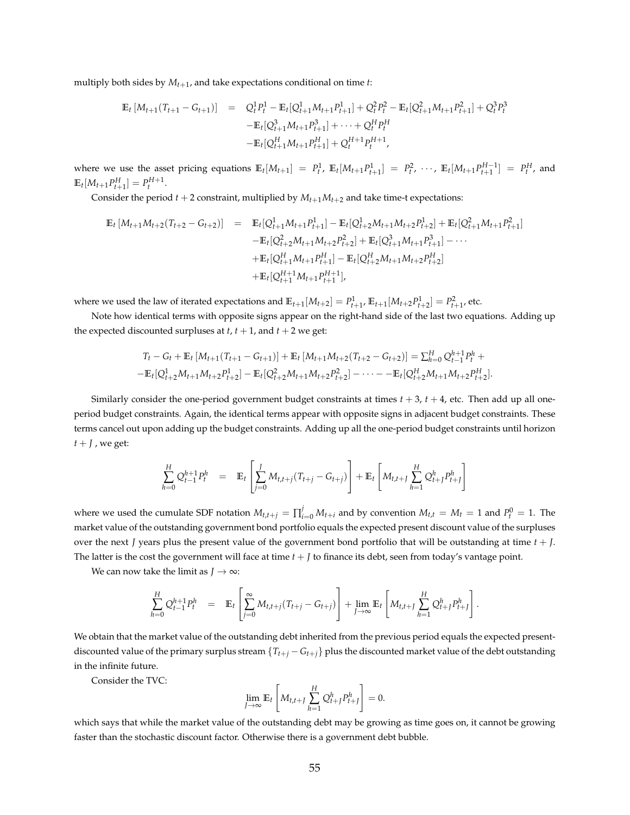multiply both sides by *Mt*+<sup>1</sup> , and take expectations conditional on time *t*:

$$
\mathbb{E}_{t} \left[ M_{t+1}(T_{t+1} - G_{t+1}) \right] = Q_{t}^{1} P_{t}^{1} - \mathbb{E}_{t} [Q_{t+1}^{1} M_{t+1} P_{t+1}^{1}] + Q_{t}^{2} P_{t}^{2} - \mathbb{E}_{t} [Q_{t+1}^{2} M_{t+1} P_{t+1}^{2}] + Q_{t}^{3} P_{t}^{3}
$$

$$
- \mathbb{E}_{t} [Q_{t+1}^{3} M_{t+1} P_{t+1}^{3}] + \cdots + Q_{t}^{H} P_{t}^{H}
$$

$$
- \mathbb{E}_{t} [Q_{t+1}^{H} M_{t+1} P_{t+1}^{H}] + Q_{t}^{H+1} P_{t}^{H+1},
$$

where we use the asset pricing equations  $\mathbb{E}_t[M_{t+1}] = P_t^1$ ,  $\mathbb{E}_t[M_{t+1}P_{t+1}^1] = P_t^2$ ,  $\cdots$ ,  $\mathbb{E}_t[M_{t+1}P_{t+1}^{H-1}] = P_t^H$ , and  $\mathbb{E}_t[M_{t+1}P_{t+1}^H] = P_t^{H+1}.$ 

Consider the period  $t + 2$  constraint, multiplied by  $M_{t+1}M_{t+2}$  and take time-t expectations:

$$
\mathbb{E}_{t}[M_{t+1}M_{t+2}(T_{t+2}-G_{t+2})] = \mathbb{E}_{t}[Q_{t+1}^{1}M_{t+1}P_{t+1}^{1}] - \mathbb{E}_{t}[Q_{t+2}^{1}M_{t+1}M_{t+2}P_{t+2}^{1}] + \mathbb{E}_{t}[Q_{t+1}^{2}M_{t+1}P_{t+1}^{2}]
$$
  
\n
$$
- \mathbb{E}_{t}[Q_{t+2}^{2}M_{t+1}M_{t+2}P_{t+2}^{2}] + \mathbb{E}_{t}[Q_{t+1}^{3}M_{t+1}P_{t+1}^{3}] - \cdots
$$
  
\n
$$
+ \mathbb{E}_{t}[Q_{t+1}^{H}M_{t+1}P_{t+1}^{H}] - \mathbb{E}_{t}[Q_{t+2}^{H}M_{t+1}M_{t+2}P_{t+2}^{H}]
$$
  
\n
$$
+ \mathbb{E}_{t}[Q_{t+1}^{H+1}M_{t+1}P_{t+1}^{H+1}],
$$

where we used the law of iterated expectations and  $\mathbb{E}_{t+1}[M_{t+2}] = P_{t+1}^1$ ,  $\mathbb{E}_{t+1}[M_{t+2}P_{t+2}^1] = P_{t+1}^2$ , etc.

Note how identical terms with opposite signs appear on the right-hand side of the last two equations. Adding up the expected discounted surpluses at  $t$ ,  $t + 1$ , and  $t + 2$  we get:

$$
T_t - G_t + \mathbb{E}_t [M_{t+1}(T_{t+1} - G_{t+1})] + \mathbb{E}_t [M_{t+1}M_{t+2}(T_{t+2} - G_{t+2})] = \sum_{h=0}^H Q_{t-1}^{h+1} P_t^h +
$$
  
-
$$
\mathbb{E}_t [Q_{t+2}^1M_{t+1}M_{t+2}P_{t+2}^1] - \mathbb{E}_t [Q_{t+2}^2M_{t+1}M_{t+2}P_{t+2}^2] - \cdots - \mathbb{E}_t [Q_{t+2}^HM_{t+1}M_{t+2}P_{t+2}^H].
$$

Similarly consider the one-period government budget constraints at times  $t + 3$ ,  $t + 4$ , etc. Then add up all oneperiod budget constraints. Again, the identical terms appear with opposite signs in adjacent budget constraints. These terms cancel out upon adding up the budget constraints. Adding up all the one-period budget constraints until horizon  $t + J$ , we get:

$$
\sum_{h=0}^{H} Q_{t-1}^{h+1} P_t^h = \mathbb{E}_t \left[ \sum_{j=0}^{J} M_{t,t+j} (T_{t+j} - G_{t+j}) \right] + \mathbb{E}_t \left[ M_{t,t+J} \sum_{h=1}^{H} Q_{t+j}^h P_{t+j}^h \right]
$$

where we used the cumulate SDF notation  $M_{t,t+j} = \prod_{i=0}^{j} M_{t+i}$  and by convention  $M_{t,t} = M_t = 1$  and  $P_t^0 = 1$ . The market value of the outstanding government bond portfolio equals the expected present discount value of the surpluses over the next *J* years plus the present value of the government bond portfolio that will be outstanding at time *t* + *J*. The latter is the cost the government will face at time  $t + J$  to finance its debt, seen from today's vantage point.

We can now take the limit as  $J \rightarrow \infty$ :

$$
\sum_{h=0}^{H} Q_{t-1}^{h+1} P_t^h = \mathbb{E}_t \left[ \sum_{j=0}^{\infty} M_{t,t+j} (T_{t+j} - G_{t+j}) \right] + \lim_{J \to \infty} \mathbb{E}_t \left[ M_{t,t+J} \sum_{h=1}^{H} Q_{t+J}^h P_{t+J}^h \right].
$$

We obtain that the market value of the outstanding debt inherited from the previous period equals the expected presentdiscounted value of the primary surplus stream  ${T_{t+j} - G_{t+j}}$  plus the discounted market value of the debt outstanding in the infinite future.

Consider the TVC:

$$
\lim_{J\to\infty}\mathbb{E}_t\left[M_{t,t+J}\sum_{h=1}^H Q_{t+J}^h P_{t+J}^h\right]=0.
$$

which says that while the market value of the outstanding debt may be growing as time goes on, it cannot be growing faster than the stochastic discount factor. Otherwise there is a government debt bubble.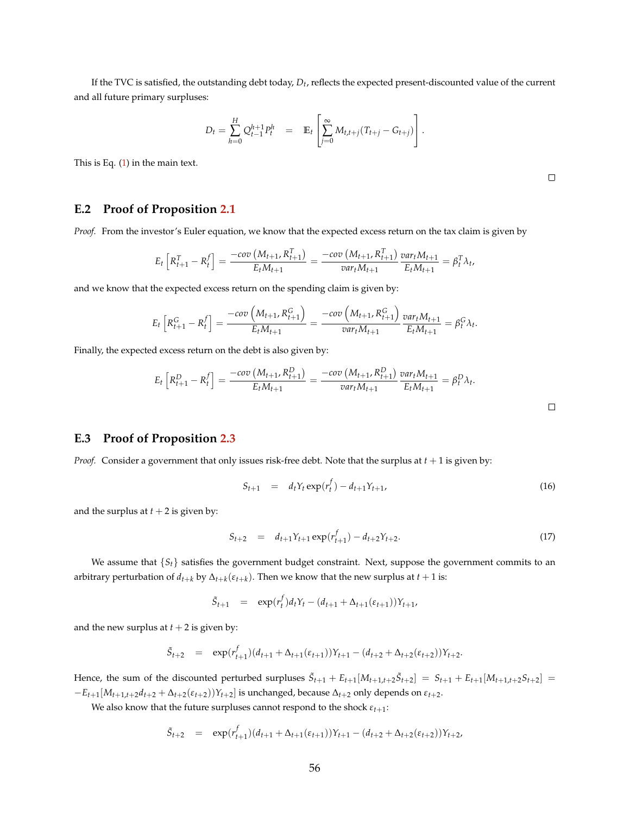If the TVC is satisfied, the outstanding debt today, *Dt* , reflects the expected present-discounted value of the current and all future primary surpluses:

$$
D_t = \sum_{h=0}^H Q_{t-1}^{h+1} P_t^h = \mathbb{E}_t \left[ \sum_{j=0}^\infty M_{t,t+j} (T_{t+j} - G_{t+j}) \right].
$$

This is Eq. [\(1\)](#page-7-0) in the main text.

**E.2 Proof of Proposition [2.1](#page-9-0)**

*Proof.* From the investor's Euler equation, we know that the expected excess return on the tax claim is given by

$$
E_t\left[R_{t+1}^T - R_t^f\right] = \frac{-cov\left(M_{t+1}, R_{t+1}^T\right)}{E_t M_{t+1}} = \frac{-cov\left(M_{t+1}, R_{t+1}^T\right)}{var_t M_{t+1}} \frac{var_t M_{t+1}}{E_t M_{t+1}} = \beta_t^T \lambda_t,
$$

and we know that the expected excess return on the spending claim is given by:

$$
E_t \left[ R_{t+1}^G - R_t^f \right] = \frac{-cov\left(M_{t+1}, R_{t+1}^G\right)}{E_t M_{t+1}} = \frac{-cov\left(M_{t+1}, R_{t+1}^G\right)}{var_t M_{t+1}} \frac{var_t M_{t+1}}{E_t M_{t+1}} = \beta_t^G \lambda_t
$$

Finally, the expected excess return on the debt is also given by:

$$
E_t\left[R_{t+1}^D - R_t^f\right] = \frac{-cov\left(M_{t+1}, R_{t+1}^D\right)}{E_t M_{t+1}} = \frac{-cov\left(M_{t+1}, R_{t+1}^D\right)}{var_t M_{t+1}} \frac{var_t M_{t+1}}{E_t M_{t+1}} = \beta_t^D \lambda_t.
$$

### **E.3 Proof of Proposition [2.3](#page-11-1)**

*Proof.* Consider a government that only issues risk-free debt. Note that the surplus at *t* + 1 is given by:

$$
S_{t+1} = d_t Y_t \exp(r_t^f) - d_{t+1} Y_{t+1}, \tag{16}
$$

and the surplus at  $t + 2$  is given by:

$$
S_{t+2} = d_{t+1} Y_{t+1} \exp(r_{t+1}^f) - d_{t+2} Y_{t+2}.
$$
\n(17)

We assume that  $\{S_t\}$  satisfies the government budget constraint. Next, suppose the government commits to an arbitrary perturbation of  $d_{t+k}$  by  $\Delta_{t+k}(\varepsilon_{t+k})$ . Then we know that the new surplus at  $t+1$  is:

$$
\tilde{S}_{t+1} = \exp(r_t^f) d_t Y_t - (d_{t+1} + \Delta_{t+1}(\varepsilon_{t+1})) Y_{t+1},
$$

and the new surplus at  $t + 2$  is given by:

$$
\tilde{S}_{t+2} = \exp(r_{t+1}^f)(d_{t+1} + \Delta_{t+1}(\varepsilon_{t+1}))Y_{t+1} - (d_{t+2} + \Delta_{t+2}(\varepsilon_{t+2}))Y_{t+2}.
$$

Hence, the sum of the discounted perturbed surpluses  $\tilde{S}_{t+1} + E_{t+1}[M_{t+1,t+2}\tilde{S}_{t+2}] = S_{t+1} + E_{t+1}[M_{t+1,t+2}S_{t+2}] =$  $-E_{t+1}[M_{t+1,t+2}d_{t+2} + \Delta_{t+2}(\varepsilon_{t+2}))Y_{t+2}]$  is unchanged, because  $\Delta_{t+2}$  only depends on  $\varepsilon_{t+2}$ .

We also know that the future surpluses cannot respond to the shock  $\varepsilon_{t+1}$ :

$$
\tilde{S}_{t+2} = \exp(r_{t+1}^f)(d_{t+1} + \Delta_{t+1}(\varepsilon_{t+1}))Y_{t+1} - (d_{t+2} + \Delta_{t+2}(\varepsilon_{t+2}))Y_{t+2},
$$

 $\Box$ 

.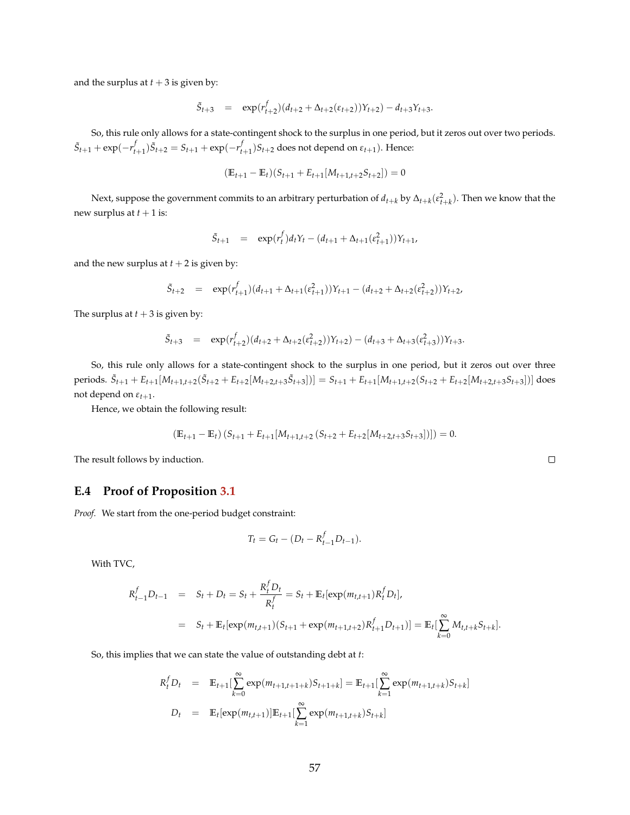and the surplus at  $t + 3$  is given by:

$$
\tilde{S}_{t+3} = \exp(r_{t+2}^f)(d_{t+2} + \Delta_{t+2}(\varepsilon_{t+2}))Y_{t+2}) - d_{t+3}Y_{t+3}.
$$

So, this rule only allows for a state-contingent shock to the surplus in one period, but it zeros out over two periods.  $\tilde{S}_{t+1} + \exp(-r_{t+1}^f)\tilde{S}_{t+2} = S_{t+1} + \exp(-r_{t+1}^f)S_{t+2}$  does not depend on  $\varepsilon_{t+1}$ ). Hence:

$$
(\mathbb{E}_{t+1} - \mathbb{E}_t)(S_{t+1} + E_{t+1}[M_{t+1,t+2}S_{t+2}]) = 0
$$

Next, suppose the government commits to an arbitrary perturbation of  $d_{t+k}$  by  $\Delta_{t+k}(\varepsilon_{t+k}^2)$ . Then we know that the new surplus at  $t + 1$  is:

$$
\tilde{S}_{t+1} = \exp(r_t^f) d_t Y_t - (d_{t+1} + \Delta_{t+1}(\varepsilon_{t+1}^2)) Y_{t+1},
$$

and the new surplus at  $t + 2$  is given by:

$$
\tilde{S}_{t+2} = \exp(r_{t+1}^f)(d_{t+1} + \Delta_{t+1}(\varepsilon_{t+1}^2))Y_{t+1} - (d_{t+2} + \Delta_{t+2}(\varepsilon_{t+2}^2))Y_{t+2},
$$

The surplus at  $t + 3$  is given by:

$$
\tilde{S}_{t+3} = \exp(r_{t+2}^f)(d_{t+2} + \Delta_{t+2}(\varepsilon_{t+2}^2))Y_{t+2}) - (d_{t+3} + \Delta_{t+3}(\varepsilon_{t+3}^2))Y_{t+3}.
$$

So, this rule only allows for a state-contingent shock to the surplus in one period, but it zeros out over three periods.  $\tilde{S}_{t+1} + E_{t+1}[M_{t+1,t+2}(\tilde{S}_{t+2} + E_{t+2}[M_{t+2,t+3}\tilde{S}_{t+3}])] = S_{t+1} + E_{t+1}[M_{t+1,t+2}(S_{t+2} + E_{t+2}[M_{t+2,t+3}S_{t+3}])]$  does not depend on  $\varepsilon_{t+1}$ .

Hence, we obtain the following result:

$$
\left(\mathbb{E}_{t+1} - \mathbb{E}_t\right) \left(S_{t+1} + E_{t+1}[M_{t+1,t+2}\left(S_{t+2} + E_{t+2}[M_{t+2,t+3}S_{t+3}]\right)\right)\right) = 0.
$$

The result follows by induction.

### **E.4 Proof of Proposition [3.1](#page-13-0)**

*Proof.* We start from the one-period budget constraint:

$$
T_t = G_t - (D_t - R_{t-1}^f D_{t-1}).
$$

With TVC,

$$
R_{t-1}^f D_{t-1} = S_t + D_t = S_t + \frac{R_t^f D_t}{R_t^f} = S_t + \mathbb{E}_t[\exp(m_{t,t+1})R_t^f D_t],
$$
  
=  $S_t + \mathbb{E}_t[\exp(m_{t,t+1})(S_{t+1} + \exp(m_{t+1,t+2})R_{t+1}^f D_{t+1})] = \mathbb{E}_t[\sum_{k=0}^{\infty} M_{t,t+k}S_{t+k}].$ 

So, this implies that we can state the value of outstanding debt at *t*:

$$
R_t^f D_t = \mathbb{E}_{t+1} \left[ \sum_{k=0}^{\infty} \exp(m_{t+1,t+1+k}) S_{t+1+k} \right] = \mathbb{E}_{t+1} \left[ \sum_{k=1}^{\infty} \exp(m_{t+1,t+k}) S_{t+k} \right]
$$
  

$$
D_t = \mathbb{E}_t \left[ \exp(m_{t,t+1}) \right] \mathbb{E}_{t+1} \left[ \sum_{k=1}^{\infty} \exp(m_{t+1,t+k}) S_{t+k} \right]
$$

 $\Box$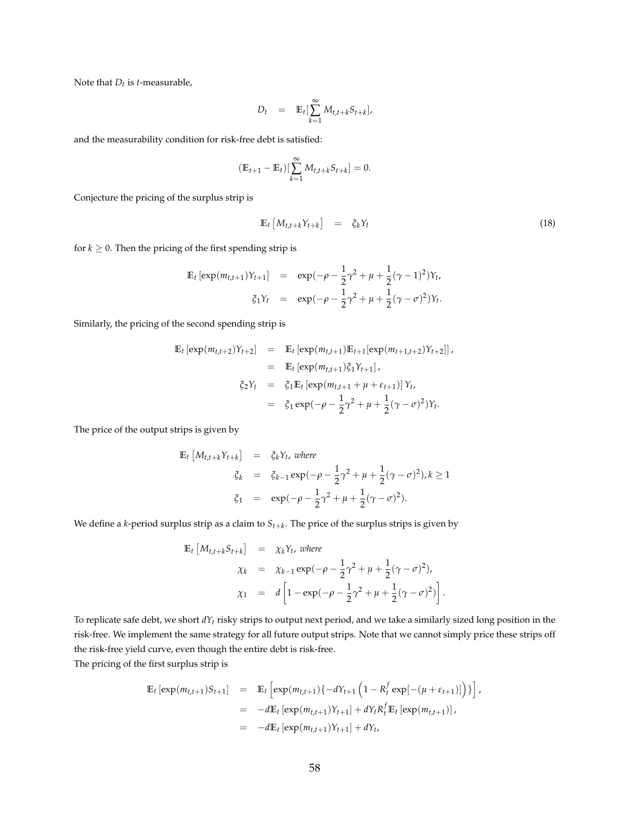Note that *Dt* is *t*-measurable,

$$
D_t = \mathbb{E}_t[\sum_{k=1}^{\infty} M_{t,t+k} S_{t+k}],
$$

and the measurability condition for risk-free debt is satisfied:

$$
(\mathbb{E}_{t+1} - \mathbb{E}_t) [\sum_{k=1}^{\infty} M_{t,t+k} S_{t+k}] = 0.
$$

Conjecture the pricing of the surplus strip is

$$
\mathbb{E}_t \left[ M_{t,t+k} Y_{t+k} \right] = \xi_k Y_t \tag{18}
$$

for  $k \geq 0$ . Then the pricing of the first spending strip is

$$
\mathbb{E}_{t} \left[ \exp(m_{t,t+1}) Y_{t+1} \right] = \exp(-\rho - \frac{1}{2}\gamma^{2} + \mu + \frac{1}{2}(\gamma - 1)^{2}) Y_{t},
$$
  

$$
\xi_{1} Y_{t} = \exp(-\rho - \frac{1}{2}\gamma^{2} + \mu + \frac{1}{2}(\gamma - \sigma)^{2}) Y_{t}.
$$

Similarly, the pricing of the second spending strip is

$$
\mathbb{E}_{t} \left[ \exp(m_{t,t+2}) Y_{t+2} \right] = \mathbb{E}_{t} \left[ \exp(m_{t,t+1}) \mathbb{E}_{t+1} \left[ \exp(m_{t+1,t+2}) Y_{t+2} \right] \right],
$$
\n
$$
= \mathbb{E}_{t} \left[ \exp(m_{t,t+1}) \xi_{1} Y_{t+1} \right],
$$
\n
$$
\xi_{2} Y_{t} = \xi_{1} \mathbb{E}_{t} \left[ \exp(m_{t,t+1} + \mu + \varepsilon_{t+1}) \right] Y_{t},
$$
\n
$$
= \xi_{1} \exp(-\rho - \frac{1}{2} \gamma^{2} + \mu + \frac{1}{2} (\gamma - \sigma)^{2}) Y_{t}.
$$

The price of the output strips is given by

$$
\begin{array}{rcl}\n\mathbb{E}_t \left[ M_{t,t+k} Y_{t+k} \right] & = & \xi_k Y_t, \text{ where} \\
\zeta_k & = & \xi_{k-1} \exp(-\rho - \frac{1}{2}\gamma^2 + \mu + \frac{1}{2}(\gamma - \sigma)^2), k \ge 1 \\
\zeta_1 & = & \exp(-\rho - \frac{1}{2}\gamma^2 + \mu + \frac{1}{2}(\gamma - \sigma)^2).\n\end{array}
$$

We define a *k*-period surplus strip as a claim to *St*+*<sup>k</sup>* . The price of the surplus strips is given by

$$
\begin{array}{rcl}\n\mathbb{E}_{t}\left[M_{t,t+k}S_{t+k}\right] & = & \chi_{k}Y_{t}, \text{ where} \\
\chi_{k} & = & \chi_{k-1}\exp(-\rho - \frac{1}{2}\gamma^{2} + \mu + \frac{1}{2}(\gamma - \sigma)^{2}), \\
\chi_{1} & = & d\left[1 - \exp(-\rho - \frac{1}{2}\gamma^{2} + \mu + \frac{1}{2}(\gamma - \sigma)^{2})\right].\n\end{array}
$$

To replicate safe debt, we short *dYt* risky strips to output next period, and we take a similarly sized long position in the risk-free. We implement the same strategy for all future output strips. Note that we cannot simply price these strips off the risk-free yield curve, even though the entire debt is risk-free.

The pricing of the first surplus strip is

$$
\mathbb{E}_{t} \left[ \exp(m_{t,t+1}) S_{t+1} \right] = \mathbb{E}_{t} \left[ \exp(m_{t,t+1}) \{-dY_{t+1} \left( 1 - R_{t}^{f} \exp[-(\mu + \varepsilon_{t+1})] \right) \} \right],
$$
  
\n
$$
= -d \mathbb{E}_{t} \left[ \exp(m_{t,t+1}) Y_{t+1} \right] + dY_{t} R_{t}^{f} \mathbb{E}_{t} \left[ \exp(m_{t,t+1}) \right],
$$
  
\n
$$
= -d \mathbb{E}_{t} \left[ \exp(m_{t,t+1}) Y_{t+1} \right] + dY_{t},
$$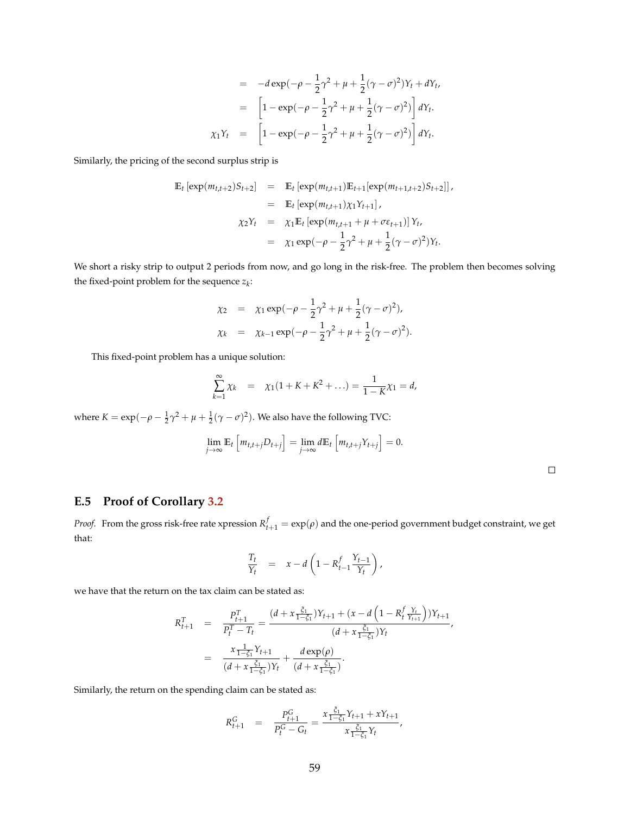$$
= -d \exp(-\rho - \frac{1}{2}\gamma^2 + \mu + \frac{1}{2}(\gamma - \sigma)^2)Y_t + dY_t,
$$
  

$$
= \left[1 - \exp(-\rho - \frac{1}{2}\gamma^2 + \mu + \frac{1}{2}(\gamma - \sigma)^2)\right]dY_t.
$$
  

$$
\chi_1 Y_t = \left[1 - \exp(-\rho - \frac{1}{2}\gamma^2 + \mu + \frac{1}{2}(\gamma - \sigma)^2)\right]dY_t.
$$

Similarly, the pricing of the second surplus strip is

$$
\mathbb{E}_{t} \left[ \exp(m_{t,t+2}) S_{t+2} \right] = \mathbb{E}_{t} \left[ \exp(m_{t,t+1}) \mathbb{E}_{t+1} \left[ \exp(m_{t+1,t+2}) S_{t+2} \right] \right],
$$
  
\n
$$
= \mathbb{E}_{t} \left[ \exp(m_{t,t+1}) \chi_{1} Y_{t+1} \right],
$$
  
\n
$$
\chi_{2} Y_{t} = \chi_{1} \mathbb{E}_{t} \left[ \exp(m_{t,t+1} + \mu + \sigma \varepsilon_{t+1}) \right] Y_{t},
$$
  
\n
$$
= \chi_{1} \exp(-\rho - \frac{1}{2} \gamma^{2} + \mu + \frac{1}{2} (\gamma - \sigma)^{2}) Y_{t}.
$$

We short a risky strip to output 2 periods from now, and go long in the risk-free. The problem then becomes solving the fixed-point problem for the sequence *z<sup>k</sup>* :

$$
\chi_2 = \chi_1 \exp(-\rho - \frac{1}{2}\gamma^2 + \mu + \frac{1}{2}(\gamma - \sigma)^2),
$$
  

$$
\chi_k = \chi_{k-1} \exp(-\rho - \frac{1}{2}\gamma^2 + \mu + \frac{1}{2}(\gamma - \sigma)^2).
$$

This fixed-point problem has a unique solution:

$$
\sum_{k=1}^{\infty} \chi_k = \chi_1(1 + K + K^2 + \ldots) = \frac{1}{1 - K}\chi_1 = d,
$$

where  $K = \exp(-\rho - \frac{1}{2}\gamma^2 + \mu + \frac{1}{2}(\gamma - \sigma)^2)$ . We also have the following TVC:

$$
\lim_{j\to\infty} \mathbb{E}_t \left[ m_{t,t+j} D_{t+j} \right] = \lim_{j\to\infty} d \mathbb{E}_t \left[ m_{t,t+j} Y_{t+j} \right] = 0.
$$

 $\Box$ 

## **E.5 Proof of Corollary [3.2](#page-14-0)**

*Proof.* From the gross risk-free rate xpression  $R_{t+1}^f = \exp(\rho)$  and the one-period government budget constraint, we get that:

$$
\frac{T_t}{Y_t} = x - d \left( 1 - R_{t-1}^f \frac{Y_{t-1}}{Y_t} \right),
$$

we have that the return on the tax claim can be stated as:

$$
R_{t+1}^T = \frac{P_{t+1}^T}{P_t^T - T_t} = \frac{(d + x \frac{\xi_1}{1 - \xi_1})Y_{t+1} + (x - d \left(1 - R_t^f \frac{Y_t}{Y_{t+1}}\right))Y_{t+1}}{(d + x \frac{\xi_1}{1 - \xi_1})Y_t},
$$
  

$$
= \frac{x \frac{1}{1 - \xi_1}Y_{t+1}}{(d + x \frac{\xi_1}{1 - \xi_1})Y_t} + \frac{d \exp(\rho)}{(d + x \frac{\xi_1}{1 - \xi_1})}.
$$

Similarly, the return on the spending claim can be stated as:

$$
R_{t+1}^G = \frac{P_{t+1}^G}{P_t^G - G_t} = \frac{x \frac{\xi_1}{1 - \xi_1} Y_{t+1} + x Y_{t+1}}{x \frac{\xi_1}{1 - \xi_1} Y_t},
$$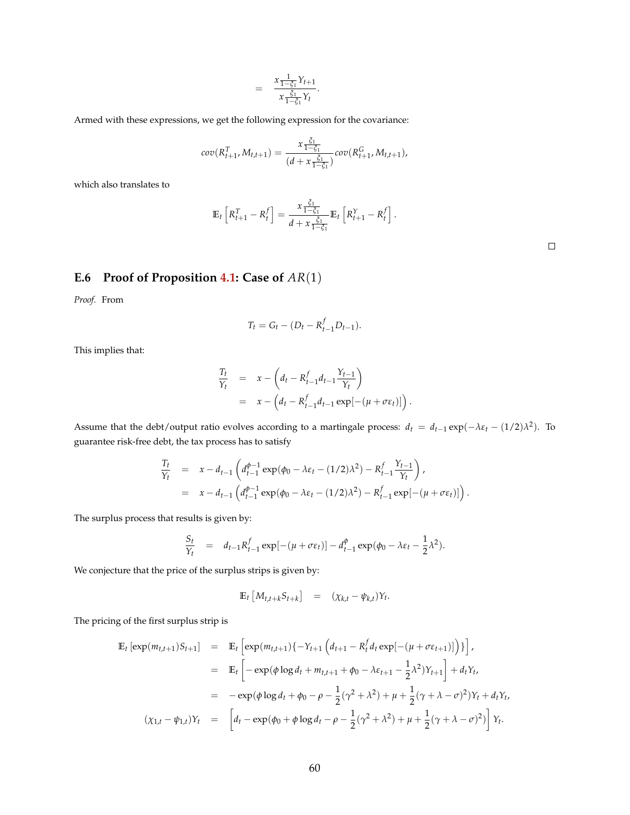$$
= \frac{x\frac{1}{1-\xi_1}Y_{t+1}}{x\frac{\xi_1}{1-\xi_1}Y_t}.
$$

Armed with these expressions, we get the following expression for the covariance:

$$
cov(R_{t+1}^T, M_{t,t+1}) = \frac{x \frac{\xi_1}{1-\xi_1}}{(d+x \frac{\xi_1}{1-\xi_1})} cov(R_{t+1}^G, M_{t,t+1}),
$$

which also translates to

$$
\mathbb{E}_t\left[R_{t+1}^T - R_t^f\right] = \frac{x \frac{\xi_1}{1-\xi_1}}{d + x \frac{\xi_1}{1-\xi_1}} \mathbb{E}_t\left[R_{t+1}^Y - R_t^f\right].
$$

|  |  | E.6 Proof of Proposition 4.1: Case of $AR(1)$ |  |  |  |
|--|--|-----------------------------------------------|--|--|--|
|--|--|-----------------------------------------------|--|--|--|

*Proof.* From

$$
T_t = G_t - (D_t - R_{t-1}^f D_{t-1}).
$$

This implies that:

$$
\frac{T_t}{Y_t} = x - \left(d_t - R_{t-1}^f d_{t-1} \frac{Y_{t-1}}{Y_t}\right)
$$
  
= 
$$
x - \left(d_t - R_{t-1}^f d_{t-1} \exp[-(\mu + \sigma \varepsilon_t)]\right).
$$

Assume that the debt/output ratio evolves according to a martingale process:  $d_t = d_{t-1} \exp(-\lambda \varepsilon_t - (1/2)\lambda^2)$ . To guarantee risk-free debt, the tax process has to satisfy

$$
\frac{T_t}{Y_t} = x - d_{t-1} \left( d_{t-1}^{\phi-1} \exp(\phi_0 - \lambda \varepsilon_t - (1/2)\lambda^2) - R_{t-1}^f \frac{Y_{t-1}}{Y_t} \right),
$$
\n
$$
= x - d_{t-1} \left( d_{t-1}^{\phi-1} \exp(\phi_0 - \lambda \varepsilon_t - (1/2)\lambda^2) - R_{t-1}^f \exp[-(\mu + \sigma \varepsilon_t)] \right).
$$

The surplus process that results is given by:

$$
\frac{S_t}{Y_t} = d_{t-1} R_{t-1}^f \exp[-(\mu + \sigma \varepsilon_t)] - d_{t-1}^\phi \exp(\phi_0 - \lambda \varepsilon_t - \frac{1}{2} \lambda^2).
$$

We conjecture that the price of the surplus strips is given by:

$$
\mathbb{E}_t \left[ M_{t,t+k} S_{t+k} \right] = (\chi_{k,t} - \psi_{k,t}) Y_t.
$$

The pricing of the first surplus strip is

$$
\mathbb{E}_{t} \left[ \exp(m_{t,t+1})S_{t+1} \right] = \mathbb{E}_{t} \left[ \exp(m_{t,t+1})\{-Y_{t+1}\left(d_{t+1} - R_{t}^{f} d_{t} \exp[-(\mu + \sigma \varepsilon_{t+1})]\right)\}\right],
$$
  
\n
$$
= \mathbb{E}_{t} \left[ -\exp(\phi \log d_{t} + m_{t,t+1} + \phi_{0} - \lambda \varepsilon_{t+1} - \frac{1}{2}\lambda^{2})Y_{t+1} \right] + d_{t}Y_{t},
$$
  
\n
$$
= -\exp(\phi \log d_{t} + \phi_{0} - \rho - \frac{1}{2}(\gamma^{2} + \lambda^{2}) + \mu + \frac{1}{2}(\gamma + \lambda - \sigma)^{2})Y_{t} + d_{t}Y_{t},
$$
  
\n
$$
(\chi_{1,t} - \psi_{1,t})Y_{t} = \left[ d_{t} - \exp(\phi_{0} + \phi \log d_{t} - \rho - \frac{1}{2}(\gamma^{2} + \lambda^{2}) + \mu + \frac{1}{2}(\gamma + \lambda - \sigma)^{2}) \right]Y_{t}.
$$

 $\Box$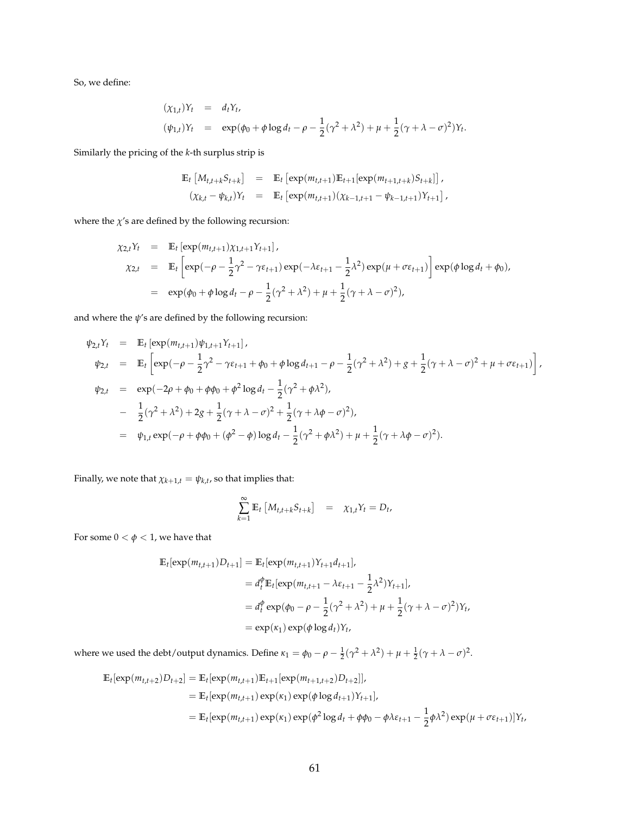So, we define:

$$
(\chi_{1,t})Y_t = d_tY_t, (\psi_{1,t})Y_t = \exp(\phi_0 + \phi \log d_t - \rho - \frac{1}{2}(\gamma^2 + \lambda^2) + \mu + \frac{1}{2}(\gamma + \lambda - \sigma)^2)Y_t.
$$

Similarly the pricing of the *k*-th surplus strip is

$$
\mathbb{E}_{t} \left[ M_{t,t+k} S_{t+k} \right] = \mathbb{E}_{t} \left[ \exp(m_{t,t+1}) \mathbb{E}_{t+1} [\exp(m_{t+1,t+k}) S_{t+k}] \right],
$$
  

$$
(\chi_{k,t} - \psi_{k,t}) Y_t = \mathbb{E}_{t} \left[ \exp(m_{t,t+1}) (\chi_{k-1,t+1} - \psi_{k-1,t+1}) Y_{t+1} \right],
$$

where the  $\chi$ 's are defined by the following recursion:

$$
\chi_{2,t}Y_t = \mathbb{E}_t \left[ \exp(m_{t,t+1}) \chi_{1,t+1} Y_{t+1} \right],
$$
  
\n
$$
\chi_{2,t} = \mathbb{E}_t \left[ \exp(-\rho - \frac{1}{2} \gamma^2 - \gamma \epsilon_{t+1}) \exp(-\lambda \epsilon_{t+1} - \frac{1}{2} \lambda^2) \exp(\mu + \sigma \epsilon_{t+1}) \right] \exp(\phi \log d_t + \phi_0),
$$
  
\n
$$
= \exp(\phi_0 + \phi \log d_t - \rho - \frac{1}{2} (\gamma^2 + \lambda^2) + \mu + \frac{1}{2} (\gamma + \lambda - \sigma)^2),
$$

and where the  $\psi$ 's are defined by the following recursion:

$$
\psi_{2,t}Y_t = \mathbb{E}_t \left[ \exp(m_{t,t+1})\psi_{1,t+1}Y_{t+1} \right],
$$
  
\n
$$
\psi_{2,t} = \mathbb{E}_t \left[ \exp(-\rho - \frac{1}{2}\gamma^2 - \gamma \varepsilon_{t+1} + \phi_0 + \phi \log d_{t+1} - \rho - \frac{1}{2}(\gamma^2 + \lambda^2) + g + \frac{1}{2}(\gamma + \lambda - \sigma)^2 + \mu + \sigma \varepsilon_{t+1}) \right],
$$
  
\n
$$
\psi_{2,t} = \exp(-2\rho + \phi_0 + \phi\phi_0 + \phi^2 \log d_t - \frac{1}{2}(\gamma^2 + \phi\lambda^2),
$$
  
\n
$$
- \frac{1}{2}(\gamma^2 + \lambda^2) + 2g + \frac{1}{2}(\gamma + \lambda - \sigma)^2 + \frac{1}{2}(\gamma + \lambda\phi - \sigma)^2),
$$
  
\n
$$
= \psi_{1,t} \exp(-\rho + \phi\phi_0 + (\phi^2 - \phi) \log d_t - \frac{1}{2}(\gamma^2 + \phi\lambda^2) + \mu + \frac{1}{2}(\gamma + \lambda\phi - \sigma)^2).
$$

Finally, we note that  $\chi_{k+1,t} = \psi_{k,t}$ , so that implies that:

$$
\sum_{k=1}^{\infty} \mathbb{E}_t \left[ M_{t,t+k} S_{t+k} \right] = \chi_{1,t} Y_t = D_t,
$$

For some  $0 < \phi < 1$ , we have that

$$
\mathbb{E}_{t}[\exp(m_{t,t+1})D_{t+1}] = \mathbb{E}_{t}[\exp(m_{t,t+1})Y_{t+1}d_{t+1}],
$$
  
\n
$$
= d_{t}^{\phi}\mathbb{E}_{t}[\exp(m_{t,t+1} - \lambda \varepsilon_{t+1} - \frac{1}{2}\lambda^{2})Y_{t+1}],
$$
  
\n
$$
= d_{t}^{\phi}\exp(\phi_{0} - \rho - \frac{1}{2}(\gamma^{2} + \lambda^{2}) + \mu + \frac{1}{2}(\gamma + \lambda - \sigma)^{2})Y_{t},
$$
  
\n
$$
= \exp(\kappa_{1})\exp(\phi \log d_{t})Y_{t},
$$

where we used the debt/output dynamics. Define  $\kappa_1 = \phi_0 - \rho - \frac{1}{2}(\gamma^2 + \lambda^2) + \mu + \frac{1}{2}(\gamma + \lambda - \sigma)^2$ .

$$
\mathbb{E}_{t}[\exp(m_{t,t+2})D_{t+2}] = \mathbb{E}_{t}[\exp(m_{t,t+1})\mathbb{E}_{t+1}[\exp(m_{t+1,t+2})D_{t+2}]],
$$
  
\n
$$
= \mathbb{E}_{t}[\exp(m_{t,t+1})\exp(\kappa_{1})\exp(\phi\log d_{t+1})Y_{t+1}],
$$
  
\n
$$
= \mathbb{E}_{t}[\exp(m_{t,t+1})\exp(\kappa_{1})\exp(\phi^{2}\log d_{t} + \phi\phi_{0} - \phi\lambda\varepsilon_{t+1} - \frac{1}{2}\phi\lambda^{2})\exp(\mu + \sigma\varepsilon_{t+1})]Y_{t},
$$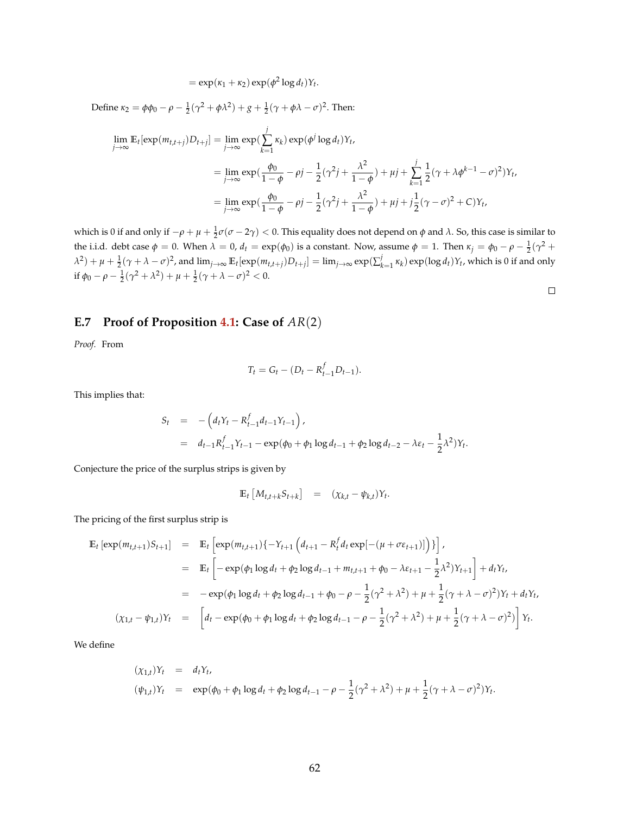$= \exp(\kappa_1 + \kappa_2) \exp(\phi^2 \log d_t) Y_t.$ 

Define *κ*<sub>2</sub> =  $φφ_0 - ρ - \frac{1}{2}(γ^2 + φλ^2) + g + \frac{1}{2}(γ + φλ - σ)^2$ . Then:  $\lim_{j\to\infty} \mathbb{E}_t[\exp(m_{t,t+j})D_{t+j}] = \lim_{j\to\infty} \exp(m_{t,t+j})$ *j* ∑ *k*=1 *κ*<sub>*k*</sub>) exp( $\phi^j$  log *d*<sub>*t*</sub>)*Y*<sub>*t*</sub>,  $=\lim_{j\to\infty}\exp(\frac{\phi_0}{1-j}$  $\frac{\phi_0}{1-\phi} - \rho j - \frac{1}{2}$  $\frac{1}{2}(\gamma^2 j + \frac{\lambda^2}{1 - \lambda^2})$  $\frac{\pi}{1-\phi}$ ) +  $\mu j$  + *j* ∑ *k*=1 1  $\frac{1}{2}(\gamma + \lambda \phi^{k-1} - \sigma)^2 Y_t$  $=\lim_{j\to\infty}\exp(\frac{\phi_0}{1-j}$  $\frac{\phi_0}{1-\phi} - \rho j - \frac{1}{2}$  $\frac{1}{2}(\gamma^2 j + \frac{\lambda^2}{1 - \lambda^2})$  $\frac{\lambda^2}{1-\phi}$ ) +  $\mu j + j\frac{1}{2}$  $\frac{1}{2}(\gamma - \sigma)^2 + C>Y_t$ 

which is 0 if and only if  $-\rho + \mu + \frac{1}{2} \sigma (\sigma - 2\gamma) < 0$ . This equality does not depend on *φ* and *λ*. So, this case is similar to the i.i.d. debt case  $φ = 0$ . When  $λ = 0$ ,  $d_t = exp(φ_0)$  is a constant. Now, assume  $φ = 1$ . Then  $κ_j = φ_0 - ρ - \frac{1}{2}(γ^2 +$ 2  $\lambda^2)+\mu+\frac{1}{2}(\gamma+\lambda-\sigma)^2$ , and  $\lim_{j\to\infty}\mathbb{E}_t[\exp(m_{t,t+j})D_{t+j}]=\lim_{j\to\infty}\exp(\sum_{k=1}^j\kappa_k)\exp(\log d_t)Y_t$ , which is 0 if and only if  $\phi_0 - \rho - \frac{1}{2}(\gamma^2 + \lambda^2) + \mu + \frac{1}{2}(\gamma + \lambda - \sigma)^2 < 0.$  $\Box$ 

### **E.7 Proof of Proposition [4.1:](#page-20-0) Case of** *AR*(2)

*Proof.* From

$$
T_t = G_t - (D_t - R_{t-1}^f D_{t-1}).
$$

This implies that:

$$
S_t = -\left(d_t Y_t - R_{t-1}^f d_{t-1} Y_{t-1}\right),
$$
  
=  $d_{t-1} R_{t-1}^f Y_{t-1} - \exp(\phi_0 + \phi_1 \log d_{t-1} + \phi_2 \log d_{t-2} - \lambda \varepsilon_t - \frac{1}{2} \lambda^2) Y_t.$ 

Conjecture the price of the surplus strips is given by

$$
\mathbb{E}_t \left[ M_{t,t+k} S_{t+k} \right] = (\chi_{k,t} - \psi_{k,t}) Y_t.
$$

The pricing of the first surplus strip is

$$
\mathbb{E}_{t} \left[ \exp(m_{t,t+1})S_{t+1} \right] = \mathbb{E}_{t} \left[ \exp(m_{t,t+1})\{-Y_{t+1}\left(d_{t+1} - R_{t}^{f}d_{t}\exp[-(\mu + \sigma \varepsilon_{t+1})]\right)\} \right],
$$
\n
$$
= \mathbb{E}_{t} \left[ -\exp(\phi_{1}\log d_{t} + \phi_{2}\log d_{t-1} + m_{t,t+1} + \phi_{0} - \lambda \varepsilon_{t+1} - \frac{1}{2}\lambda^{2})Y_{t+1} \right] + d_{t}Y_{t},
$$
\n
$$
= -\exp(\phi_{1}\log d_{t} + \phi_{2}\log d_{t-1} + \phi_{0} - \rho - \frac{1}{2}(\gamma^{2} + \lambda^{2}) + \mu + \frac{1}{2}(\gamma + \lambda - \sigma)^{2})Y_{t} + d_{t}Y_{t},
$$
\n
$$
(\chi_{1,t} - \psi_{1,t})Y_{t} = \left[ d_{t} - \exp(\phi_{0} + \phi_{1}\log d_{t} + \phi_{2}\log d_{t-1} - \rho - \frac{1}{2}(\gamma^{2} + \lambda^{2}) + \mu + \frac{1}{2}(\gamma + \lambda - \sigma)^{2}) \right]Y_{t}.
$$

We define

$$
(\chi_{1,t})Y_t = d_tY_t,
$$
  
\n
$$
(\psi_{1,t})Y_t = \exp(\phi_0 + \phi_1 \log d_t + \phi_2 \log d_{t-1} - \rho - \frac{1}{2}(\gamma^2 + \lambda^2) + \mu + \frac{1}{2}(\gamma + \lambda - \sigma)^2)Y_t.
$$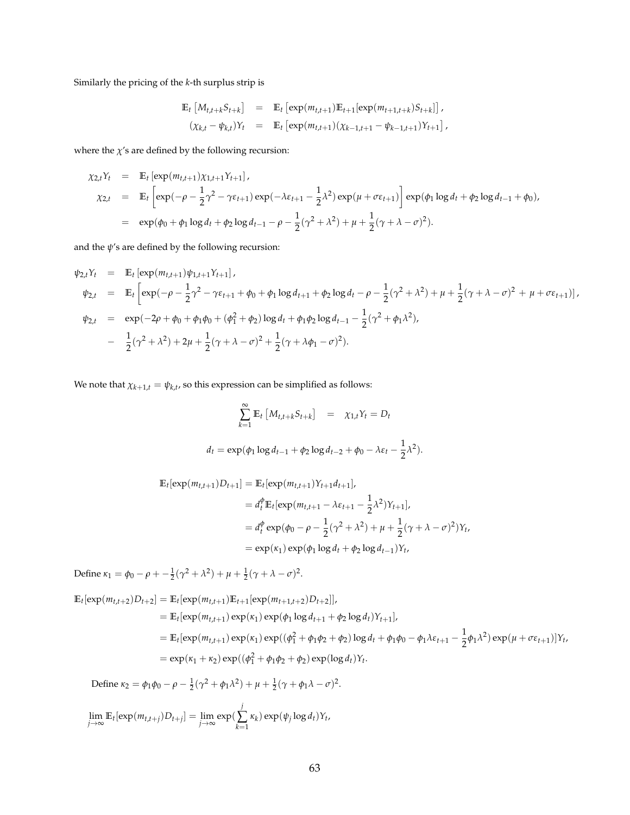Similarly the pricing of the *k*-th surplus strip is

$$
\mathbb{E}_{t} \left[ M_{t,t+k} S_{t+k} \right] = \mathbb{E}_{t} \left[ \exp(m_{t,t+1}) \mathbb{E}_{t+1} [\exp(m_{t+1,t+k}) S_{t+k}] \right],
$$
  

$$
(\chi_{k,t} - \psi_{k,t}) Y_{t} = \mathbb{E}_{t} \left[ \exp(m_{t,t+1}) (\chi_{k-1,t+1} - \psi_{k-1,t+1}) Y_{t+1} \right],
$$

where the  $\chi'$ s are defined by the following recursion:

$$
\chi_{2,t}Y_t = \mathbb{E}_t \left[ \exp(m_{t,t+1}) \chi_{1,t+1} Y_{t+1} \right],
$$
  
\n
$$
\chi_{2,t} = \mathbb{E}_t \left[ \exp(-\rho - \frac{1}{2}\gamma^2 - \gamma \varepsilon_{t+1}) \exp(-\lambda \varepsilon_{t+1} - \frac{1}{2}\lambda^2) \exp(\mu + \sigma \varepsilon_{t+1}) \right] \exp(\phi_1 \log d_t + \phi_2 \log d_{t-1} + \phi_0),
$$
  
\n
$$
= \exp(\phi_0 + \phi_1 \log d_t + \phi_2 \log d_{t-1} - \rho - \frac{1}{2}(\gamma^2 + \lambda^2) + \mu + \frac{1}{2}(\gamma + \lambda - \sigma)^2).
$$

and the  $\psi$ 's are defined by the following recursion:

$$
\psi_{2,t}Y_t = \mathbb{E}_t \left[ \exp(m_{t,t+1}) \psi_{1,t+1} Y_{t+1} \right],
$$
  
\n
$$
\psi_{2,t} = \mathbb{E}_t \left[ \exp(-\rho - \frac{1}{2} \gamma^2 - \gamma \varepsilon_{t+1} + \phi_0 + \phi_1 \log d_{t+1} + \phi_2 \log d_t - \rho - \frac{1}{2} (\gamma^2 + \lambda^2) + \mu + \frac{1}{2} (\gamma + \lambda - \sigma)^2 + \mu + \sigma \varepsilon_{t+1}) \right],
$$
  
\n
$$
\psi_{2,t} = \exp(-2\rho + \phi_0 + \phi_1 \phi_0 + (\phi_1^2 + \phi_2) \log d_t + \phi_1 \phi_2 \log d_{t-1} - \frac{1}{2} (\gamma^2 + \phi_1 \lambda^2),
$$
  
\n
$$
- \frac{1}{2} (\gamma^2 + \lambda^2) + 2\mu + \frac{1}{2} (\gamma + \lambda - \sigma)^2 + \frac{1}{2} (\gamma + \lambda \phi_1 - \sigma)^2).
$$

We note that  $\chi_{k+1,t} = \psi_{k,t}$ , so this expression can be simplified as follows:

$$
\sum_{k=1}^{\infty} \mathbb{E}_t \left[ M_{t,t+k} S_{t+k} \right] = \chi_{1,t} Y_t = D_t
$$
  

$$
d_t = \exp(\phi_1 \log d_{t-1} + \phi_2 \log d_{t-2} + \phi_0 - \lambda \varepsilon_t - \frac{1}{2} \lambda^2).
$$

$$
\mathbb{E}_{t}[\exp(m_{t,t+1})D_{t+1}] = \mathbb{E}_{t}[\exp(m_{t,t+1})Y_{t+1}d_{t+1}],
$$
  
\n
$$
= d_{t}^{\phi}\mathbb{E}_{t}[\exp(m_{t,t+1} - \lambda \varepsilon_{t+1} - \frac{1}{2}\lambda^{2})Y_{t+1}],
$$
  
\n
$$
= d_{t}^{\phi}\exp(\phi_{0} - \rho - \frac{1}{2}(\gamma^{2} + \lambda^{2}) + \mu + \frac{1}{2}(\gamma + \lambda - \sigma)^{2})Y_{t},
$$
  
\n
$$
= \exp(\kappa_{1})\exp(\phi_{1}\log d_{t} + \phi_{2}\log d_{t-1})Y_{t},
$$

Define  $\kappa_1 = \phi_0 - \rho + \frac{1}{2}(\gamma^2 + \lambda^2) + \mu + \frac{1}{2}(\gamma + \lambda - \sigma)^2$ .

$$
\mathbb{E}_{t}[\exp(m_{t,t+2})D_{t+2}] = \mathbb{E}_{t}[\exp(m_{t,t+1})\mathbb{E}_{t+1}[\exp(m_{t+1,t+2})D_{t+2}]],
$$
  
\n
$$
= \mathbb{E}_{t}[\exp(m_{t,t+1})\exp(\kappa_{1})\exp(\phi_{1}\log d_{t+1} + \phi_{2}\log d_{t})Y_{t+1}],
$$
  
\n
$$
= \mathbb{E}_{t}[\exp(m_{t,t+1})\exp(\kappa_{1})\exp((\phi_{1}^{2} + \phi_{1}\phi_{2} + \phi_{2})\log d_{t} + \phi_{1}\phi_{0} - \phi_{1}\lambda\varepsilon_{t+1} - \frac{1}{2}\phi_{1}\lambda^{2})\exp(\mu + \sigma\varepsilon_{t+1})]Y_{t},
$$
  
\n
$$
= \exp(\kappa_{1} + \kappa_{2})\exp((\phi_{1}^{2} + \phi_{1}\phi_{2} + \phi_{2})\exp(\log d_{t})Y_{t}.
$$

Define  $\kappa_2 = \phi_1 \phi_0 - \rho - \frac{1}{2} (\gamma^2 + \phi_1 \lambda^2) + \mu + \frac{1}{2} (\gamma + \phi_1 \lambda - \sigma)^2$ .

$$
\lim_{j\to\infty} \mathbb{E}_t[\exp(m_{t,t+j})D_{t+j}] = \lim_{j\to\infty} \exp(\sum_{k=1}^j \kappa_k) \exp(\psi_j \log d_t)Y_t,
$$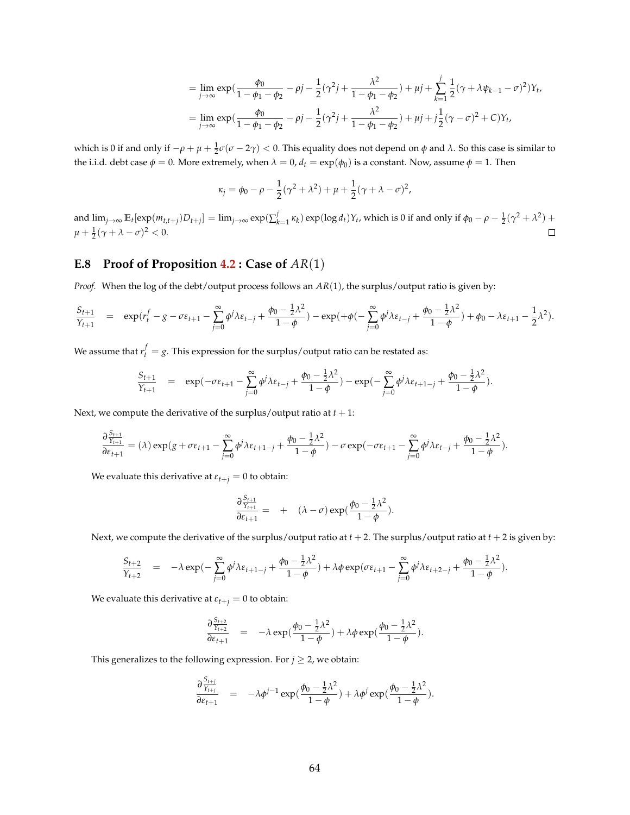$$
= \lim_{j \to \infty} \exp\left(\frac{\phi_0}{1 - \phi_1 - \phi_2} - \rho j - \frac{1}{2}(\gamma^2 j + \frac{\lambda^2}{1 - \phi_1 - \phi_2}) + \mu j + \sum_{k=1}^j \frac{1}{2}(\gamma + \lambda \psi_{k-1} - \sigma)^2\right) Y_t,
$$
  
= 
$$
\lim_{j \to \infty} \exp\left(\frac{\phi_0}{1 - \phi_1 - \phi_2} - \rho j - \frac{1}{2}(\gamma^2 j + \frac{\lambda^2}{1 - \phi_1 - \phi_2}) + \mu j + j\frac{1}{2}(\gamma - \sigma)^2 + C\right) Y_t,
$$

which is 0 if and only if  $-\rho + \mu + \frac{1}{2} \sigma (\sigma - 2\gamma) < 0$ . This equality does not depend on *φ* and *λ*. So this case is similar to the i.i.d. debt case  $\phi = 0$ . More extremely, when  $\lambda = 0$ ,  $d_t = \exp(\phi_0)$  is a constant. Now, assume  $\phi = 1$ . Then

$$
\kappa_j = \phi_0 - \rho - \frac{1}{2}(\gamma^2 + \lambda^2) + \mu + \frac{1}{2}(\gamma + \lambda - \sigma)^2,
$$

and  $\lim_{j\to\infty} \mathbb{E}_t[\exp(m_{t,t+j})D_{t+j}] = \lim_{j\to\infty} \exp(\sum_{k=1}^j \kappa_k) \exp(\log d_t)Y_t$ , which is 0 if and only if  $\phi_0 - \rho - \frac{1}{2}(\gamma^2 + \lambda^2)$  +  $\mu + \frac{1}{2}(\gamma + \lambda - \sigma)^2 < 0.$  $\Box$ 

### **E.8 Proof of Proposition [4.2](#page-22-0) : Case of** *AR*(1)

*Proof.* When the log of the debt/output process follows an *AR*(1), the surplus/output ratio is given by:

$$
\frac{S_{t+1}}{Y_{t+1}} = \exp(r_t^f - g - \sigma \varepsilon_{t+1} - \sum_{j=0}^{\infty} \phi^j \lambda \varepsilon_{t-j} + \frac{\phi_0 - \frac{1}{2} \lambda^2}{1 - \phi}) - \exp(+\phi(-\sum_{j=0}^{\infty} \phi^j \lambda \varepsilon_{t-j} + \frac{\phi_0 - \frac{1}{2} \lambda^2}{1 - \phi}) + \phi_0 - \lambda \varepsilon_{t+1} - \frac{1}{2} \lambda^2).
$$

We assume that  $r_t^f = g$ . This expression for the surplus/output ratio can be restated as:

$$
\frac{S_{t+1}}{Y_{t+1}} = \exp(-\sigma \varepsilon_{t+1} - \sum_{j=0}^{\infty} \phi^j \lambda \varepsilon_{t-j} + \frac{\phi_0 - \frac{1}{2} \lambda^2}{1 - \phi}) - \exp(-\sum_{j=0}^{\infty} \phi^j \lambda \varepsilon_{t+1-j} + \frac{\phi_0 - \frac{1}{2} \lambda^2}{1 - \phi}).
$$

Next, we compute the derivative of the surplus/output ratio at  $t + 1$ :

$$
\frac{\partial \frac{S_{t+1}}{Y_{t+1}}}{\partial \varepsilon_{t+1}} = (\lambda)\exp(g+\sigma\varepsilon_{t+1}-\sum_{j=0}^\infty \phi^j \lambda \varepsilon_{t+1-j} + \frac{\phi_0 - \frac{1}{2}\lambda^2}{1-\phi}) - \sigma \exp(-\sigma\varepsilon_{t+1} - \sum_{j=0}^\infty \phi^j \lambda \varepsilon_{t-j} + \frac{\phi_0 - \frac{1}{2}\lambda^2}{1-\phi}).
$$

We evaluate this derivative at  $\varepsilon_{t+j} = 0$  to obtain:

$$
\frac{\partial \frac{S_{t+1}}{Y_{t+1}}}{\partial \varepsilon_{t+1}} = + (\lambda - \sigma) \exp(\frac{\phi_0 - \frac{1}{2}\lambda^2}{1 - \phi}).
$$

Next, we compute the derivative of the surplus/output ratio at  $t + 2$ . The surplus/output ratio at  $t + 2$  is given by:

$$
\frac{S_{t+2}}{Y_{t+2}} = -\lambda \exp(-\sum_{j=0}^{\infty} \phi^j \lambda \varepsilon_{t+1-j} + \frac{\phi_0 - \frac{1}{2}\lambda^2}{1-\phi}) + \lambda \phi \exp(\sigma \varepsilon_{t+1} - \sum_{j=0}^{\infty} \phi^j \lambda \varepsilon_{t+2-j} + \frac{\phi_0 - \frac{1}{2}\lambda^2}{1-\phi}).
$$

We evaluate this derivative at  $\varepsilon_{t+j} = 0$  to obtain:

$$
\frac{\partial \frac{S_{t+2}}{Y_{t+2}}}{\partial \varepsilon_{t+1}} = -\lambda \exp(\frac{\phi_0 - \frac{1}{2}\lambda^2}{1-\phi}) + \lambda \phi \exp(\frac{\phi_0 - \frac{1}{2}\lambda^2}{1-\phi}).
$$

This generalizes to the following expression. For  $j \geq 2$ , we obtain:

$$
\frac{\partial \frac{S_{t+j}}{Y_{t+j}}}{\partial \varepsilon_{t+1}} = -\lambda \phi^{j-1} \exp(\frac{\phi_0 - \frac{1}{2}\lambda^2}{1-\phi}) + \lambda \phi^j \exp(\frac{\phi_0 - \frac{1}{2}\lambda^2}{1-\phi}).
$$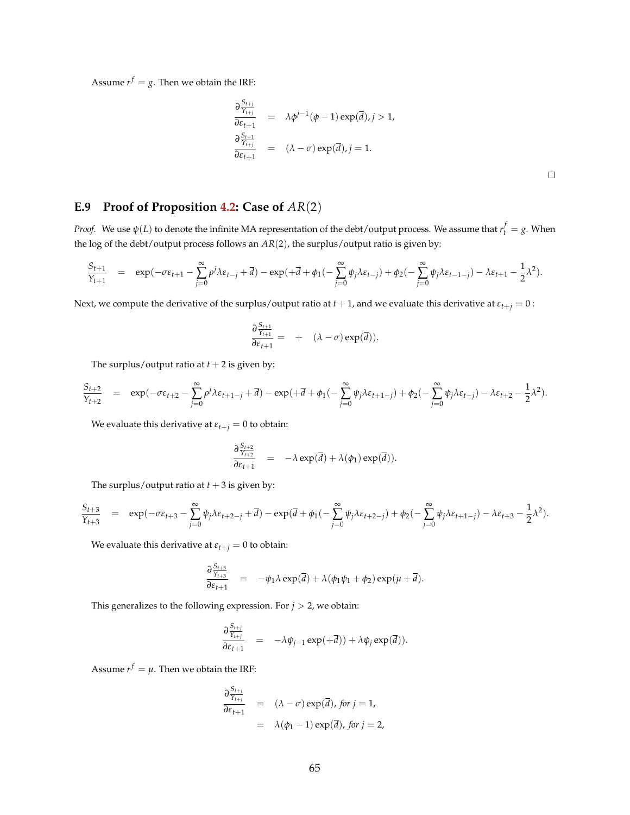Assume  $r^f = g$ . Then we obtain the IRF:

$$
\frac{\partial \frac{S_{t+j}}{\gamma_{t+j}}}{\partial \varepsilon_{t+1}} = \lambda \phi^{j-1}(\phi - 1) \exp(\overline{d}), j > 1,
$$
  

$$
\frac{\partial \frac{S_{t+1}}{\gamma_{t+j}}}{\partial \varepsilon_{t+1}} = (\lambda - \sigma) \exp(\overline{d}), j = 1.
$$

## **E.9 Proof of Proposition [4.2:](#page-22-0) Case of** *AR*(2)

*Proof.* We use  $\psi(L)$  to denote the infinite MA representation of the debt/output process. We assume that  $r_t^f=g$ . When the log of the debt/output process follows an *AR*(2), the surplus/output ratio is given by:

$$
\frac{S_{t+1}}{Y_{t+1}} = \exp(-\sigma \varepsilon_{t+1} - \sum_{j=0}^{\infty} \rho^j \lambda \varepsilon_{t-j} + \overline{d}) - \exp(+\overline{d} + \phi_1(-\sum_{j=0}^{\infty} \psi_j \lambda \varepsilon_{t-j}) + \phi_2(-\sum_{j=0}^{\infty} \psi_j \lambda \varepsilon_{t-1-j}) - \lambda \varepsilon_{t+1} - \frac{1}{2} \lambda^2).
$$

Next, we compute the derivative of the surplus/output ratio at  $t + 1$ , and we evaluate this derivative at  $\varepsilon_{t+j} = 0$ :

$$
\frac{\partial \frac{S_{t+1}}{Y_{t+1}}}{\partial \varepsilon_{t+1}} = + (\lambda - \sigma) \exp(\overline{d})).
$$

The surplus/output ratio at  $t + 2$  is given by:

$$
\frac{S_{t+2}}{Y_{t+2}}\quad =\quad \exp(-\sigma \epsilon_{t+2} - \sum_{j=0}^\infty \rho^j \lambda \epsilon_{t+1-j} + \overline{d}) - \exp(+\overline{d} + \phi_1(-\sum_{j=0}^\infty \psi_j \lambda \epsilon_{t+1-j}) + \phi_2(-\sum_{j=0}^\infty \psi_j \lambda \epsilon_{t-j}) - \lambda \epsilon_{t+2} - \frac{1}{2} \lambda^2).
$$

We evaluate this derivative at  $\varepsilon_{t+j} = 0$  to obtain:

$$
\frac{\partial \frac{S_{t+2}}{Y_{t+2}}}{\partial \varepsilon_{t+1}} = -\lambda \exp(\overline{d}) + \lambda(\phi_1) \exp(\overline{d})).
$$

The surplus/output ratio at  $t + 3$  is given by:

$$
\frac{S_{t+3}}{Y_{t+3}} = \exp(-\sigma \varepsilon_{t+3} - \sum_{j=0}^{\infty} \psi_j \lambda \varepsilon_{t+2-j} + \overline{d}) - \exp(\overline{d} + \phi_1(-\sum_{j=0}^{\infty} \psi_j \lambda \varepsilon_{t+2-j}) + \phi_2(-\sum_{j=0}^{\infty} \psi_j \lambda \varepsilon_{t+1-j}) - \lambda \varepsilon_{t+3} - \frac{1}{2} \lambda^2).
$$

We evaluate this derivative at  $\varepsilon_{t+j} = 0$  to obtain:

$$
\frac{\partial \frac{S_{t+3}}{Y_{t+3}}}{\partial \varepsilon_{t+1}} = -\psi_1 \lambda \exp(\overline{d}) + \lambda (\phi_1 \psi_1 + \phi_2) \exp(\mu + \overline{d}).
$$

This generalizes to the following expression. For  $j > 2$ , we obtain:

$$
\frac{\partial \frac{S_{t+j}}{\gamma_{t+j}}}{\partial \varepsilon_{t+1}} = -\lambda \psi_{j-1} \exp(+\overline{d})) + \lambda \psi_j \exp(\overline{d})).
$$

Assume  $r^f = \mu$ . Then we obtain the IRF:

$$
\frac{\partial \frac{S_{t+j}}{Y_{t+j}}}{\partial \varepsilon_{t+1}} = (\lambda - \sigma) \exp(\overline{d}), \text{ for } j = 1,
$$
  
=  $\lambda(\phi_1 - 1) \exp(\overline{d}), \text{ for } j = 2,$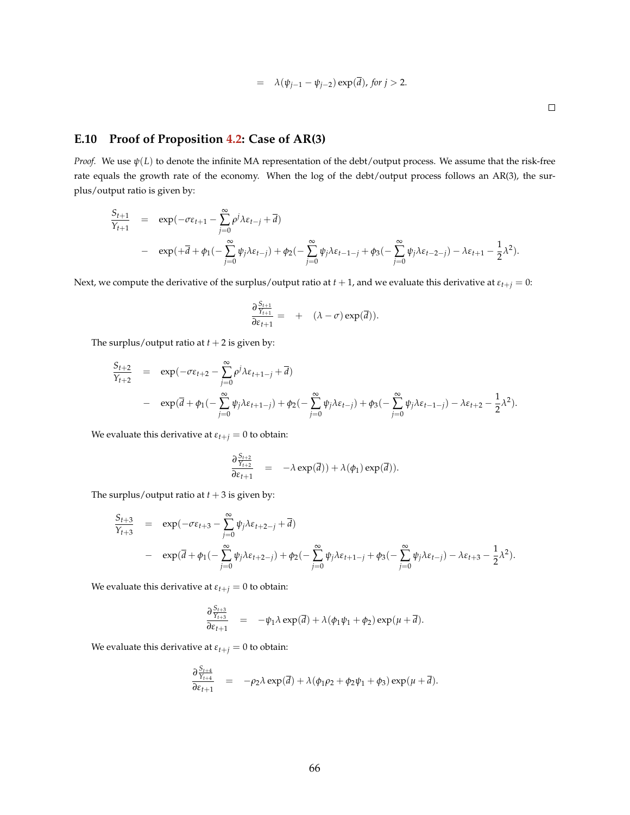$$
= \lambda(\psi_{j-1} - \psi_{j-2}) \exp(\overline{d}), \text{ for } j > 2.
$$

 $\Box$ 

### **E.10 Proof of Proposition [4.2:](#page-22-0) Case of AR(3)**

*Proof.* We use *ψ*(*L*) to denote the infinite MA representation of the debt/output process. We assume that the risk-free rate equals the growth rate of the economy. When the log of the debt/output process follows an AR(3), the surplus/output ratio is given by:

$$
\frac{S_{t+1}}{Y_{t+1}} = \exp(-\sigma \varepsilon_{t+1} - \sum_{j=0}^{\infty} \rho^j \lambda \varepsilon_{t-j} + \overline{d})
$$
  
- 
$$
\exp(+\overline{d} + \phi_1(-\sum_{j=0}^{\infty} \psi_j \lambda \varepsilon_{t-j}) + \phi_2(-\sum_{j=0}^{\infty} \psi_j \lambda \varepsilon_{t-1-j} + \phi_3(-\sum_{j=0}^{\infty} \psi_j \lambda \varepsilon_{t-2-j}) - \lambda \varepsilon_{t+1} - \frac{1}{2} \lambda^2).
$$

Next, we compute the derivative of the surplus/output ratio at  $t + 1$ , and we evaluate this derivative at  $\varepsilon_{t+j} = 0$ :

$$
\frac{\partial \frac{S_{t+1}}{Y_{t+1}}}{\partial \varepsilon_{t+1}} = + (\lambda - \sigma) \exp(\overline{d})).
$$

The surplus/output ratio at  $t + 2$  is given by:

$$
\frac{S_{t+2}}{Y_{t+2}} = \exp(-\sigma \varepsilon_{t+2} - \sum_{j=0}^{\infty} \rho^j \lambda \varepsilon_{t+1-j} + \overline{d})
$$
  
- 
$$
\exp(\overline{d} + \phi_1(-\sum_{j=0}^{\infty} \psi_j \lambda \varepsilon_{t+1-j}) + \phi_2(-\sum_{j=0}^{\infty} \psi_j \lambda \varepsilon_{t-j}) + \phi_3(-\sum_{j=0}^{\infty} \psi_j \lambda \varepsilon_{t-1-j}) - \lambda \varepsilon_{t+2} - \frac{1}{2} \lambda^2).
$$

We evaluate this derivative at  $\varepsilon_{t+j} = 0$  to obtain:

$$
\frac{\partial \frac{S_{t+2}}{Y_{t+2}}}{\partial \varepsilon_{t+1}} = -\lambda \exp(\overline{d})) + \lambda(\phi_1) \exp(\overline{d})).
$$

The surplus/output ratio at  $t + 3$  is given by:

$$
\frac{S_{t+3}}{Y_{t+3}} = \exp(-\sigma \varepsilon_{t+3} - \sum_{j=0}^{\infty} \psi_j \lambda \varepsilon_{t+2-j} + \overline{d})
$$
  
- 
$$
\exp(\overline{d} + \phi_1(-\sum_{j=0}^{\infty} \psi_j \lambda \varepsilon_{t+2-j}) + \phi_2(-\sum_{j=0}^{\infty} \psi_j \lambda \varepsilon_{t+1-j} + \phi_3(-\sum_{j=0}^{\infty} \psi_j \lambda \varepsilon_{t-j}) - \lambda \varepsilon_{t+3} - \frac{1}{2} \lambda^2).
$$

We evaluate this derivative at  $\varepsilon_{t+j} = 0$  to obtain:

$$
\frac{\partial \frac{S_{t+3}}{Y_{t+3}}}{\partial \varepsilon_{t+1}} = -\psi_1 \lambda \exp(\overline{d}) + \lambda (\phi_1 \psi_1 + \phi_2) \exp(\mu + \overline{d}).
$$

We evaluate this derivative at  $\varepsilon_{t+j} = 0$  to obtain:

$$
\frac{\partial \frac{S_{t+4}}{Y_{t+4}}}{\partial \varepsilon_{t+1}} = -\rho_2 \lambda \exp(\overline{d}) + \lambda (\phi_1 \rho_2 + \phi_2 \psi_1 + \phi_3) \exp(\mu + \overline{d}).
$$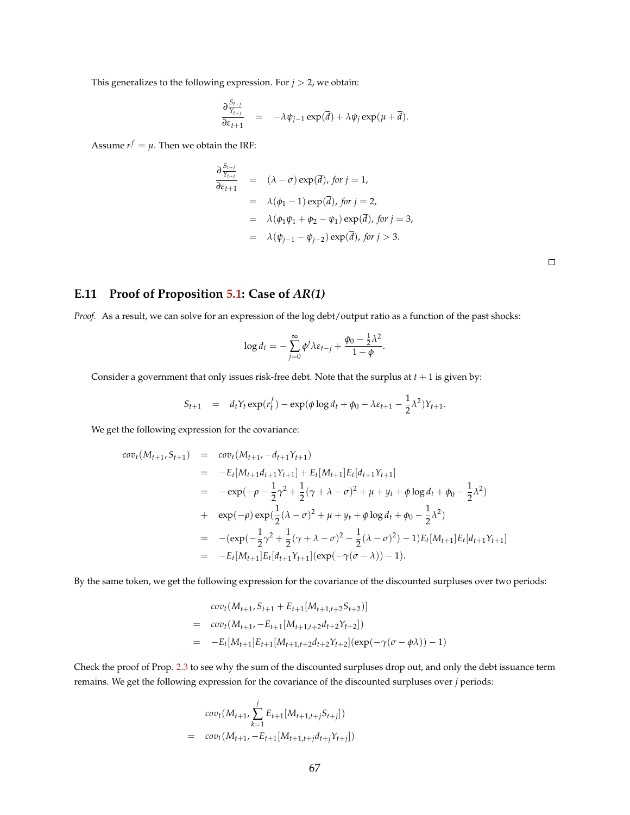This generalizes to the following expression. For  $j > 2$ , we obtain:

$$
\frac{\partial \frac{S_{t+j}}{\gamma_{t+j}}}{\partial \varepsilon_{t+1}} = -\lambda \psi_{j-1} \exp(\overline{d}) + \lambda \psi_j \exp(\mu + \overline{d}).
$$

Assume  $r^f = \mu$ . Then we obtain the IRF:

$$
\frac{\partial \frac{S_{t+j}}{Y_{t+j}}}{\partial \varepsilon_{t+1}} = (\lambda - \sigma) \exp(\overline{d}), \text{ for } j = 1,
$$
  
\n
$$
= \lambda(\phi_1 - 1) \exp(\overline{d}), \text{ for } j = 2,
$$
  
\n
$$
= \lambda(\phi_1 \psi_1 + \phi_2 - \psi_1) \exp(\overline{d}), \text{ for } j = 3,
$$
  
\n
$$
= \lambda(\psi_{j-1} - \psi_{j-2}) \exp(\overline{d}), \text{ for } j > 3.
$$

### **E.11 Proof of Proposition [5.1:](#page-27-0) Case of** *AR(1)*

*Proof.* As a result, we can solve for an expression of the log debt/output ratio as a function of the past shocks:

$$
\log d_t = -\sum_{j=0}^{\infty} \phi^j \lambda \varepsilon_{t-j} + \frac{\phi_0 - \frac{1}{2} \lambda^2}{1 - \phi}.
$$

Consider a government that only issues risk-free debt. Note that the surplus at  $t + 1$  is given by:

$$
S_{t+1} = d_t Y_t \exp(r_t^f) - \exp(\phi \log d_t + \phi_0 - \lambda \varepsilon_{t+1} - \frac{1}{2} \lambda^2) Y_{t+1}.
$$

We get the following expression for the covariance:

$$
cov_t(M_{t+1}, S_{t+1}) = cov_t(M_{t+1}, -d_{t+1}Y_{t+1})
$$
  
\n
$$
= -E_t[M_{t+1}d_{t+1}Y_{t+1}] + E_t[M_{t+1}]E_t[d_{t+1}Y_{t+1}]
$$
  
\n
$$
= -exp(-\rho - \frac{1}{2}\gamma^2 + \frac{1}{2}(\gamma + \lambda - \sigma)^2 + \mu + y_t + \phi \log d_t + \phi_0 - \frac{1}{2}\lambda^2)
$$
  
\n
$$
+ exp(-\rho) exp(\frac{1}{2}(\lambda - \sigma)^2 + \mu + y_t + \phi \log d_t + \phi_0 - \frac{1}{2}\lambda^2)
$$
  
\n
$$
= -(exp(-\frac{1}{2}\gamma^2 + \frac{1}{2}(\gamma + \lambda - \sigma)^2 - \frac{1}{2}(\lambda - \sigma)^2) - 1)E_t[M_{t+1}]E_t[d_{t+1}Y_{t+1}]
$$
  
\n
$$
= -E_t[M_{t+1}]E_t[d_{t+1}Y_{t+1}](exp(-\gamma(\sigma - \lambda)) - 1).
$$

By the same token, we get the following expression for the covariance of the discounted surpluses over two periods:

$$
cov_t(M_{t+1}, S_{t+1} + E_{t+1}[M_{t+1,t+2}S_{t+2})]
$$
  
= 
$$
cov_t(M_{t+1}, -E_{t+1}[M_{t+1,t+2}d_{t+2}Y_{t+2}])
$$
  
= 
$$
-E_t[M_{t+1}]E_{t+1}[M_{t+1,t+2}d_{t+2}Y_{t+2}](exp(-\gamma(\sigma - \phi \lambda)) - 1)
$$

Check the proof of Prop. [2.3](#page-11-1) to see why the sum of the discounted surpluses drop out, and only the debt issuance term remains. We get the following expression for the covariance of the discounted surpluses over *j* periods:

$$
cov_t(M_{t+1}, \sum_{k=1}^j E_{t+1}[M_{t+1,t+j}S_{t+j}])
$$
  
= 
$$
cov_t(M_{t+1}, -E_{t+1}[M_{t+1,t+j}d_{t+j}Y_{t+j}])
$$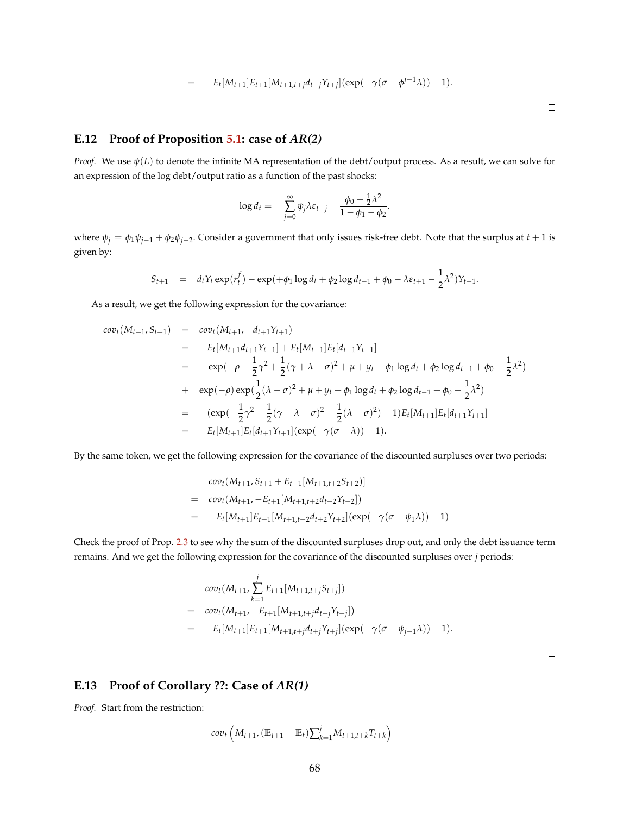$$
= -E_t[M_{t+1}]E_{t+1}[M_{t+1,t+j}d_{t+j}Y_{t+j}](\exp(-\gamma(\sigma-\phi^{j-1}\lambda))-1).
$$

### **E.12 Proof of Proposition [5.1:](#page-27-0) case of** *AR(2)*

*Proof.* We use *ψ*(*L*) to denote the infinite MA representation of the debt/output process. As a result, we can solve for an expression of the log debt/output ratio as a function of the past shocks:

$$
\log d_t = -\sum_{j=0}^{\infty} \psi_j \lambda \varepsilon_{t-j} + \frac{\phi_0 - \frac{1}{2} \lambda^2}{1 - \phi_1 - \phi_2}.
$$

where  $\psi_j = \phi_1 \psi_{j-1} + \phi_2 \psi_{j-2}$ . Consider a government that only issues risk-free debt. Note that the surplus at  $t+1$  is given by:

$$
S_{t+1} = d_t Y_t \exp(r_t^f) - \exp(+\phi_1 \log d_t + \phi_2 \log d_{t-1} + \phi_0 - \lambda \varepsilon_{t+1} - \frac{1}{2} \lambda^2) Y_{t+1}.
$$

As a result, we get the following expression for the covariance:

$$
cov_{t}(M_{t+1}, S_{t+1}) = cov_{t}(M_{t+1}, -d_{t+1}Y_{t+1})
$$
  
\n
$$
= -E_{t}[M_{t+1}d_{t+1}Y_{t+1}] + E_{t}[M_{t+1}]E_{t}[d_{t+1}Y_{t+1}]
$$
  
\n
$$
= -exp(-\rho - \frac{1}{2}\gamma^{2} + \frac{1}{2}(\gamma + \lambda - \sigma)^{2} + \mu + y_{t} + \phi_{1} \log d_{t} + \phi_{2} \log d_{t-1} + \phi_{0} - \frac{1}{2}\lambda^{2})
$$
  
\n
$$
+ exp(-\rho) exp(\frac{1}{2}(\lambda - \sigma)^{2} + \mu + y_{t} + \phi_{1} \log d_{t} + \phi_{2} \log d_{t-1} + \phi_{0} - \frac{1}{2}\lambda^{2})
$$
  
\n
$$
= -(exp(-\frac{1}{2}\gamma^{2} + \frac{1}{2}(\gamma + \lambda - \sigma)^{2} - \frac{1}{2}(\lambda - \sigma)^{2}) - 1)E_{t}[M_{t+1}]E_{t}[d_{t+1}Y_{t+1}]
$$
  
\n
$$
= -E_{t}[M_{t+1}]E_{t}[d_{t+1}Y_{t+1}](exp(-\gamma(\sigma - \lambda)) - 1).
$$

By the same token, we get the following expression for the covariance of the discounted surpluses over two periods:

$$
cov_t(M_{t+1}, S_{t+1} + E_{t+1}[M_{t+1,t+2}S_{t+2})]
$$
  
= 
$$
cov_t(M_{t+1}, -E_{t+1}[M_{t+1,t+2}d_{t+2}Y_{t+2}])
$$
  
= 
$$
-E_t[M_{t+1}]E_{t+1}[M_{t+1,t+2}d_{t+2}Y_{t+2}](exp(-\gamma(\sigma - \psi_1\lambda)) - 1)
$$

Check the proof of Prop. [2.3](#page-11-1) to see why the sum of the discounted surpluses drop out, and only the debt issuance term remains. And we get the following expression for the covariance of the discounted surpluses over *j* periods:

$$
cov_t(M_{t+1}, \sum_{k=1}^j E_{t+1}[M_{t+1,t+j}S_{t+j}])
$$
  
= 
$$
cov_t(M_{t+1}, -E_{t+1}[M_{t+1,t+j}d_{t+j}Y_{t+j}])
$$
  
= 
$$
-E_t[M_{t+1}]E_{t+1}[M_{t+1,t+j}d_{t+j}Y_{t+j}](exp(-\gamma(\sigma - \psi_{j-1}\lambda)) - 1).
$$

 $\Box$ 

### **E.13 Proof of Corollary ??: Case of** *AR(1)*

*Proof.* Start from the restriction:

$$
cov_t (M_{t+1}, (\mathbb{E}_{t+1} - \mathbb{E}_t) \sum_{k=1}^{j} M_{t+1,t+k} T_{t+k})
$$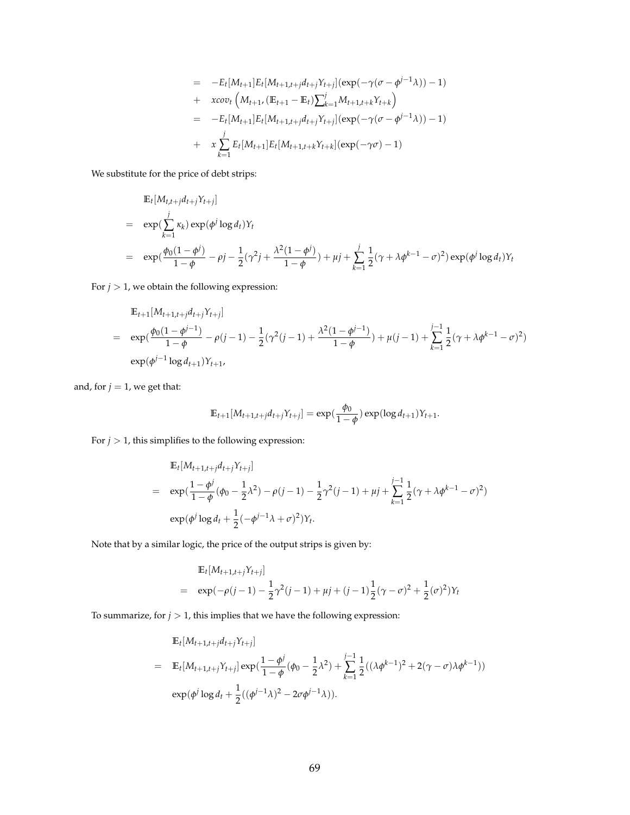$$
= -E_t[M_{t+1}]E_t[M_{t+1,t+j}d_{t+j}Y_{t+j}](\exp(-\gamma(\sigma - \phi^{j-1}\lambda)) - 1)
$$
  
+  $x\cos\left(M_{t+1}, (\mathbb{E}_{t+1} - \mathbb{E}_t)\sum_{k=1}^j M_{t+1,t+k}Y_{t+k}\right)$   
=  $-E_t[M_{t+1}]E_t[M_{t+1,t+j}d_{t+j}Y_{t+j}](\exp(-\gamma(\sigma - \phi^{j-1}\lambda)) - 1)$   
+  $x\sum_{k=1}^j E_t[M_{t+1}]E_t[M_{t+1,t+k}Y_{t+k}](\exp(-\gamma\sigma) - 1)$ 

We substitute for the price of debt strips:

$$
\mathbb{E}_{t}[M_{t,t+j}d_{t+j}Y_{t+j}]
$$
\n
$$
= \exp(\sum_{k=1}^{j} \kappa_{k}) \exp(\phi^{j} \log d_{t})Y_{t}
$$
\n
$$
= \exp(\frac{\phi_{0}(1-\phi^{j})}{1-\phi} - \rho^{j} - \frac{1}{2}(\gamma^{2}j + \frac{\lambda^{2}(1-\phi^{j})}{1-\phi}) + \mu^{j} + \sum_{k=1}^{j} \frac{1}{2}(\gamma + \lambda \phi^{k-1} - \sigma^{2}) \exp(\phi^{j} \log d_{t})Y_{t}
$$

For  $j > 1$ , we obtain the following expression:

$$
\mathbb{E}_{t+1}[M_{t+1,t+j}d_{t+j}Y_{t+j}]
$$
\n
$$
= \exp(\frac{\phi_0(1-\phi^{j-1})}{1-\phi}-\rho(j-1)-\frac{1}{2}(\gamma^2(j-1)+\frac{\lambda^2(1-\phi^{j-1})}{1-\phi})+\mu(j-1)+\sum_{k=1}^{j-1}\frac{1}{2}(\gamma+\lambda\phi^{k-1}-\sigma)^2)
$$
\n
$$
\exp(\phi^{j-1}\log d_{t+1})Y_{t+1},
$$

and, for  $j = 1$ , we get that:

$$
\mathbb{E}_{t+1}[M_{t+1,t+j}d_{t+j}Y_{t+j}] = \exp(\frac{\phi_0}{1-\phi})\exp(\log d_{t+1})Y_{t+1}.
$$

For  $j>1,$  this simplifies to the following expression:

$$
\begin{split} & \mathbb{E}_t[M_{t+1,t+j}d_{t+j}Y_{t+j}] \\ &= \exp\left(\frac{1-\phi^j}{1-\phi}(\phi_0-\frac{1}{2}\lambda^2)-\rho(j-1)-\frac{1}{2}\gamma^2(j-1)+\mu j+\sum_{k=1}^{j-1}\frac{1}{2}(\gamma+\lambda\phi^{k-1}-\sigma)^2\right) \\ & \exp(\phi^j\log d_t+\frac{1}{2}(-\phi^{j-1}\lambda+\sigma)^2)Y_t. \end{split}
$$

Note that by a similar logic, the price of the output strips is given by:

$$
\mathbb{E}_{t}[M_{t+1,t+j}Y_{t+j}]
$$
\n
$$
= \exp(-\rho(j-1) - \frac{1}{2}\gamma^{2}(j-1) + \mu j + (j-1)\frac{1}{2}(\gamma - \sigma)^{2} + \frac{1}{2}(\sigma)^{2})Y_{t}
$$

To summarize, for  $j>1$  , this implies that we have the following expression:

$$
\mathbb{E}_{t}[M_{t+1,t+j}d_{t+j}Y_{t+j}]
$$
\n
$$
= \mathbb{E}_{t}[M_{t+1,t+j}Y_{t+j}] \exp(\frac{1-\phi^{j}}{1-\phi}(\phi_{0}-\frac{1}{2}\lambda^{2}) + \sum_{k=1}^{j-1} \frac{1}{2}((\lambda\phi^{k-1})^{2} + 2(\gamma - \sigma)\lambda\phi^{k-1}))
$$
\n
$$
\exp(\phi^{j}\log d_{t} + \frac{1}{2}((\phi^{j-1}\lambda)^{2} - 2\sigma\phi^{j-1}\lambda)).
$$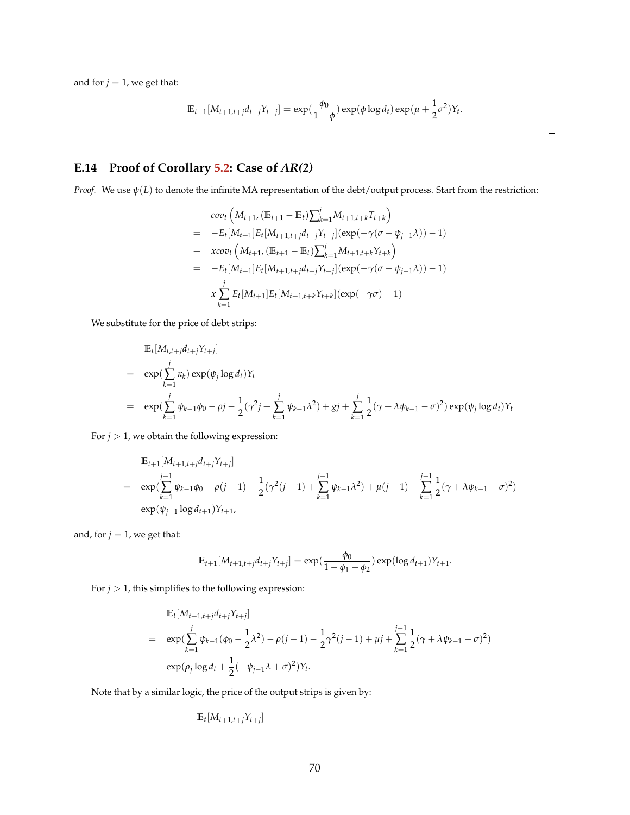and for  $j = 1$ , we get that:

$$
\mathbb{E}_{t+1}[M_{t+1,t+j}d_{t+j}Y_{t+j}] = \exp(\frac{\phi_0}{1-\phi})\exp(\phi\log d_t)\exp(\mu+\frac{1}{2}\sigma^2)Y_t.
$$

 $\Box$ 

## **E.14 Proof of Corollary [5.2:](#page-29-0) Case of** *AR(2)*

*Proof.* We use *ψ*(*L*) to denote the infinite MA representation of the debt/output process. Start from the restriction:

$$
cov_t \left( M_{t+1}, (\mathbb{E}_{t+1} - \mathbb{E}_t) \sum_{k=1}^j M_{t+1,t+k} T_{t+k} \right)
$$
  
=  $-E_t[M_{t+1}] E_t[M_{t+1,t+j} d_{t+j} Y_{t+j}] (\exp(-\gamma(\sigma - \psi_{j-1}\lambda)) - 1)$   
+  $xcov_t \left( M_{t+1}, (\mathbb{E}_{t+1} - \mathbb{E}_t) \sum_{k=1}^j M_{t+1,t+k} Y_{t+k} \right)$   
=  $-E_t[M_{t+1}] E_t[M_{t+1,t+j} d_{t+j} Y_{t+j}] (\exp(-\gamma(\sigma - \psi_{j-1}\lambda)) - 1)$   
+  $x \sum_{k=1}^j E_t[M_{t+1}] E_t[M_{t+1,t+k} Y_{t+k}] (\exp(-\gamma\sigma) - 1)$ 

We substitute for the price of debt strips:

$$
\mathbb{E}_{t}[M_{t,t+j}d_{t+j}Y_{t+j}]
$$
\n
$$
= \exp\left(\sum_{k=1}^{j} \kappa_{k}\right) \exp(\psi_{j} \log d_{t})Y_{t}
$$
\n
$$
= \exp\left(\sum_{k=1}^{j} \psi_{k-1}\phi_{0} - \rho j - \frac{1}{2}(\gamma^{2} j + \sum_{k=1}^{j} \psi_{k-1}\lambda^{2}) + gj + \sum_{k=1}^{j} \frac{1}{2}(\gamma + \lambda \psi_{k-1} - \sigma)^{2}\right) \exp(\psi_{j} \log d_{t})Y_{t}
$$

For  $j > 1$ , we obtain the following expression:

$$
\mathbb{E}_{t+1}[M_{t+1,t+j}d_{t+j}Y_{t+j}]
$$
\n
$$
= \exp\left(\sum_{k=1}^{j-1} \psi_{k-1}\phi_0 - \rho(j-1) - \frac{1}{2}(\gamma^2(j-1) + \sum_{k=1}^{j-1} \psi_{k-1}\lambda^2) + \mu(j-1) + \sum_{k=1}^{j-1} \frac{1}{2}(\gamma + \lambda\psi_{k-1} - \sigma)^2\right)
$$
\n
$$
\exp(\psi_{j-1}\log d_{t+1})Y_{t+1},
$$

and, for  $j = 1$ , we get that:

$$
\mathbb{E}_{t+1}[M_{t+1,t+j}d_{t+j}Y_{t+j}] = \exp(\frac{\phi_0}{1-\phi_1-\phi_2})\exp(\log d_{t+1})Y_{t+1}.
$$

For  $j > 1$ , this simplifies to the following expression:

$$
\mathbb{E}_{t}[M_{t+1,t+j}d_{t+j}Y_{t+j}]
$$
\n
$$
= \exp\left(\sum_{k=1}^{j} \psi_{k-1}(\phi_{0} - \frac{1}{2}\lambda^{2}) - \rho(j-1) - \frac{1}{2}\gamma^{2}(j-1) + \mu j + \sum_{k=1}^{j-1} \frac{1}{2}(\gamma + \lambda \psi_{k-1} - \sigma)^{2}\right)
$$
\n
$$
\exp(\rho_{j} \log d_{t} + \frac{1}{2}(-\psi_{j-1}\lambda + \sigma)^{2})Y_{t}.
$$

Note that by a similar logic, the price of the output strips is given by:

$$
\mathbb{E}_t[M_{t+1,t+j}Y_{t+j}]
$$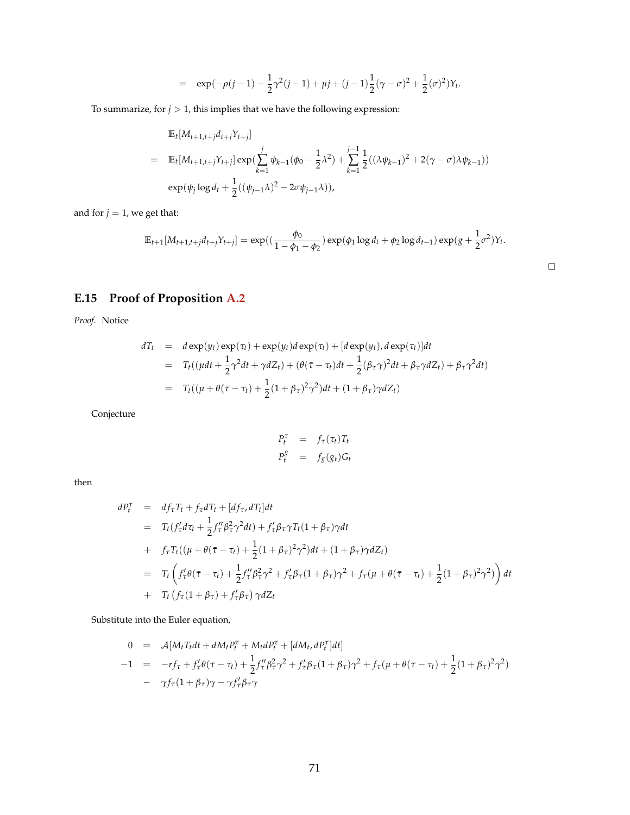$$
= \exp(-\rho(j-1) - \frac{1}{2}\gamma^2(j-1) + \mu j + (j-1)\frac{1}{2}(\gamma - \sigma)^2 + \frac{1}{2}(\sigma)^2)Y_t.
$$

To summarize, for  $j > 1$ , this implies that we have the following expression:

$$
\mathbb{E}_{t}[M_{t+1,t+j}d_{t+j}Y_{t+j}]
$$
\n
$$
= \mathbb{E}_{t}[M_{t+1,t+j}Y_{t+j}] \exp(\sum_{k=1}^{j} \psi_{k-1}(\phi_{0} - \frac{1}{2}\lambda^{2}) + \sum_{k=1}^{j-1} \frac{1}{2}((\lambda\psi_{k-1})^{2} + 2(\gamma - \sigma)\lambda\psi_{k-1}))
$$
\n
$$
\exp(\psi_{j}\log d_{t} + \frac{1}{2}((\psi_{j-1}\lambda)^{2} - 2\sigma\psi_{j-1}\lambda)),
$$

and for  $j = 1$ , we get that:

$$
\mathbb{E}_{t+1}[M_{t+1,t+j}d_{t+j}Y_{t+j}] = \exp((\frac{\phi_0}{1-\phi_1-\phi_2})\exp(\phi_1\log d_t+\phi_2\log d_{t-1})\exp((g+\frac{1}{2}\sigma^2)Y_t).
$$

 $\Box$ 

# **E.15 Proof of Proposition [A.2](#page-46-0)**

*Proof.* Notice

$$
dT_t = d \exp(y_t) \exp(\tau_t) + \exp(y_t) d \exp(\tau_t) + [d \exp(y_t), d \exp(\tau_t)] dt
$$
  
= 
$$
T_t((\mu dt + \frac{1}{2}\gamma^2 dt + \gamma dZ_t) + (\theta(\bar{\tau} - \tau_t)dt + \frac{1}{2}(\beta_{\tau}\gamma)^2 dt + \beta_{\tau}\gamma dZ_t) + \beta_{\tau}\gamma^2 dt)
$$
  
= 
$$
T_t((\mu + \theta(\bar{\tau} - \tau_t) + \frac{1}{2}(1 + \beta_{\tau})^2 \gamma^2)dt + (1 + \beta_{\tau})\gamma dZ_t)
$$

Conjecture

$$
P_t^{\tau} = f_{\tau}(\tau_t) T_t
$$
  

$$
P_t^g = f_g(g_t) G_t
$$

then

$$
dP_{t}^{\tau} = df_{\tau}T_{t} + f_{\tau}dT_{t} + [df_{\tau}, dT_{t}]dt
$$
  
\n
$$
= T_{t}(f_{\tau}^{'} d\tau_{t} + \frac{1}{2}f_{\tau}^{''}\beta_{\tau}^{2}\gamma^{2}dt) + f_{\tau}^{'}\beta_{\tau}\gamma T_{t}(1 + \beta_{\tau})\gamma dt
$$
  
\n
$$
+ f_{\tau}T_{t}((\mu + \theta(\tau - \tau_{t}) + \frac{1}{2}(1 + \beta_{\tau})^{2}\gamma^{2})dt + (1 + \beta_{\tau})\gamma dZ_{t})
$$
  
\n
$$
= T_{t}\left(f_{\tau}^{'}\theta(\bar{\tau} - \tau_{t}) + \frac{1}{2}f_{\tau}^{''}\beta_{\tau}^{2}\gamma^{2} + f_{\tau}^{'}\beta_{\tau}(1 + \beta_{\tau})\gamma^{2} + f_{\tau}(\mu + \theta(\bar{\tau} - \tau_{t}) + \frac{1}{2}(1 + \beta_{\tau})^{2}\gamma^{2})\right)dt
$$
  
\n
$$
+ T_{t}(f_{\tau}(1 + \beta_{\tau}) + f_{\tau}^{'}\beta_{\tau}) \gamma dZ_{t}
$$

Substitute into the Euler equation,

$$
0 = \mathcal{A}[M_t T_t dt + dM_t P_t^{\tau} + M_t dP_t^{\tau} + [dM_t, dP_t^{\tau}] dt]
$$
  
-1 =  $-r f_{\tau} + f_{\tau}' \theta(\bar{\tau} - \tau_t) + \frac{1}{2} f_{\tau}'' \beta_{\tau}^2 \gamma^2 + f_{\tau}' \beta_{\tau} (1 + \beta_{\tau}) \gamma^2 + f_{\tau} (\mu + \theta(\bar{\tau} - \tau_t) + \frac{1}{2} (1 + \beta_{\tau})^2 \gamma^2)$   
-  $\gamma f_{\tau} (1 + \beta_{\tau}) \gamma - \gamma f_{\tau}' \beta_{\tau} \gamma$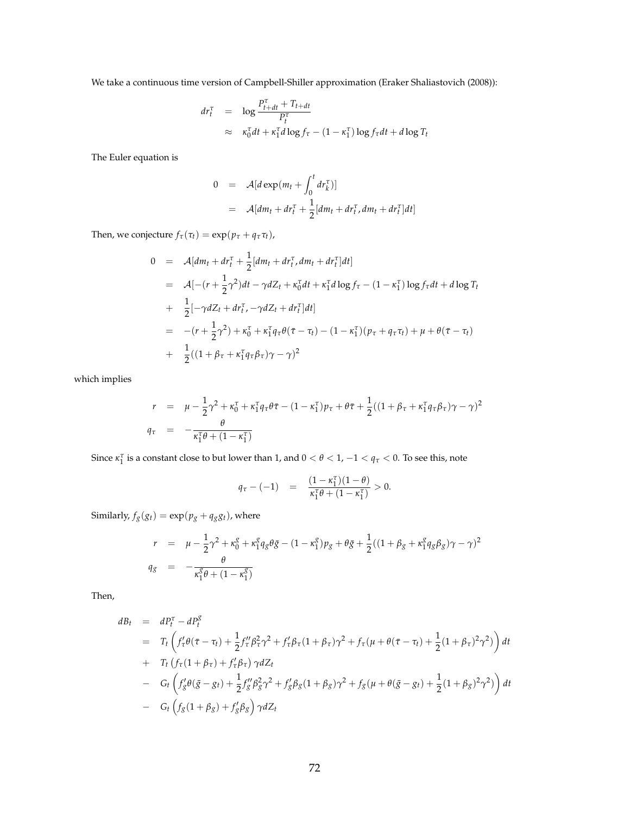We take a continuous time version of Campbell-Shiller approximation (Eraker Shaliastovich (2008)):

$$
dr_t^{\tau} = \log \frac{P_{t+dt}^{\tau} + T_{t+dt}}{P_t^{\tau}}
$$
  
 
$$
\approx \kappa_0^{\tau} dt + \kappa_1^{\tau} d \log f_{\tau} - (1 - \kappa_1^{\tau}) \log f_{\tau} dt + d \log T_t
$$

The Euler equation is

$$
0 = \mathcal{A}[d \exp(m_t + \int_0^t dr_k^{\tau})]
$$
  
= 
$$
\mathcal{A}[dm_t + dr_t^{\tau} + \frac{1}{2}[dm_t + dr_t^{\tau}, dm_t + dr_t^{\tau}]dt]
$$

Then, we conjecture  $f_{\tau}(\tau_t) = \exp(p_{\tau} + q_{\tau}\tau_t)$ ,

$$
0 = \mathcal{A}[dm_t + dr_t^{\tau} + \frac{1}{2}[dm_t + dr_t^{\tau}, dm_t + dr_t^{\tau}]dt]
$$
  
\n
$$
= \mathcal{A}[-(r + \frac{1}{2}\gamma^2)dt - \gamma dZ_t + \kappa_0^{\tau}dt + \kappa_1^{\tau}d\log f_{\tau} - (1 - \kappa_1^{\tau})\log f_{\tau}dt + d\log T_t
$$
  
\n
$$
+ \frac{1}{2}[-\gamma dZ_t + dr_t^{\tau}, -\gamma dZ_t + dr_t^{\tau}]dt]
$$
  
\n
$$
= -(r + \frac{1}{2}\gamma^2) + \kappa_0^{\tau} + \kappa_1^{\tau}q_{\tau}\theta(\tau - \tau_t) - (1 - \kappa_1^{\tau})(p_{\tau} + q_{\tau}\tau_t) + \mu + \theta(\tau - \tau_t)
$$
  
\n
$$
+ \frac{1}{2}((1 + \beta_{\tau} + \kappa_1^{\tau}q_{\tau}\beta_{\tau})\gamma - \gamma)^2
$$

which implies

$$
r = \mu - \frac{1}{2}\gamma^2 + \kappa_0^{\tau} + \kappa_1^{\tau}q_{\tau}\theta\bar{\tau} - (1 - \kappa_1^{\tau})p_{\tau} + \theta\bar{\tau} + \frac{1}{2}((1 + \beta_{\tau} + \kappa_1^{\tau}q_{\tau}\beta_{\tau})\gamma - \gamma)^2
$$
  

$$
q_{\tau} = -\frac{\theta}{\kappa_1^{\tau}\theta + (1 - \kappa_1^{\tau})}
$$

Since  $\kappa_1^{\tau}$  is a constant close to but lower than 1, and  $0 < \theta < 1$ ,  $-1 < q_{\tau} < 0$ . To see this, note

$$
q_{\tau} - (-1) = \frac{(1 - \kappa_1^{\tau})(1 - \theta)}{\kappa_1^{\tau}\theta + (1 - \kappa_1^{\tau})} > 0.
$$

Similarly,  $f_g(g_t) = \exp(p_g + q_g g_t)$ , where

$$
r = \mu - \frac{1}{2}\gamma^2 + \kappa_0^8 + \kappa_1^8 q_g \theta \bar{g} - (1 - \kappa_1^8) p_g + \theta \bar{g} + \frac{1}{2}((1 + \beta_g + \kappa_1^8 q_g \beta_g)\gamma - \gamma)^2
$$
  
\n
$$
q_g = -\frac{\theta}{\kappa_1^8 \theta + (1 - \kappa_1^8)}
$$

Then,

$$
dB_{t} = dP_{t}^{\tau} - dP_{t}^{g}
$$
  
\n
$$
= T_{t} \left( f_{\tau}^{\prime} \theta(\bar{\tau} - \tau_{t}) + \frac{1}{2} f_{\tau}^{\prime \prime} \beta_{\tau}^{2} \gamma^{2} + f_{\tau}^{\prime} \beta_{\tau} (1 + \beta_{\tau}) \gamma^{2} + f_{\tau} (\mu + \theta(\bar{\tau} - \tau_{t}) + \frac{1}{2} (1 + \beta_{\tau})^{2} \gamma^{2}) \right) dt
$$
  
\n
$$
+ T_{t} \left( f_{\tau} (1 + \beta_{\tau}) + f_{\tau}^{\prime} \beta_{\tau} \right) \gamma dZ_{t}
$$
  
\n
$$
- G_{t} \left( f_{g}^{\prime} \theta(\bar{g} - g_{t}) + \frac{1}{2} f_{g}^{\prime \prime} \beta_{g}^{2} \gamma^{2} + f_{g}^{\prime} \beta_{g} (1 + \beta_{g}) \gamma^{2} + f_{g} (\mu + \theta(\bar{g} - g_{t}) + \frac{1}{2} (1 + \beta_{g})^{2} \gamma^{2}) \right) dt
$$
  
\n
$$
- G_{t} \left( f_{g} (1 + \beta_{g}) + f_{g}^{\prime} \beta_{g} \right) \gamma dZ_{t}
$$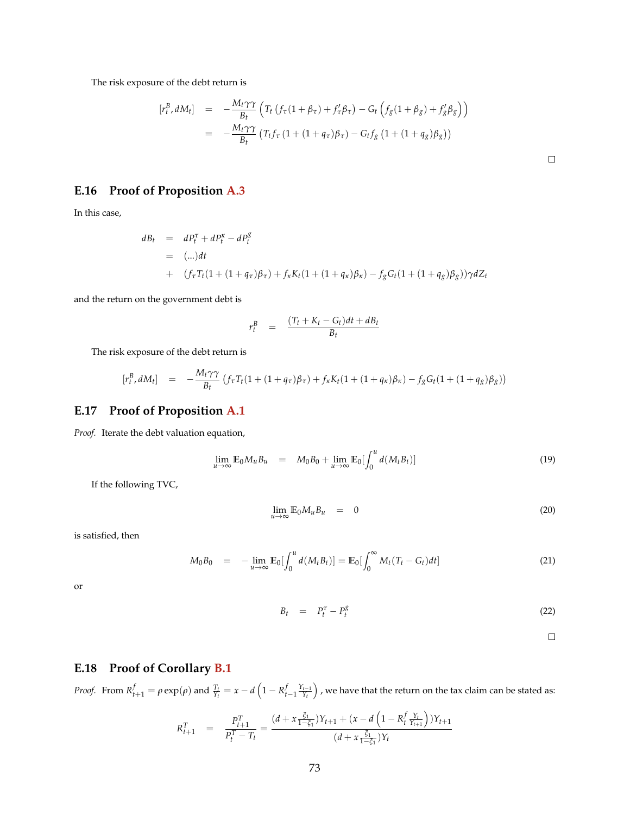The risk exposure of the debt return is

$$
\begin{array}{rcl}\n[r_t^B, dM_t] & = & -\frac{M_t \gamma \gamma}{B_t} \left( T_t \left( f_\tau (1 + \beta_\tau) + f_\tau' \beta_\tau \right) - G_t \left( f_g (1 + \beta_g) + f_g' \beta_g \right) \right) \\
& = & -\frac{M_t \gamma \gamma}{B_t} \left( T_t f_\tau \left( 1 + (1 + q_\tau) \beta_\tau \right) - G_t f_g \left( 1 + (1 + q_g) \beta_g \right) \right)\n\end{array}
$$

**E.16 Proof of Proposition [A.3](#page-47-0)**

In this case,

$$
dB_t = dP_t^{\tau} + dP_t^{\kappa} - dP_t^g
$$
  
= (-...)*dt*  
+  $(f_{\tau}T_t(1 + (1 + q_{\tau})\beta_{\tau}) + f_{\kappa}K_t(1 + (1 + q_{\kappa})\beta_{\kappa}) - f_gG_t(1 + (1 + q_g)\beta_g))\gamma dZ_t$ 

and the return on the government debt is

$$
r_t^B = \frac{(T_t + K_t - G_t)dt + dB_t}{B_t}
$$

The risk exposure of the debt return is

$$
[r_t^B, dM_t] = -\frac{M_t \gamma \gamma}{B_t} (f_\tau T_t (1 + (1 + q_\tau)\beta_\tau) + f_\kappa K_t (1 + (1 + q_\kappa)\beta_\kappa) - f_g G_t (1 + (1 + q_g)\beta_g))
$$

#### **E.17 Proof of Proposition [A.1](#page-45-0)**

*Proof.* Iterate the debt valuation equation,

$$
\lim_{u \to \infty} \mathbb{E}_0 M_u B_u = M_0 B_0 + \lim_{u \to \infty} \mathbb{E}_0 \left[ \int_0^u d(M_t B_t) \right]
$$
\n(19)

Z *<sup>u</sup>*

If the following TVC,

$$
\lim_{u \to \infty} \mathbb{E}_0 M_u B_u = 0 \tag{20}
$$

is satisfied, then

$$
M_0 B_0 = -\lim_{u \to \infty} \mathbb{E}_0 \left[ \int_0^u d(M_t B_t) \right] = \mathbb{E}_0 \left[ \int_0^\infty M_t (T_t - G_t) dt \right]
$$
 (21)

or

$$
B_t = P_t^{\tau} - P_t^{\mathcal{S}} \tag{22}
$$

 $\Box$ 

#### **E.18 Proof of Corollary [B.1](#page-48-0)**

Proof. From  $R_{t+1}^f=\rho\exp(\rho)$  and  $\frac{T_t}{Y_t}=x-d\left(1-R_{t-1}^f\frac{Y_{t-1}}{Y_t}\right)$  , we have that the return on the tax claim can be stated as:

$$
R_{t+1}^T = \frac{P_{t+1}^T}{P_t^T - T_t} = \frac{(d + x \frac{\xi_1}{1 - \xi_1})Y_{t+1} + (x - d \left(1 - R_t^f \frac{Y_t}{Y_{t+1}}\right))Y_{t+1}}{(d + x \frac{\xi_1}{1 - \xi_1})Y_t}
$$

 $\Box$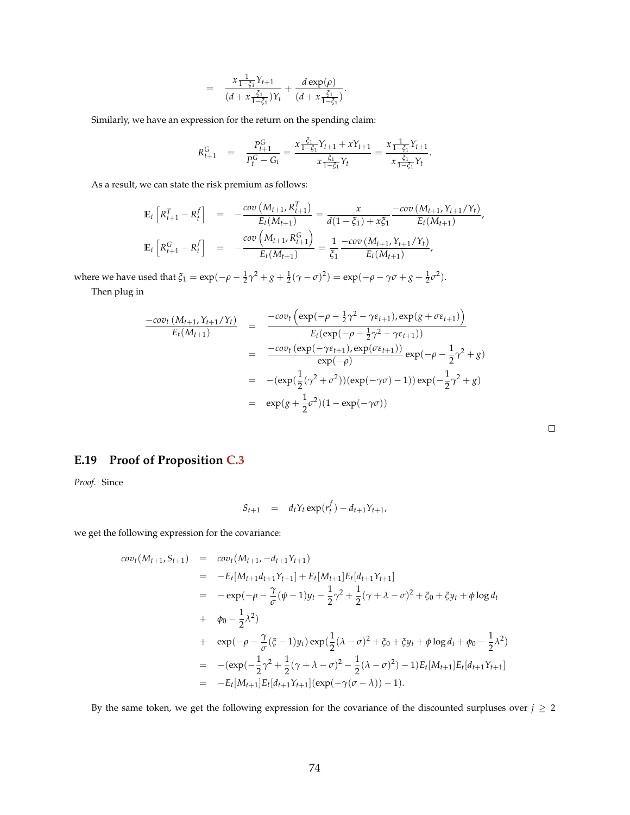$$
= \frac{x\frac{1}{1-\xi_1}Y_{t+1}}{(d+x\frac{\xi_1}{1-\xi_1})Y_t} + \frac{d\exp(\rho)}{(d+x\frac{\xi_1}{1-\xi_1})}.
$$

Similarly, we have an expression for the return on the spending claim:

$$
R_{t+1}^G = \frac{P_{t+1}^G}{P_t^G - G_t} = \frac{x \frac{\xi_1}{1 - \xi_1} Y_{t+1} + x Y_{t+1}}{x \frac{\xi_1}{1 - \xi_1} Y_t} = \frac{x \frac{1}{1 - \xi_1} Y_{t+1}}{x \frac{\xi_1}{1 - \xi_1} Y_t}.
$$

As a result, we can state the risk premium as follows:

$$
\mathbb{E}_{t}\left[R_{t+1}^{T} - R_{t}^{f}\right] = -\frac{\text{cov}\left(M_{t+1}, R_{t+1}^{T}\right)}{E_{t}(M_{t+1})} = \frac{x}{d(1-\xi_{1}) + x\xi_{1}} \frac{-\text{cov}\left(M_{t+1}, Y_{t+1}/Y_{t}\right)}{E_{t}(M_{t+1})},
$$
\n
$$
\mathbb{E}_{t}\left[R_{t+1}^{G} - R_{t}^{f}\right] = -\frac{\text{cov}\left(M_{t+1}, R_{t+1}^{G}\right)}{E_{t}(M_{t+1})} = \frac{1}{\xi_{1}} \frac{-\text{cov}\left(M_{t+1}, Y_{t+1}/Y_{t}\right)}{E_{t}(M_{t+1})},
$$

where we have used that  $\xi_1 = \exp(-\rho - \frac{1}{2}\gamma^2 + g + \frac{1}{2}(\gamma - \sigma)^2) = \exp(-\rho - \gamma\sigma + g + \frac{1}{2}\sigma^2)$ .

Then plug in

$$
\frac{-cov_t (M_{t+1}, Y_{t+1}/Y_t)}{E_t (M_{t+1})} = \frac{-cov_t \left( \exp(-\rho - \frac{1}{2}\gamma^2 - \gamma \varepsilon_{t+1}), \exp(g + \sigma \varepsilon_{t+1}) \right)}{E_t (\exp(-\rho - \frac{1}{2}\gamma^2 - \gamma \varepsilon_{t+1}))}
$$
  
\n
$$
= \frac{-cov_t \left( \exp(-\gamma \varepsilon_{t+1}), \exp(\sigma \varepsilon_{t+1}) \right)}{\exp(-\rho)} \exp(-\rho - \frac{1}{2}\gamma^2 + g)
$$
  
\n
$$
= -(\exp(\frac{1}{2}(\gamma^2 + \sigma^2))(\exp(-\gamma \sigma) - 1)) \exp(-\frac{1}{2}\gamma^2 + g)
$$
  
\n
$$
= \exp(g + \frac{1}{2}\sigma^2)(1 - \exp(-\gamma \sigma))
$$

 $\Box$ 

|  |  |  |  | <b>E.19</b> Proof of Proposition C.3 |  |
|--|--|--|--|--------------------------------------|--|
|--|--|--|--|--------------------------------------|--|

*Proof.* Since

$$
S_{t+1} = d_t Y_t \exp(r_t^f) - d_{t+1} Y_{t+1},
$$

we get the following expression for the covariance:

$$
cov_t(M_{t+1}, S_{t+1}) = cov_t(M_{t+1}, -d_{t+1}Y_{t+1})
$$
  
\n
$$
= -E_t[M_{t+1}d_{t+1}Y_{t+1}] + E_t[M_{t+1}]E_t[d_{t+1}Y_{t+1}]
$$
  
\n
$$
= -exp(-\rho - \frac{\gamma}{\sigma}(\psi - 1)y_t - \frac{1}{2}\gamma^2 + \frac{1}{2}(\gamma + \lambda - \sigma)^2 + \zeta_0 + \zeta y_t + \phi \log d_t
$$
  
\n
$$
+ \phi_0 - \frac{1}{2}\lambda^2)
$$
  
\n
$$
+ exp(-\rho - \frac{\gamma}{\sigma}(\zeta - 1)y_t)exp(\frac{1}{2}(\lambda - \sigma)^2 + \zeta_0 + \zeta y_t + \phi \log d_t + \phi_0 - \frac{1}{2}\lambda^2)
$$
  
\n
$$
= -(exp(-\frac{1}{2}\gamma^2 + \frac{1}{2}(\gamma + \lambda - \sigma)^2 - \frac{1}{2}(\lambda - \sigma)^2) - 1)E_t[M_{t+1}]E_t[d_{t+1}Y_{t+1}]
$$
  
\n
$$
= -E_t[M_{t+1}]E_t[d_{t+1}Y_{t+1}](exp(-\gamma(\sigma - \lambda)) - 1).
$$

By the same token, we get the following expression for the covariance of the discounted surpluses over  $j \geq 2$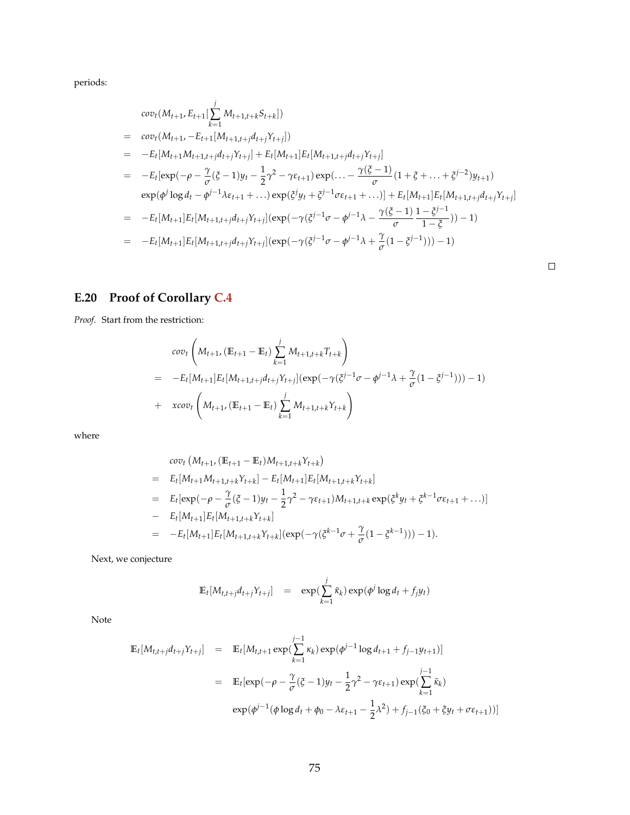periods:

$$
cov_t(M_{t+1}, E_{t+1}[\sum_{k=1}^{j} M_{t+1,t+k}S_{t+k}])
$$
\n
$$
= cov_t(M_{t+1}, -E_{t+1}[M_{t+1,t+j}d_{t+j}Y_{t+j}])
$$
\n
$$
= -E_t[M_{t+1}M_{t+1,t+j}d_{t+j}Y_{t+j}] + E_t[M_{t+1}]E_t[M_{t+1,t+j}d_{t+j}Y_{t+j}]
$$
\n
$$
= -E_t[exp(-\rho - \frac{\gamma}{\sigma}(\xi - 1)y_t - \frac{1}{2}\gamma^2 - \gamma\epsilon_{t+1})exp(\dots - \frac{\gamma(\xi - 1)}{\sigma}(1 + \xi + \dots + \xi^{j-2})y_{t+1})
$$
\n
$$
exp(\phi^j \log d_t - \phi^{j-1}\lambda \epsilon_{t+1} + \dots)exp(\xi^j y_t + \xi^{j-1}\sigma\epsilon_{t+1} + \dots)] + E_t[M_{t+1}]E_t[M_{t+1,t+j}d_{t+j}Y_{t+j}]
$$
\n
$$
= -E_t[M_{t+1}]E_t[M_{t+1,t+j}d_{t+j}Y_{t+j}](exp(-\gamma(\xi^{j-1}\sigma - \phi^{j-1}\lambda - \frac{\gamma(\xi - 1)}{\sigma}\frac{1 - \xi^{j-1}}{1 - \xi})) - 1)
$$
\n
$$
= -E_t[M_{t+1}]E_t[M_{t+1,t+j}d_{t+j}Y_{t+j}](exp(-\gamma(\xi^{j-1}\sigma - \phi^{j-1}\lambda + \frac{\gamma}{\sigma}(1 - \xi^{j-1}))) - 1)
$$

# **E.20 Proof of Corollary [C.4](#page-52-0)**

*Proof.* Start from the restriction:

$$
cov_t \left( M_{t+1}, (\mathbb{E}_{t+1} - \mathbb{E}_t) \sum_{k=1}^j M_{t+1,t+k} T_{t+k} \right)
$$
  
= 
$$
-E_t[M_{t+1}] E_t[M_{t+1,t+j} d_{t+j} Y_{t+j}] (exp(-\gamma (\zeta^{j-1} \sigma - \phi^{j-1} \lambda + \frac{\gamma}{\sigma} (1 - \zeta^{j-1}))) - 1)
$$
  
+ 
$$
xcov_t \left( M_{t+1}, (\mathbb{E}_{t+1} - \mathbb{E}_t) \sum_{k=1}^j M_{t+1,t+k} Y_{t+k} \right)
$$

where

$$
cov_t (M_{t+1}, (\mathbb{E}_{t+1} - \mathbb{E}_t)M_{t+1,t+k}Y_{t+k})
$$
  
=  $E_t[M_{t+1}M_{t+1,t+k}Y_{t+k}] - E_t[M_{t+1}]E_t[M_{t+1,t+k}Y_{t+k}]$   
=  $E_t[exp(-\rho - \frac{\gamma}{\sigma}(\xi - 1)y_t - \frac{1}{2}\gamma^2 - \gamma \epsilon_{t+1})M_{t+1,t+k}exp(\xi^k y_t + \xi^{k-1}\sigma \epsilon_{t+1} + ...)]$   
-  $E_t[M_{t+1}]E_t[M_{t+1,t+k}Y_{t+k}]$   
=  $-E_t[M_{t+1}]E_t[M_{t+1,t+k}Y_{t+k}](exp(-\gamma(\xi^{k-1}\sigma + \frac{\gamma}{\sigma}(1 - \xi^{k-1}))) - 1).$ 

Next, we conjecture

$$
\mathbb{E}_t[M_{t,t+j}d_{t+j}Y_{t+j}] = \exp(\sum_{k=1}^j \tilde{\kappa}_k) \exp(\phi^j \log d_t + f_j y_t)
$$

Note

$$
\mathbb{E}_{t}[M_{t,t+j}d_{t+j}Y_{t+j}] = \mathbb{E}_{t}[M_{t,t+1} \exp(\sum_{k=1}^{j-1} \kappa_{k}) \exp(\phi^{j-1} \log d_{t+1} + f_{j-1}y_{t+1})]
$$
\n
$$
= \mathbb{E}_{t}[\exp(-\rho - \frac{\gamma}{\sigma}(\xi - 1)y_{t} - \frac{1}{2}\gamma^{2} - \gamma \varepsilon_{t+1}) \exp(\sum_{k=1}^{j-1} \tilde{\kappa}_{k})
$$
\n
$$
\exp(\phi^{j-1}(\phi \log d_{t} + \phi_{0} - \lambda \varepsilon_{t+1} - \frac{1}{2}\lambda^{2}) + f_{j-1}(\xi_{0} + \xi y_{t} + \sigma \varepsilon_{t+1}))]
$$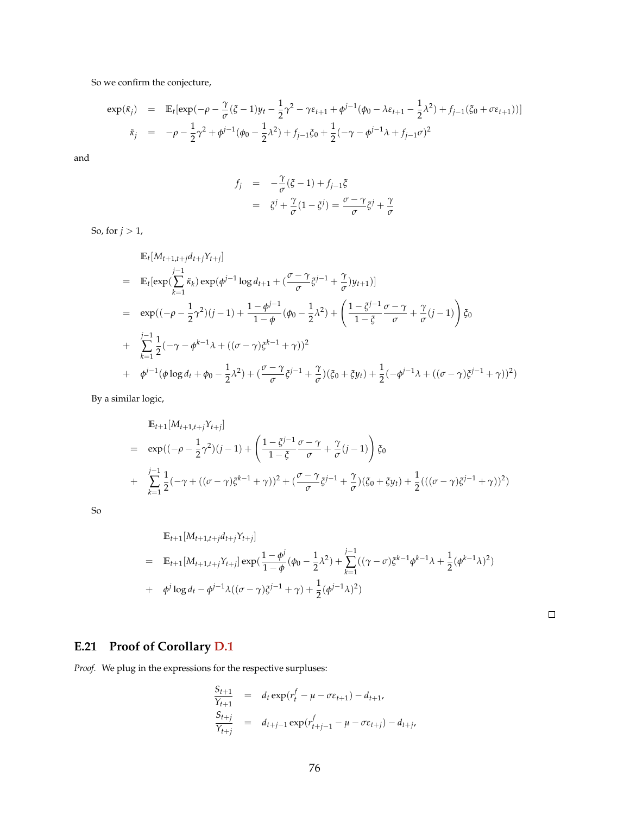So we confirm the conjecture,

$$
\exp(\tilde{\kappa}_j) = \mathbb{E}_t[\exp(-\rho - \frac{\gamma}{\sigma}(\xi - 1)y_t - \frac{1}{2}\gamma^2 - \gamma \varepsilon_{t+1} + \phi^{j-1}(\phi_0 - \lambda \varepsilon_{t+1} - \frac{1}{2}\lambda^2) + f_{j-1}(\xi_0 + \sigma \varepsilon_{t+1}))]
$$
  

$$
\tilde{\kappa}_j = -\rho - \frac{1}{2}\gamma^2 + \phi^{j-1}(\phi_0 - \frac{1}{2}\lambda^2) + f_{j-1}\xi_0 + \frac{1}{2}(-\gamma - \phi^{j-1}\lambda + f_{j-1}\sigma)^2
$$

and

$$
f_j = -\frac{\gamma}{\sigma}(\xi - 1) + f_{j-1}\xi
$$
  

$$
= \xi^j + \frac{\gamma}{\sigma}(1 - \xi^j) = \frac{\sigma - \gamma}{\sigma}\xi^j + \frac{\gamma}{\sigma}
$$

So, for  $j > 1$ ,

$$
\mathbb{E}_{t}[M_{t+1,t+j}d_{t+j}Y_{t+j}]
$$
\n
$$
= \mathbb{E}_{t}[\exp(\sum_{k=1}^{j-1}\tilde{\kappa}_{k})\exp(\phi^{j-1}\log d_{t+1} + (\frac{\sigma-\gamma}{\sigma}\tilde{\zeta}^{j-1} + \frac{\gamma}{\sigma})y_{t+1})]
$$
\n
$$
= \exp((- \rho - \frac{1}{2}\gamma^{2})(j-1) + \frac{1-\phi^{j-1}}{1-\phi}(\phi_{0} - \frac{1}{2}\lambda^{2}) + (\frac{1-\tilde{\zeta}^{j-1}}{1-\tilde{\zeta}}\frac{\sigma-\gamma}{\sigma} + \frac{\gamma}{\sigma}(j-1))\tilde{\zeta}_{0}
$$
\n
$$
+ \sum_{k=1}^{j-1}\frac{1}{2}(-\gamma-\phi^{k-1}\lambda + ((\sigma-\gamma)\tilde{\zeta}^{k-1} + \gamma))^{2}
$$
\n
$$
+ \phi^{j-1}(\phi\log d_{t} + \phi_{0} - \frac{1}{2}\lambda^{2}) + (\frac{\sigma-\gamma}{\sigma}\tilde{\zeta}^{j-1} + \frac{\gamma}{\sigma})(\tilde{\zeta}_{0} + \tilde{\zeta}y_{t}) + \frac{1}{2}(-\phi^{j-1}\lambda + ((\sigma-\gamma)\tilde{\zeta}^{j-1} + \gamma))^{2})
$$

By a similar logic,

$$
\mathbb{E}_{t+1}[M_{t+1,t+j}Y_{t+j}]
$$
\n
$$
= \exp((-\rho - \frac{1}{2}\gamma^2)(j-1) + \left(\frac{1-\xi^{j-1}}{1-\xi}\frac{\sigma-\gamma}{\sigma} + \frac{\gamma}{\sigma}(j-1)\right)\xi_0
$$
\n
$$
+ \sum_{k=1}^{j-1} \frac{1}{2}(-\gamma + ((\sigma - \gamma)\xi^{k-1} + \gamma))^2 + (\frac{\sigma - \gamma}{\sigma}\xi^{j-1} + \frac{\gamma}{\sigma})(\xi_0 + \xi y_t) + \frac{1}{2}(((\sigma - \gamma)\xi^{j-1} + \gamma))^2)
$$

So

$$
\mathbb{E}_{t+1}[M_{t+1,t+j}d_{t+j}Y_{t+j}]
$$
\n
$$
= \mathbb{E}_{t+1}[M_{t+1,t+j}Y_{t+j}] \exp(\frac{1-\phi^j}{1-\phi}(\phi_0 - \frac{1}{2}\lambda^2) + \sum_{k=1}^{j-1}((\gamma - \sigma)\xi^{k-1}\phi^{k-1}\lambda + \frac{1}{2}(\phi^{k-1}\lambda)^2)
$$
\n
$$
+ \phi^j \log d_t - \phi^{j-1}\lambda((\sigma - \gamma)\xi^{j-1} + \gamma) + \frac{1}{2}(\phi^{j-1}\lambda)^2)
$$

 $\Box$ 

## **E.21 Proof of Corollary [D.1](#page-53-0)**

*Proof.* We plug in the expressions for the respective surpluses:

$$
\frac{S_{t+1}}{Y_{t+1}} = d_t \exp(r_t^f - \mu - \sigma \varepsilon_{t+1}) - d_{t+1},
$$
\n
$$
\frac{S_{t+j}}{Y_{t+j}} = d_{t+j-1} \exp(r_{t+j-1}^f - \mu - \sigma \varepsilon_{t+j}) - d_{t+j}.
$$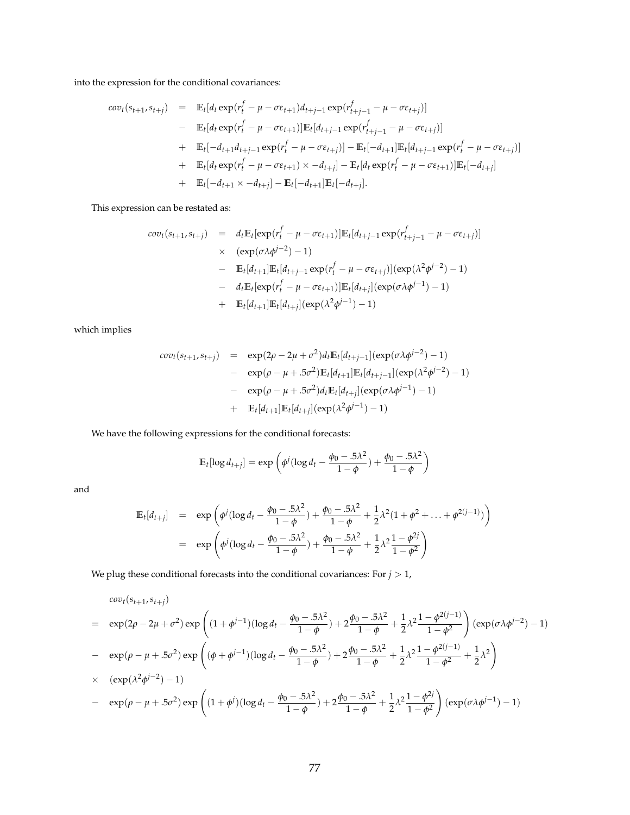into the expression for the conditional covariances:

$$
cov_{t}(s_{t+1}, s_{t+j}) = \mathbb{E}_{t}[d_{t} \exp(r_{t}^{f} - \mu - \sigma \varepsilon_{t+1})d_{t+j-1} \exp(r_{t+j-1}^{f} - \mu - \sigma \varepsilon_{t+j})]
$$
  
\n
$$
- \mathbb{E}_{t}[d_{t} \exp(r_{t}^{f} - \mu - \sigma \varepsilon_{t+1})]\mathbb{E}_{t}[d_{t+j-1} \exp(r_{t+j-1}^{f} - \mu - \sigma \varepsilon_{t+j})]
$$
  
\n
$$
+ \mathbb{E}_{t}[-d_{t+1}d_{t+j-1} \exp(r_{t}^{f} - \mu - \sigma \varepsilon_{t+j})] - \mathbb{E}_{t}[-d_{t+1}]\mathbb{E}_{t}[d_{t+j-1} \exp(r_{t}^{f} - \mu - \sigma \varepsilon_{t+j})]
$$
  
\n
$$
+ \mathbb{E}_{t}[d_{t} \exp(r_{t}^{f} - \mu - \sigma \varepsilon_{t+1}) \times -d_{t+j}] - \mathbb{E}_{t}[d_{t} \exp(r_{t}^{f} - \mu - \sigma \varepsilon_{t+1})]\mathbb{E}_{t}[-d_{t+j}]
$$
  
\n
$$
+ \mathbb{E}_{t}[-d_{t+1} \times -d_{t+j}] - \mathbb{E}_{t}[-d_{t+1}]\mathbb{E}_{t}[-d_{t+j}].
$$

This expression can be restated as:

$$
cov_t(s_{t+1}, s_{t+j}) = d_t \mathbb{E}_t[\exp(r_t^f - \mu - \sigma \varepsilon_{t+1})] \mathbb{E}_t[d_{t+j-1} \exp(r_{t+j-1}^f - \mu - \sigma \varepsilon_{t+j})]
$$
  
\n
$$
\times (\exp(\sigma \lambda \phi^{j-2}) - 1)
$$
  
\n
$$
- \mathbb{E}_t[d_{t+1}] \mathbb{E}_t[d_{t+j-1} \exp(r_t^f - \mu - \sigma \varepsilon_{t+j})] (\exp(\lambda^2 \phi^{j-2}) - 1)
$$
  
\n
$$
- d_t \mathbb{E}_t[\exp(r_t^f - \mu - \sigma \varepsilon_{t+1})] \mathbb{E}_t[d_{t+j}] (\exp(\sigma \lambda \phi^{j-1}) - 1)
$$
  
\n
$$
+ \mathbb{E}_t[d_{t+1}] \mathbb{E}_t[d_{t+j}] (\exp(\lambda^2 \phi^{j-1}) - 1)
$$

which implies

$$
cov_t(s_{t+1}, s_{t+j}) = \exp(2\rho - 2\mu + \sigma^2) d_t \mathbb{E}_t[d_{t+j-1}] (\exp(\sigma \lambda \phi^{j-2}) - 1)
$$
  
- 
$$
= \exp(\rho - \mu + .5\sigma^2) \mathbb{E}_t[d_{t+1}] \mathbb{E}_t[d_{t+j-1}] (\exp(\lambda^2 \phi^{j-2}) - 1)
$$
  
- 
$$
= \exp(\rho - \mu + .5\sigma^2) d_t \mathbb{E}_t[d_{t+j}] (\exp(\sigma \lambda \phi^{j-1}) - 1)
$$
  
+ 
$$
\mathbb{E}_t[d_{t+1}] \mathbb{E}_t[d_{t+j}] (\exp(\lambda^2 \phi^{j-1}) - 1)
$$

We have the following expressions for the conditional forecasts:

$$
\mathbb{E}_{t}[\log d_{t+j}] = \exp\left(\phi^{j}(\log d_{t} - \frac{\phi_{0} - .5\lambda^{2}}{1 - \phi}) + \frac{\phi_{0} - .5\lambda^{2}}{1 - \phi}\right)
$$

and

$$
\mathbb{E}_{t}[d_{t+j}] = \exp\left(\phi^{j}(\log d_{t} - \frac{\phi_{0} - .5\lambda^{2}}{1 - \phi}) + \frac{\phi_{0} - .5\lambda^{2}}{1 - \phi} + \frac{1}{2}\lambda^{2}(1 + \phi^{2} + ... + \phi^{2(j-1)})\right)
$$

$$
= \exp\left(\phi^{j}(\log d_{t} - \frac{\phi_{0} - .5\lambda^{2}}{1 - \phi}) + \frac{\phi_{0} - .5\lambda^{2}}{1 - \phi} + \frac{1}{2}\lambda^{2}\frac{1 - \phi^{2j}}{1 - \phi^{2}}\right)
$$

We plug these conditional forecasts into the conditional covariances: For  $j > 1$ ,

$$
cov_{t}(s_{t+1}, s_{t+j})
$$
\n
$$
= \exp(2\rho - 2\mu + \sigma^{2}) \exp\left((1 + \phi^{j-1})(\log d_{t} - \frac{\phi_{0} - 5\lambda^{2}}{1 - \phi}) + 2\frac{\phi_{0} - 5\lambda^{2}}{1 - \phi} + \frac{1}{2}\lambda^{2}\frac{1 - \phi^{2(j-1)}}{1 - \phi^{2}}\right) (\exp(\sigma\lambda\phi^{j-2}) - 1)
$$
\n
$$
- \exp(\rho - \mu + 5\sigma^{2}) \exp\left((\phi + \phi^{j-1})(\log d_{t} - \frac{\phi_{0} - 5\lambda^{2}}{1 - \phi}) + 2\frac{\phi_{0} - 5\lambda^{2}}{1 - \phi} + \frac{1}{2}\lambda^{2}\frac{1 - \phi^{2(j-1)}}{1 - \phi^{2}} + \frac{1}{2}\lambda^{2}\right)
$$
\n
$$
\times \exp(\lambda^{2}\phi^{j-2}) - 1)
$$
\n
$$
- \exp(\rho - \mu + 5\sigma^{2}) \exp\left((1 + \phi^{j})(\log d_{t} - \frac{\phi_{0} - 5\lambda^{2}}{1 - \phi}) + 2\frac{\phi_{0} - 5\lambda^{2}}{1 - \phi} + \frac{1}{2}\lambda^{2}\frac{1 - \phi^{2j}}{1 - \phi^{2}}\right) (\exp(\sigma\lambda\phi^{j-1}) - 1)
$$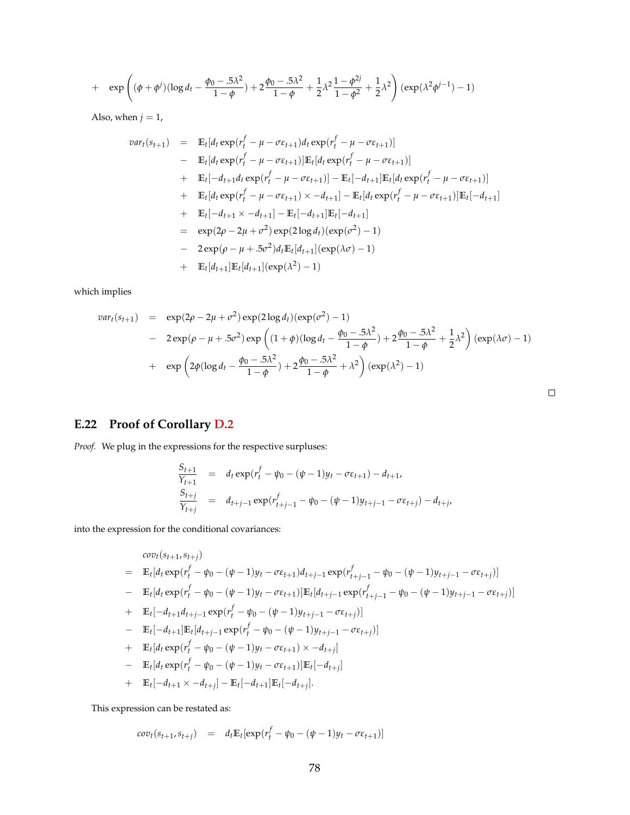+ 
$$
\exp\left((\phi+\phi^j)(\log d_t-\frac{\phi_0-5\lambda^2}{1-\phi})+2\frac{\phi_0-5\lambda^2}{1-\phi}+\frac{1}{2}\lambda^2\frac{1-\phi^{2j}}{1-\phi^2}+\frac{1}{2}\lambda^2\right)(\exp(\lambda^2\phi^{j-1})-1)
$$

Also, when  $j = 1$ ,

$$
var_t(s_{t+1}) = \mathbb{E}_t[d_t \exp(r_t^f - \mu - \sigma \varepsilon_{t+1})d_t \exp(r_t^f - \mu - \sigma \varepsilon_{t+1})]
$$
  
\n
$$
- \mathbb{E}_t[d_t \exp(r_t^f - \mu - \sigma \varepsilon_{t+1})]\mathbb{E}_t[d_t \exp(r_t^f - \mu - \sigma \varepsilon_{t+1})]
$$
  
\n
$$
+ \mathbb{E}_t[-d_{t+1}d_t \exp(r_t^f - \mu - \sigma \varepsilon_{t+1})] - \mathbb{E}_t[-d_{t+1}]\mathbb{E}_t[d_t \exp(r_t^f - \mu - \sigma \varepsilon_{t+1})]
$$
  
\n
$$
+ \mathbb{E}_t[d_t \exp(r_t^f - \mu - \sigma \varepsilon_{t+1}) \times -d_{t+1}] - \mathbb{E}_t[d_t \exp(r_t^f - \mu - \sigma \varepsilon_{t+1})]\mathbb{E}_t[-d_{t+1}]
$$
  
\n
$$
+ \mathbb{E}_t[-d_{t+1} \times -d_{t+1}] - \mathbb{E}_t[-d_{t+1}]\mathbb{E}_t[-d_{t+1}]
$$
  
\n
$$
= \exp(2\rho - 2\mu + \sigma^2) \exp(2 \log d_t) (\exp(\sigma^2) - 1)
$$
  
\n
$$
- 2 \exp(\rho - \mu + .5\sigma^2) d_t \mathbb{E}_t[d_{t+1}] (\exp(\lambda \sigma) - 1)
$$
  
\n
$$
+ \mathbb{E}_t[d_{t+1}]\mathbb{E}_t[d_{t+1}] (\exp(\lambda^2) - 1)
$$

which implies

$$
var_t(s_{t+1}) = \exp(2\rho - 2\mu + \sigma^2) \exp(2\log d_t)(\exp(\sigma^2) - 1)
$$
  
- 
$$
2 \exp(\rho - \mu + .5\sigma^2) \exp\left((1+\phi)(\log d_t - \frac{\phi_0 - .5\lambda^2}{1-\phi}) + 2\frac{\phi_0 - .5\lambda^2}{1-\phi} + \frac{1}{2}\lambda^2\right) (\exp(\lambda\sigma) - 1)
$$
  
+ 
$$
\exp\left(2\phi(\log d_t - \frac{\phi_0 - .5\lambda^2}{1-\phi}) + 2\frac{\phi_0 - .5\lambda^2}{1-\phi} + \lambda^2\right) (\exp(\lambda^2) - 1)
$$

 $\Box$ 

## **E.22 Proof of Corollary [D.2](#page-53-1)**

*Proof.* We plug in the expressions for the respective surpluses:

$$
\frac{S_{t+1}}{Y_{t+1}} = d_t \exp(r_t^f - \psi_0 - (\psi - 1)y_t - \sigma \varepsilon_{t+1}) - d_{t+1},
$$
\n
$$
\frac{S_{t+j}}{Y_{t+j}} = d_{t+j-1} \exp(r_{t+j-1}^f - \psi_0 - (\psi - 1)y_{t+j-1} - \sigma \varepsilon_{t+j}) - d_{t+j}.
$$

into the expression for the conditional covariances:

$$
cov_t(s_{t+1}, s_{t+j})
$$
\n
$$
= \mathbb{E}_t[d_t \exp(r_t^f - \psi_0 - (\psi - 1)y_t - \sigma \varepsilon_{t+1})d_{t+j-1} \exp(r_{t+j-1}^f - \psi_0 - (\psi - 1)y_{t+j-1} - \sigma \varepsilon_{t+j})]
$$
\n
$$
- \mathbb{E}_t[d_t \exp(r_t^f - \psi_0 - (\psi - 1)y_t - \sigma \varepsilon_{t+1})]\mathbb{E}_t[d_{t+j-1} \exp(r_{t+j-1}^f - \psi_0 - (\psi - 1)y_{t+j-1} - \sigma \varepsilon_{t+j})]
$$
\n
$$
+ \mathbb{E}_t[-d_{t+1}d_{t+j-1} \exp(r_t^f - \psi_0 - (\psi - 1)y_{t+j-1} - \sigma \varepsilon_{t+j})]
$$
\n
$$
- \mathbb{E}_t[-d_{t+1}]\mathbb{E}_t[d_{t+j-1} \exp(r_t^f - \psi_0 - (\psi - 1)y_{t+j-1} - \sigma \varepsilon_{t+j})]
$$
\n
$$
+ \mathbb{E}_t[d_t \exp(r_t^f - \psi_0 - (\psi - 1)y_t - \sigma \varepsilon_{t+1}) \times -d_{t+j}]
$$
\n
$$
- \mathbb{E}_t[d_t \exp(r_t^f - \psi_0 - (\psi - 1)y_t - \sigma \varepsilon_{t+1})]\mathbb{E}_t[-d_{t+j}]
$$
\n
$$
+ \mathbb{E}_t[-d_{t+1} \times -d_{t+j}] - \mathbb{E}_t[-d_{t+1}]\mathbb{E}_t[-d_{t+j}].
$$

This expression can be restated as:

$$
cov_t(s_{t+1}, s_{t+j}) = d_t \mathbb{E}_t[\exp(r_t^f - \psi_0 - (\psi - 1)y_t - \sigma \varepsilon_{t+1})]
$$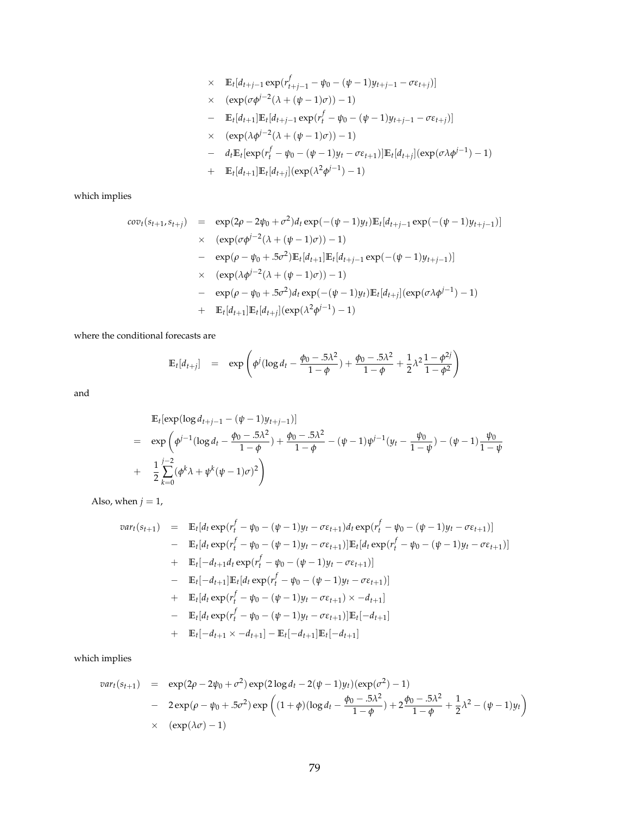$$
∴ E_t[d_{t+j-1} exp(r_{t+j-1}^f - ψ_0 - (ψ - 1)y_{t+j-1} - σε_{t+j})]
$$
\n
$$
∴ (exp(cφj-2(λ + (ψ - 1)σ)) - 1)
$$
\n
$$
= E_t[d_{t+1}]E_t[d_{t+j-1} exp(r_t^f - ψ_0 - (ψ - 1)y_{t+j-1} - σε_{t+j})]
$$
\n
$$
∴ (exp(λφj-2(λ + (ψ - 1)σ)) - 1)
$$
\n
$$
= d_t E_t[exp(r_t^f - ψ_0 - (ψ - 1)y_t - σε_{t+1})]E_t[d_{t+j}] (exp(σλφj-1) - 1)
$$
\n
$$
+ E_t[d_{t+1}]E_t[d_{t+j}] (exp(λ2φj-1) - 1)
$$

which implies

$$
cov_{t}(s_{t+1}, s_{t+j}) = \exp(2\rho - 2\psi_{0} + \sigma^{2})d_{t} \exp(-( \psi - 1)y_{t}) \mathbb{E}_{t}[d_{t+j-1} \exp(-( \psi - 1)y_{t+j-1})]
$$
  
\n
$$
\times (\exp(\sigma \phi^{j-2}(\lambda + (\psi - 1)\sigma)) - 1)
$$
  
\n
$$
= \exp(\rho - \psi_{0} + .5\sigma^{2}) \mathbb{E}_{t}[d_{t+1}] \mathbb{E}_{t}[d_{t+j-1} \exp(-( \psi - 1)y_{t+j-1})]
$$
  
\n
$$
\times (\exp(\lambda \phi^{j-2}(\lambda + (\psi - 1)\sigma)) - 1)
$$
  
\n
$$
- \exp(\rho - \psi_{0} + .5\sigma^{2})d_{t} \exp(-( \psi - 1)y_{t}) \mathbb{E}_{t}[d_{t+j}] (\exp(\sigma \lambda \phi^{j-1}) - 1)
$$
  
\n
$$
+ \mathbb{E}_{t}[d_{t+1}] \mathbb{E}_{t}[d_{t+j}] (\exp(\lambda^{2} \phi^{j-1}) - 1)
$$

where the conditional forecasts are

$$
\mathbb{E}_{t}[d_{t+j}] = \exp \left( \phi^{j} (\log d_{t} - \frac{\phi_{0} - .5\lambda^{2}}{1 - \phi}) + \frac{\phi_{0} - .5\lambda^{2}}{1 - \phi} + \frac{1}{2}\lambda^{2} \frac{1 - \phi^{2j}}{1 - \phi^{2}} \right)
$$

and

$$
\mathbb{E}_{t}[\exp(\log d_{t+j-1} - (\psi - 1)y_{t+j-1})]
$$
\n
$$
= \exp\left(\phi^{j-1}(\log d_{t} - \frac{\phi_{0} - 0.5\lambda^{2}}{1 - \phi}) + \frac{\phi_{0} - 0.5\lambda^{2}}{1 - \phi} - (\psi - 1)\phi^{j-1}(y_{t} - \frac{\psi_{0}}{1 - \psi}) - (\psi - 1)\frac{\psi_{0}}{1 - \psi}\right)
$$
\n
$$
+ \frac{1}{2}\sum_{k=0}^{j-2}(\phi^{k}\lambda + \psi^{k}(\psi - 1)\sigma)^{2}\right)
$$

Also, when  $j = 1$ ,

$$
var_t(s_{t+1}) = \mathbb{E}_t[d_t \exp(r_t^f - \psi_0 - (\psi - 1)y_t - \sigma \varepsilon_{t+1})d_t \exp(r_t^f - \psi_0 - (\psi - 1)y_t - \sigma \varepsilon_{t+1})]
$$
  
\n
$$
- \mathbb{E}_t[d_t \exp(r_t^f - \psi_0 - (\psi - 1)y_t - \sigma \varepsilon_{t+1})]\mathbb{E}_t[d_t \exp(r_t^f - \psi_0 - (\psi - 1)y_t - \sigma \varepsilon_{t+1})]
$$
  
\n
$$
+ \mathbb{E}_t[-d_{t+1}d_t \exp(r_t^f - \psi_0 - (\psi - 1)y_t - \sigma \varepsilon_{t+1})]
$$
  
\n
$$
- \mathbb{E}_t[-d_{t+1}]\mathbb{E}_t[d_t \exp(r_t^f - \psi_0 - (\psi - 1)y_t - \sigma \varepsilon_{t+1})]
$$
  
\n
$$
+ \mathbb{E}_t[d_t \exp(r_t^f - \psi_0 - (\psi - 1)y_t - \sigma \varepsilon_{t+1}) \times -d_{t+1}]
$$
  
\n
$$
- \mathbb{E}_t[d_t \exp(r_t^f - \psi_0 - (\psi - 1)y_t - \sigma \varepsilon_{t+1})]\mathbb{E}_t[-d_{t+1}]
$$
  
\n
$$
+ \mathbb{E}_t[-d_{t+1} \times -d_{t+1}] - \mathbb{E}_t[-d_{t+1}]\mathbb{E}_t[-d_{t+1}]
$$

which implies

$$
var_t(s_{t+1}) = \exp(2\rho - 2\psi_0 + \sigma^2) \exp(2\log d_t - 2(\psi - 1)y_t)(\exp(\sigma^2) - 1)
$$
  
- 
$$
2 \exp(\rho - \psi_0 + .5\sigma^2) \exp\left((1 + \phi)(\log d_t - \frac{\phi_0 - .5\lambda^2}{1 - \phi}) + 2\frac{\phi_0 - .5\lambda^2}{1 - \phi} + \frac{1}{2}\lambda^2 - (\psi - 1)y_t\right)
$$
  
× 
$$
(\exp(\lambda \sigma) - 1)
$$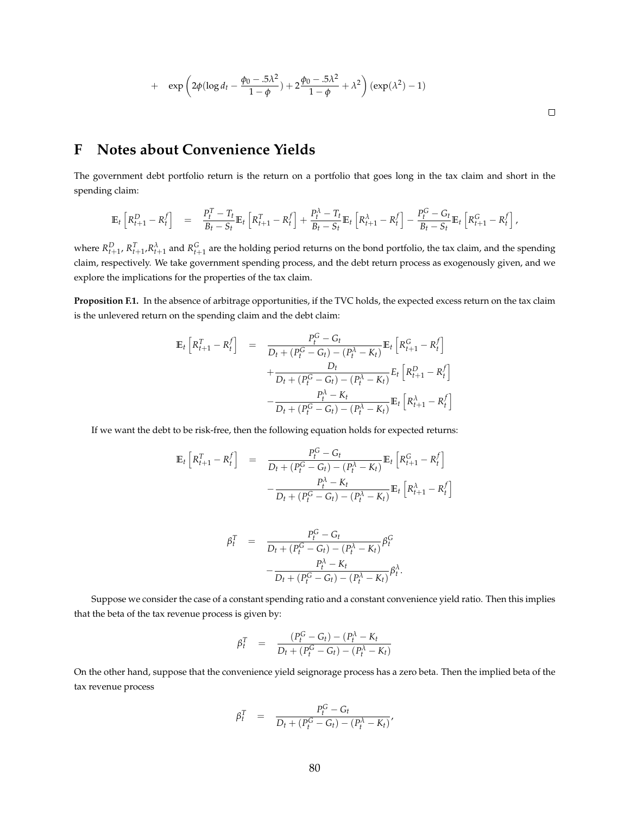+ 
$$
\exp\left(2\phi(\log d_t - \frac{\phi_0 - 0.5\lambda^2}{1-\phi}) + 2\frac{\phi_0 - 0.5\lambda^2}{1-\phi} + \lambda^2\right) (\exp(\lambda^2) - 1)
$$

## **F Notes about Convenience Yields**

The government debt portfolio return is the return on a portfolio that goes long in the tax claim and short in the spending claim:

$$
\mathbb{E}_{t}\left[R_{t+1}^{D}-R_{t}^{f}\right] = \frac{P_{t}^{T}-T_{t}}{B_{t}-S_{t}}\mathbb{E}_{t}\left[R_{t+1}^{T}-R_{t}^{f}\right]+\frac{P_{t}^{\lambda}-T_{t}}{B_{t}-S_{t}}\mathbb{E}_{t}\left[R_{t+1}^{\lambda}-R_{t}^{f}\right]-\frac{P_{t}^{G}-G_{t}}{B_{t}-S_{t}}\mathbb{E}_{t}\left[R_{t+1}^{G}-R_{t}^{f}\right],
$$

where  $R_{t+1}^D$ ,  $R_{t+1}^T$ , $R_{t+1}^{\lambda}$  and  $R_{t+1}^G$  are the holding period returns on the bond portfolio, the tax claim, and the spending claim, respectively. We take government spending process, and the debt return process as exogenously given, and we explore the implications for the properties of the tax claim.

**Proposition F.1.** In the absence of arbitrage opportunities, if the TVC holds, the expected excess return on the tax claim is the unlevered return on the spending claim and the debt claim:

$$
\mathbb{E}_{t}\left[R_{t+1}^{T} - R_{t}^{f}\right] = \frac{P_{t}^{G} - G_{t}}{D_{t} + (P_{t}^{G} - G_{t}) - (P_{t}^{A} - K_{t})}\mathbb{E}_{t}\left[R_{t+1}^{G} - R_{t}^{f}\right] + \frac{D_{t}}{D_{t} + (P_{t}^{G} - G_{t}) - (P_{t}^{A} - K_{t})}E_{t}\left[R_{t+1}^{D} - R_{t}^{f}\right] - \frac{P_{t}^{A} - K_{t}}{D_{t} + (P_{t}^{G} - G_{t}) - (P_{t}^{A} - K_{t})}\mathbb{E}_{t}\left[R_{t+1}^{A} - R_{t}^{f}\right]
$$

If we want the debt to be risk-free, then the following equation holds for expected returns:

$$
\mathbb{E}_{t} \left[ R_{t+1}^{T} - R_{t}^{f} \right] = \frac{P_{t}^{G} - G_{t}}{D_{t} + (P_{t}^{G} - G_{t}) - (P_{t}^{\lambda} - K_{t})} \mathbb{E}_{t} \left[ R_{t+1}^{G} - R_{t}^{f} \right] - \frac{P_{t}^{\lambda} - K_{t}}{D_{t} + (P_{t}^{G} - G_{t}) - (P_{t}^{\lambda} - K_{t})} \mathbb{E}_{t} \left[ R_{t+1}^{\lambda} - R_{t}^{f} \right]
$$

$$
\beta_t^T = \frac{P_t^G - G_t}{D_t + (P_t^G - G_t) - (P_t^{\lambda} - K_t)} \beta_t^G
$$

$$
-\frac{P_t^{\lambda} - K_t}{D_t + (P_t^G - G_t) - (P_t^{\lambda} - K_t)} \beta_t^{\lambda}.
$$

Suppose we consider the case of a constant spending ratio and a constant convenience yield ratio. Then this implies that the beta of the tax revenue process is given by:

$$
\beta_t^T = \frac{(P_t^G - G_t) - (P_t^{\lambda} - K_t)}{D_t + (P_t^G - G_t) - (P_t^{\lambda} - K_t)}
$$

On the other hand, suppose that the convenience yield seignorage process has a zero beta. Then the implied beta of the tax revenue process

$$
\beta_t^T = \frac{P_t^G - G_t}{D_t + (P_t^G - G_t) - (P_t^{\lambda} - K_t)},
$$